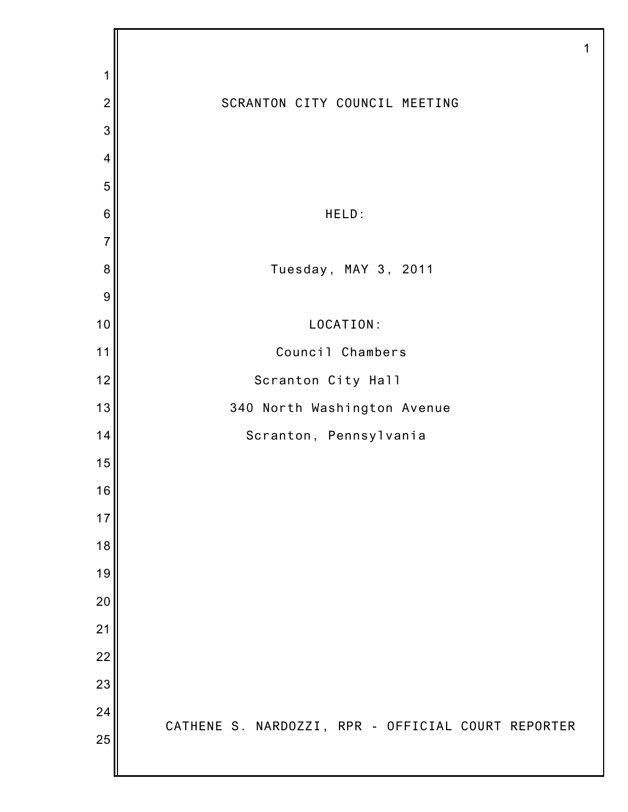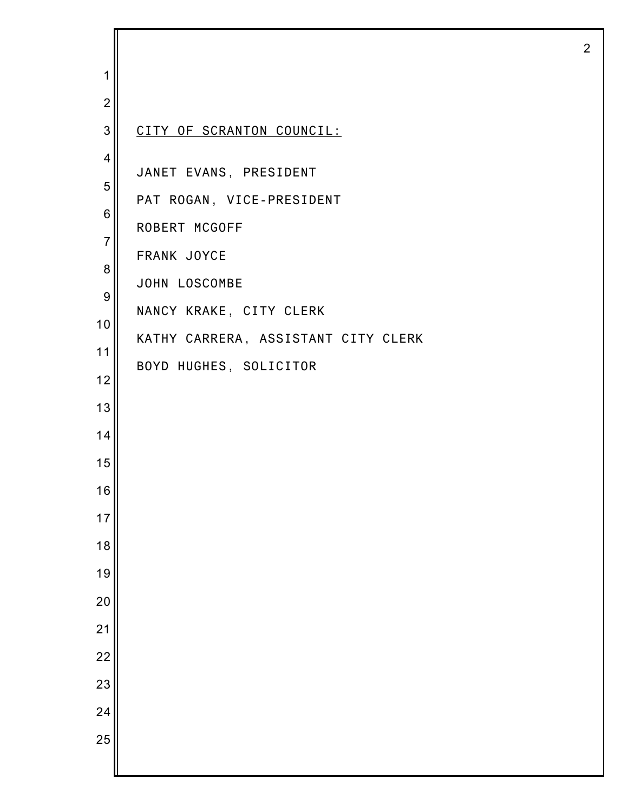| 1                                                                                               |                                                                                                                                                                                                  |
|-------------------------------------------------------------------------------------------------|--------------------------------------------------------------------------------------------------------------------------------------------------------------------------------------------------|
| $\overline{2}$                                                                                  |                                                                                                                                                                                                  |
| 3                                                                                               | CITY OF SCRANTON COUNCIL:                                                                                                                                                                        |
| $\overline{4}$<br>5<br>$\,6$<br>$\overline{7}$<br>8<br>$\boldsymbol{9}$<br>10<br>11<br>12<br>13 | JANET EVANS, PRESIDENT<br>PAT ROGAN, VICE-PRESIDENT<br>ROBERT MCGOFF<br>FRANK JOYCE<br>JOHN LOSCOMBE<br>NANCY KRAKE, CITY CLERK<br>KATHY CARRERA, ASSISTANT CITY CLERK<br>BOYD HUGHES, SOLICITOR |
| 14                                                                                              |                                                                                                                                                                                                  |
| 15                                                                                              |                                                                                                                                                                                                  |
| 16                                                                                              |                                                                                                                                                                                                  |
| 17                                                                                              |                                                                                                                                                                                                  |
| 18                                                                                              |                                                                                                                                                                                                  |
| 19<br>20                                                                                        |                                                                                                                                                                                                  |
| 21                                                                                              |                                                                                                                                                                                                  |
| $\overline{22}$                                                                                 |                                                                                                                                                                                                  |
| 23                                                                                              |                                                                                                                                                                                                  |
| 24                                                                                              |                                                                                                                                                                                                  |
| 25                                                                                              |                                                                                                                                                                                                  |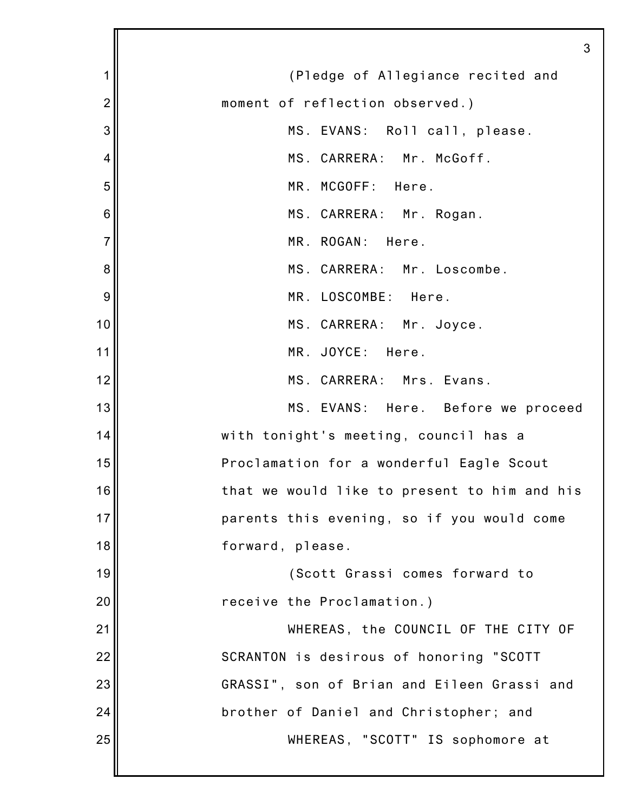|                | 3                                            |
|----------------|----------------------------------------------|
| 1              | (Pledge of Allegiance recited and            |
| $\overline{2}$ | moment of reflection observed.)              |
| 3              | MS. EVANS: Roll call, please.                |
| 4              | MS. CARRERA: Mr. McGoff.                     |
| 5              | MR. MCGOFF: Here.                            |
| 6              | MS. CARRERA: Mr. Rogan.                      |
| $\overline{7}$ | MR. ROGAN: Here.                             |
| 8              | MS. CARRERA: Mr. Loscombe.                   |
| 9              | MR. LOSCOMBE: Here.                          |
| 10             | MS. CARRERA: Mr. Joyce.                      |
| 11             | MR. JOYCE: Here.                             |
| 12             | MS. CARRERA: Mrs. Evans.                     |
| 13             | MS. EVANS: Here. Before we proceed           |
| 14             | with tonight's meeting, council has a        |
| 15             | Proclamation for a wonderful Eagle Scout     |
| 16             | that we would like to present to him and his |
| 17             | parents this evening, so if you would come   |
| 18             | forward, please.                             |
| 19             | (Scott Grassi comes forward to               |
| 20             | receive the Proclamation.)                   |
| 21             | WHEREAS, the COUNCIL OF THE CITY OF          |
| 22             | SCRANTON is desirous of honoring "SCOTT      |
| 23             | GRASSI", son of Brian and Eileen Grassi and  |
| 24             | brother of Daniel and Christopher; and       |
| 25             | WHEREAS, "SCOTT" IS sophomore at             |
|                |                                              |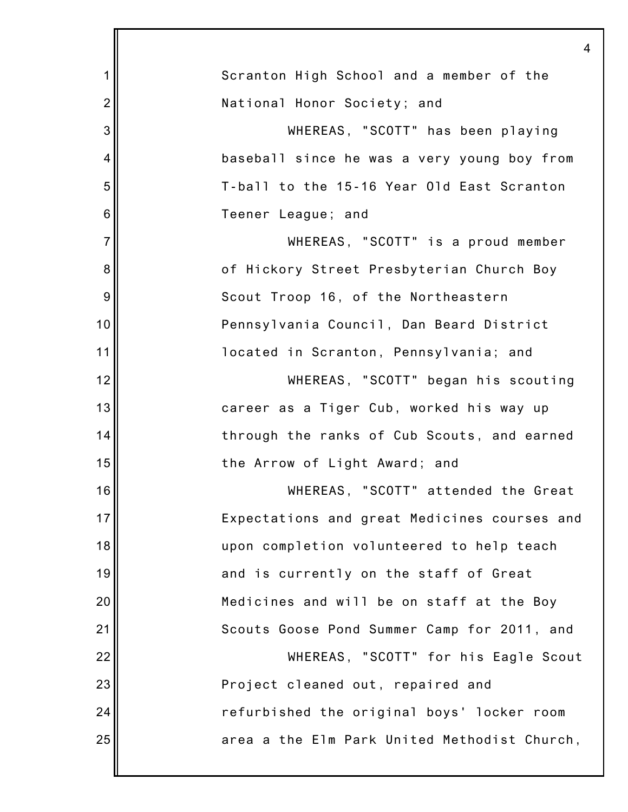|                | 4                                            |
|----------------|----------------------------------------------|
| 1              | Scranton High School and a member of the     |
| $\overline{2}$ | National Honor Society; and                  |
| 3              | WHEREAS, "SCOTT" has been playing            |
| 4              | baseball since he was a very young boy from  |
| 5              | T-ball to the 15-16 Year Old East Scranton   |
| 6              | Teener League; and                           |
| $\overline{7}$ | WHEREAS, "SCOTT" is a proud member           |
| 8              | of Hickory Street Presbyterian Church Boy    |
| 9              | Scout Troop 16, of the Northeastern          |
| 10             | Pennsylvania Council, Dan Beard District     |
| 11             | located in Scranton, Pennsylvania; and       |
| 12             | WHEREAS, "SCOTT" began his scouting          |
| 13             | career as a Tiger Cub, worked his way up     |
| 14             | through the ranks of Cub Scouts, and earned  |
| 15             | the Arrow of Light Award; and                |
| 16             | WHEREAS, "SCOTT" attended the Great          |
| 17             | Expectations and great Medicines courses and |
| 18             | upon completion volunteered to help teach    |
| 19             | and is currently on the staff of Great       |
| 20             | Medicines and will be on staff at the Boy    |
| 21             | Scouts Goose Pond Summer Camp for 2011, and  |
| 22             | WHEREAS, "SCOTT" for his Eagle Scout         |
| 23             | Project cleaned out, repaired and            |
| 24             | refurbished the original boys' locker room   |
| 25             | area a the Elm Park United Methodist Church, |
|                |                                              |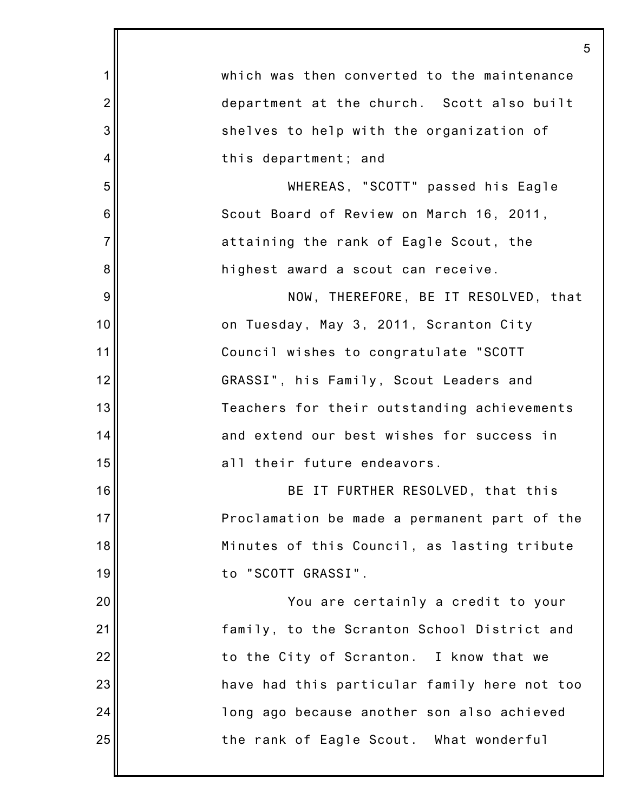|                | 5                                            |
|----------------|----------------------------------------------|
| 1              | which was then converted to the maintenance  |
| $\overline{c}$ | department at the church. Scott also built   |
| 3              | shelves to help with the organization of     |
| 4              | this department; and                         |
| 5              | WHEREAS, "SCOTT" passed his Eagle            |
| 6              | Scout Board of Review on March 16, 2011,     |
| $\overline{7}$ | attaining the rank of Eagle Scout, the       |
| 8              | highest award a scout can receive.           |
| $9$            | NOW, THEREFORE, BE IT RESOLVED, that         |
| 10             | on Tuesday, May 3, 2011, Scranton City       |
| 11             | Council wishes to congratulate "SCOTT        |
| 12             | GRASSI", his Family, Scout Leaders and       |
| 13             | Teachers for their outstanding achievements  |
| 14             | and extend our best wishes for success in    |
| 15             | all their future endeavors.                  |
| 16             | BE IT FURTHER RESOLVED, that this            |
| 17             | Proclamation be made a permanent part of the |
| 18             | Minutes of this Council, as lasting tribute  |
| 19             | to "SCOTT GRASSI".                           |
| 20             | You are certainly a credit to your           |
| 21             | family, to the Scranton School District and  |
| 22             | to the City of Scranton. I know that we      |
| 23             | have had this particular family here not too |
| 24             | long ago because another son also achieved   |
| 25             | the rank of Eagle Scout. What wonderful      |
|                |                                              |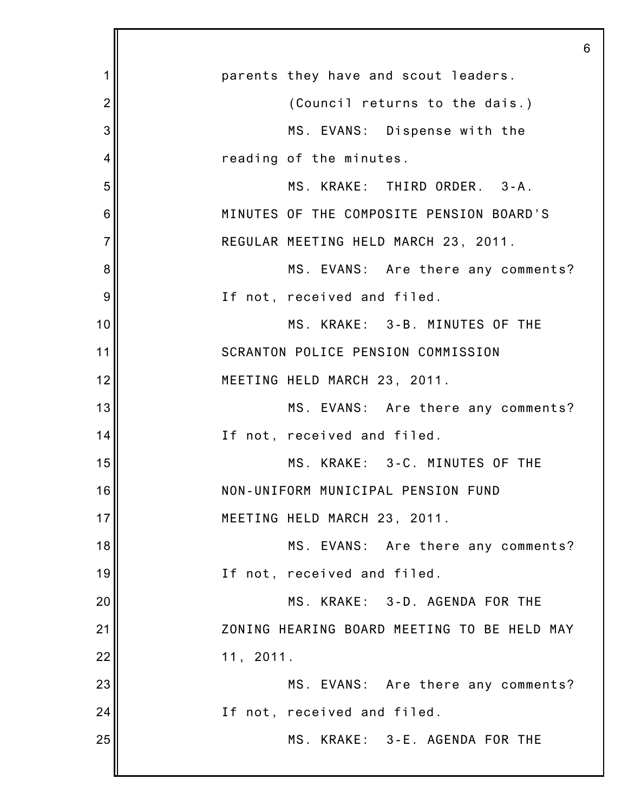|                |                                             | 6 |
|----------------|---------------------------------------------|---|
| 1              | parents they have and scout leaders.        |   |
| $\overline{2}$ | (Council returns to the dais.)              |   |
| 3              | MS. EVANS: Dispense with the                |   |
| 4              | reading of the minutes.                     |   |
| 5              | MS. KRAKE: THIRD ORDER. 3-A.                |   |
| 6              | MINUTES OF THE COMPOSITE PENSION BOARD'S    |   |
| $\overline{7}$ | REGULAR MEETING HELD MARCH 23, 2011.        |   |
| 8              | MS. EVANS: Are there any comments?          |   |
| 9              | If not, received and filed.                 |   |
| 10             | MS. KRAKE: 3-B. MINUTES OF THE              |   |
| 11             | SCRANTON POLICE PENSION COMMISSION          |   |
| 12             | MEETING HELD MARCH 23, 2011.                |   |
| 13             | MS. EVANS: Are there any comments?          |   |
| 14             | If not, received and filed.                 |   |
| 15             | MS. KRAKE: 3-C. MINUTES OF THE              |   |
| 16             | NON-UNIFORM MUNICIPAL PENSION FUND          |   |
| 17             | MEETING HELD MARCH 23, 2011.                |   |
| 18             | MS. EVANS: Are there any comments?          |   |
| 19             | If not, received and filed.                 |   |
| 20             | MS. KRAKE: 3-D. AGENDA FOR THE              |   |
| 21             | ZONING HEARING BOARD MEETING TO BE HELD MAY |   |
| 22             | 11, 2011.                                   |   |
| 23             | MS. EVANS: Are there any comments?          |   |
| 24             | If not, received and filed.                 |   |
| 25             | MS. KRAKE: 3-E. AGENDA FOR THE              |   |
|                |                                             |   |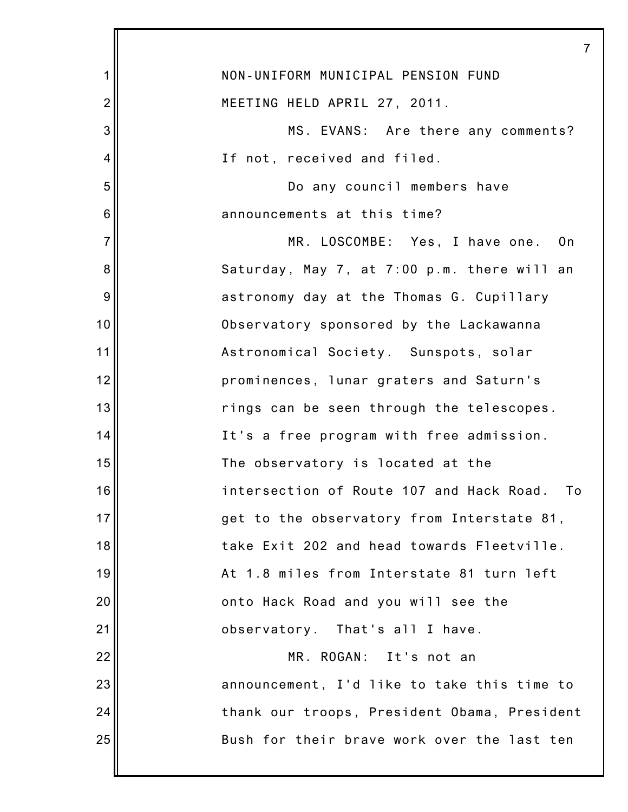|                | 7                                            |
|----------------|----------------------------------------------|
| 1              | NON-UNIFORM MUNICIPAL PENSION FUND           |
| $\overline{2}$ | MEETING HELD APRIL 27, 2011.                 |
| 3              | MS. EVANS: Are there any comments?           |
| 4              | If not, received and filed.                  |
| 5              | Do any council members have                  |
| 6              | announcements at this time?                  |
| $\overline{7}$ | MR. LOSCOMBE: Yes, I have one. On            |
| 8              | Saturday, May 7, at 7:00 p.m. there will an  |
| 9              | astronomy day at the Thomas G. Cupillary     |
| 10             | Observatory sponsored by the Lackawanna      |
| 11             | Astronomical Society. Sunspots, solar        |
| 12             | prominences, lunar graters and Saturn's      |
| 13             | rings can be seen through the telescopes.    |
| 14             | It's a free program with free admission.     |
| 15             | The observatory is located at the            |
| 16             | intersection of Route 107 and Hack Road. To  |
| 17             | get to the observatory from Interstate 81,   |
| 18             | take Exit 202 and head towards Fleetville.   |
| 19             | At 1.8 miles from Interstate 81 turn left    |
| 20             | onto Hack Road and you will see the          |
| 21             | observatory. That's all I have.              |
| 22             | MR. ROGAN: It's not an                       |
| 23             | announcement, I'd like to take this time to  |
| 24             | thank our troops, President Obama, President |
| 25             | Bush for their brave work over the last ten  |
|                |                                              |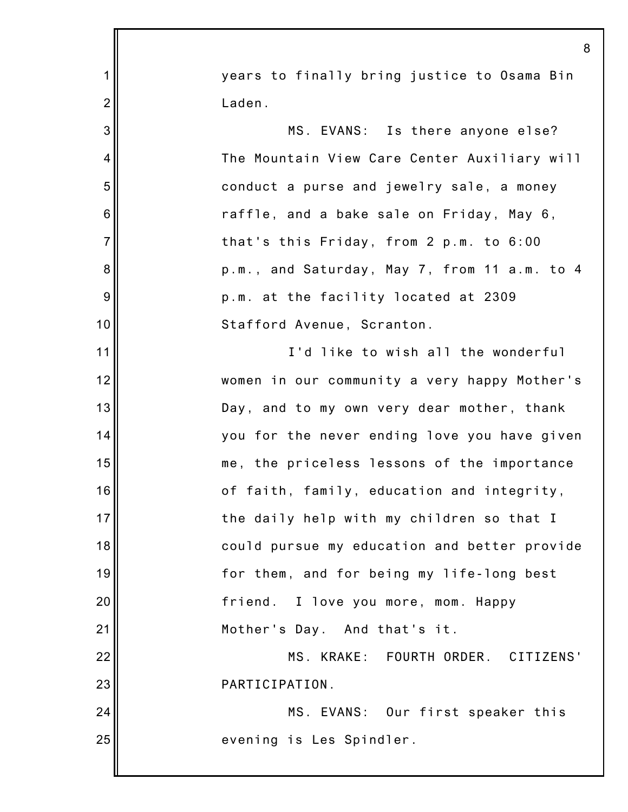|                | 8                                            |
|----------------|----------------------------------------------|
| 1              | years to finally bring justice to Osama Bin  |
| $\overline{2}$ | Laden.                                       |
| 3              | MS. EVANS: Is there anyone else?             |
| 4              | The Mountain View Care Center Auxiliary will |
| 5              | conduct a purse and jewelry sale, a money    |
| 6              | raffle, and a bake sale on Friday, May 6,    |
| $\overline{7}$ | that's this Friday, from 2 p.m. to 6:00      |
| 8              | p.m., and Saturday, May 7, from 11 a.m. to 4 |
| 9              | p.m. at the facility located at 2309         |
| 10             | Stafford Avenue, Scranton.                   |
| 11             | I'd like to wish all the wonderful           |
| 12             | women in our community a very happy Mother's |
| 13             | Day, and to my own very dear mother, thank   |
| 14             | you for the never ending love you have given |
| 15             | me, the priceless lessons of the importance  |
| 16             | of faith, family, education and integrity,   |
| 17             | the daily help with my children so that I    |
| 18             | could pursue my education and better provide |
| 19             | for them, and for being my life-long best    |
| 20             | friend. I love you more, mom. Happy          |
| 21             | Mother's Day. And that's it.                 |
| 22             | MS. KRAKE: FOURTH ORDER. CITIZENS'           |
| 23             | PARTICIPATION.                               |
| 24             | MS. EVANS: Our first speaker this            |
| 25             | evening is Les Spindler.                     |
|                |                                              |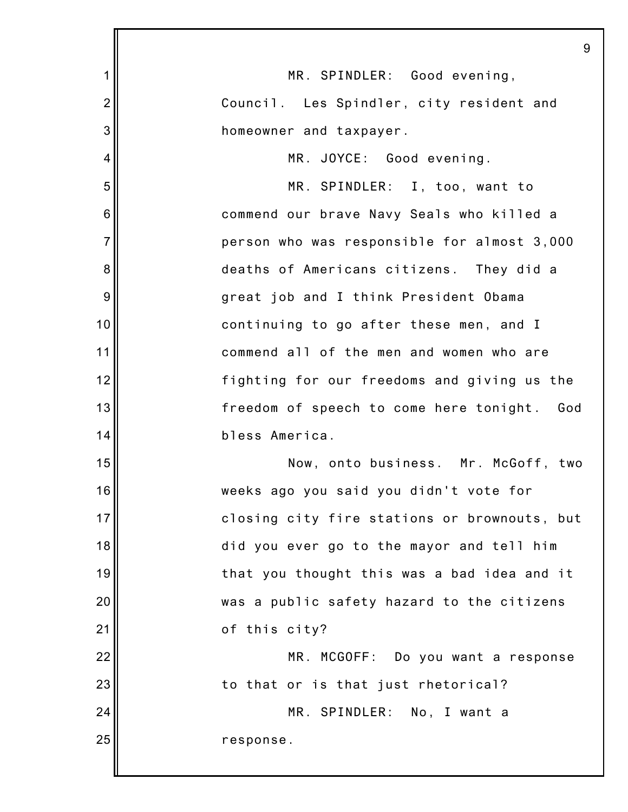|                | 9                                              |
|----------------|------------------------------------------------|
| 1              | MR. SPINDLER: Good evening,                    |
| $\overline{2}$ | Council. Les Spindler, city resident and       |
| 3              | homeowner and taxpayer.                        |
| $\overline{4}$ | MR. JOYCE: Good evening.                       |
| 5              | MR. SPINDLER: I, too, want to                  |
| 6              | commend our brave Navy Seals who killed a      |
| $\overline{7}$ | person who was responsible for almost 3,000    |
| 8              | deaths of Americans citizens. They did a       |
| 9              | great job and I think President Obama          |
| 10             | continuing to go after these men, and I        |
| 11             | commend all of the men and women who are       |
| 12             | fighting for our freedoms and giving us the    |
| 13             | freedom of speech to come here tonight.<br>God |
| 14             | bless America.                                 |
| 15             | Now, onto business. Mr. McGoff, two            |
| 16             | weeks ago you said you didn't vote for         |
| 17             | closing city fire stations or brownouts, but   |
| 18             | did you ever go to the mayor and tell him      |
| 19             | that you thought this was a bad idea and it    |
| 20             | was a public safety hazard to the citizens     |
| 21             | of this city?                                  |
| 22             | MR. MCGOFF: Do you want a response             |
| 23             | to that or is that just rhetorical?            |
| 24             | MR. SPINDLER: No, I want a                     |
| 25             | response.                                      |
|                |                                                |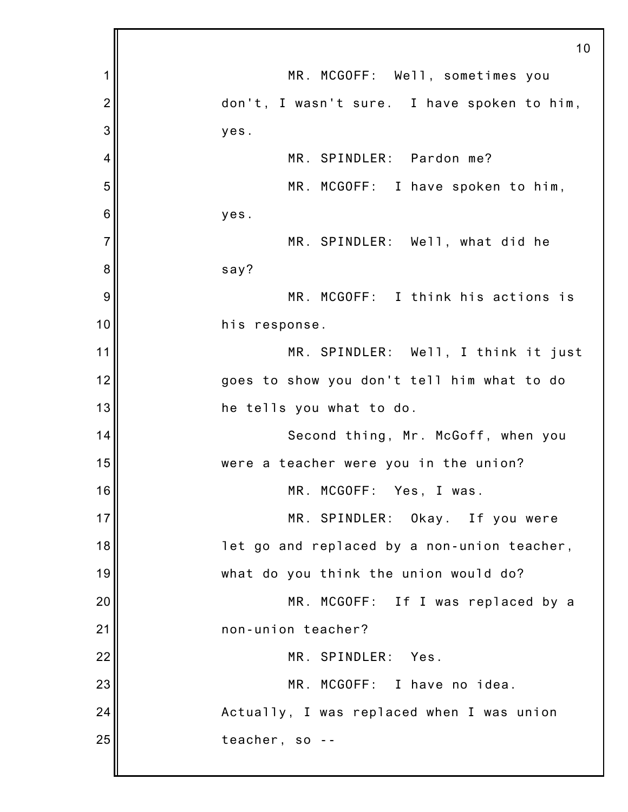|                | 10                                          |
|----------------|---------------------------------------------|
| 1              | MR. MCGOFF: Well, sometimes you             |
| $\overline{2}$ | don't, I wasn't sure. I have spoken to him, |
| 3              | yes.                                        |
| 4              | MR. SPINDLER: Pardon me?                    |
| 5              | MR. MCGOFF: I have spoken to him,           |
| 6              | yes.                                        |
| $\overline{7}$ | MR. SPINDLER: Well, what did he             |
| 8              | say?                                        |
| 9              | MR. MCGOFF: I think his actions is          |
| 10             | his response.                               |
| 11             | MR. SPINDLER: Well, I think it just         |
| 12             | goes to show you don't tell him what to do  |
| 13             | he tells you what to do.                    |
| 14             | Second thing, Mr. McGoff, when you          |
| 15             | were a teacher were you in the union?       |
| 16             | MR. MCGOFF: Yes, I was.                     |
| 17             | MR. SPINDLER: Okay. If you were             |
| 18             | let go and replaced by a non-union teacher, |
| 19             | what do you think the union would do?       |
| 20             | MR. MCGOFF: If I was replaced by a          |
| 21             | non-union teacher?                          |
| 22             | MR. SPINDLER: Yes.                          |
| 23             | MR. MCGOFF: I have no idea.                 |
| 24             | Actually, I was replaced when I was union   |
| 25             | teacher, so --                              |
|                |                                             |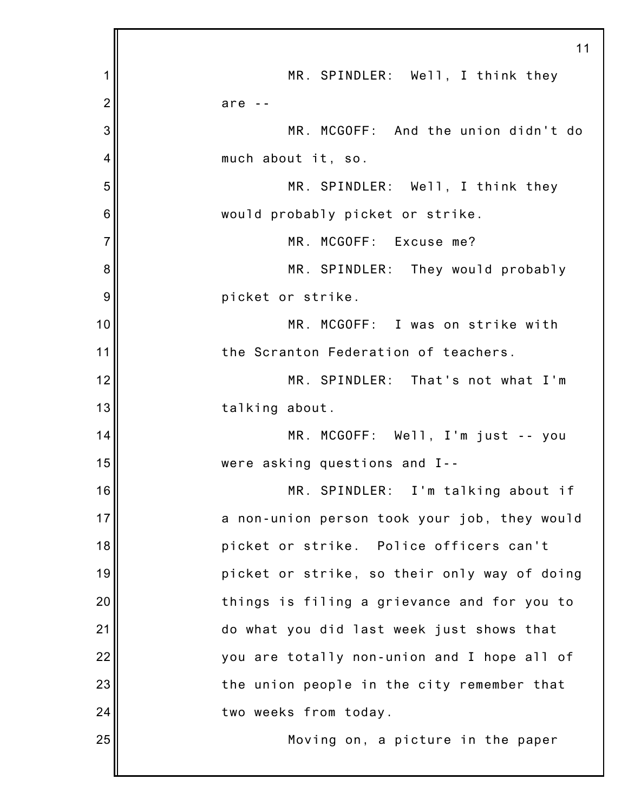|                | 11                                           |
|----------------|----------------------------------------------|
| 1              | MR. SPINDLER: Well, I think they             |
| $\overline{2}$ | are $-$                                      |
| 3              | MR. MCGOFF: And the union didn't do          |
| 4              | much about it, so.                           |
| 5              | MR. SPINDLER: Well, I think they             |
| 6              | would probably picket or strike.             |
| $\overline{7}$ | MR. MCGOFF: Excuse me?                       |
| 8              | MR. SPINDLER: They would probably            |
| 9              | picket or strike.                            |
| 10             | MR. MCGOFF: I was on strike with             |
| 11             | the Scranton Federation of teachers.         |
| 12             | MR. SPINDLER: That's not what I'm            |
| 13             | talking about.                               |
| 14             | MR. MCGOFF: Well, I'm just -- you            |
| 15             | were asking questions and I--                |
| 16             | MR. SPINDLER: I'm talking about if           |
| 17             | a non-union person took your job, they would |
| 18             | picket or strike. Police officers can't      |
| 19             | picket or strike, so their only way of doing |
| 20             | things is filing a grievance and for you to  |
| 21             | do what you did last week just shows that    |
| 22             | you are totally non-union and I hope all of  |
| 23             | the union people in the city remember that   |
| 24             | two weeks from today.                        |
| 25             | Moving on, a picture in the paper            |
|                |                                              |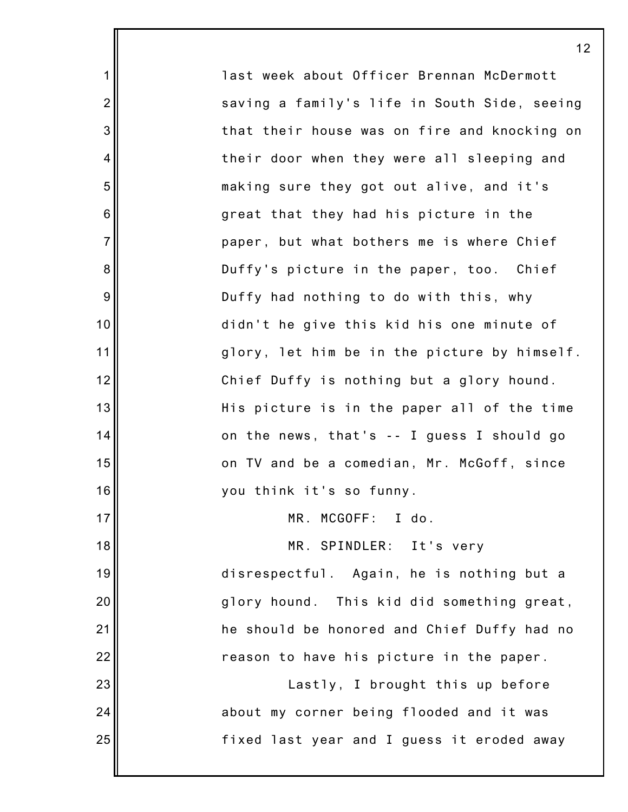last week about Officer Brennan McDermott saving a family's life in South Side, seeing that their house was on fire and knocking on their door when they were all sleeping and making sure they got out alive, and it's great that they had his picture in the paper, but what bothers me is where Chief Duffy's picture in the paper, too. Chief Duffy had nothing to do with this, why didn't he give this kid his one minute of glory, let him be in the picture by himself. Chief Duffy is nothing but a glory hound. His picture is in the paper all of the time on the news, that's -- I guess I should go on TV and be a comedian, Mr. McGoff, since you think it's so funny. MR. MCGOFF: I do. MR. SPINDLER: It's very disrespectful. Again, he is nothing but a glory hound. This kid did something great, he should be honored and Chief Duffy had no reason to have his picture in the paper. Lastly, I brought this up before

1

2

3

4

5

6

7

8

9

10

11

12

13

14

15

16

17

18

19

20

21

22

23

24

25

about my corner being flooded and it was fixed last year and I guess it eroded away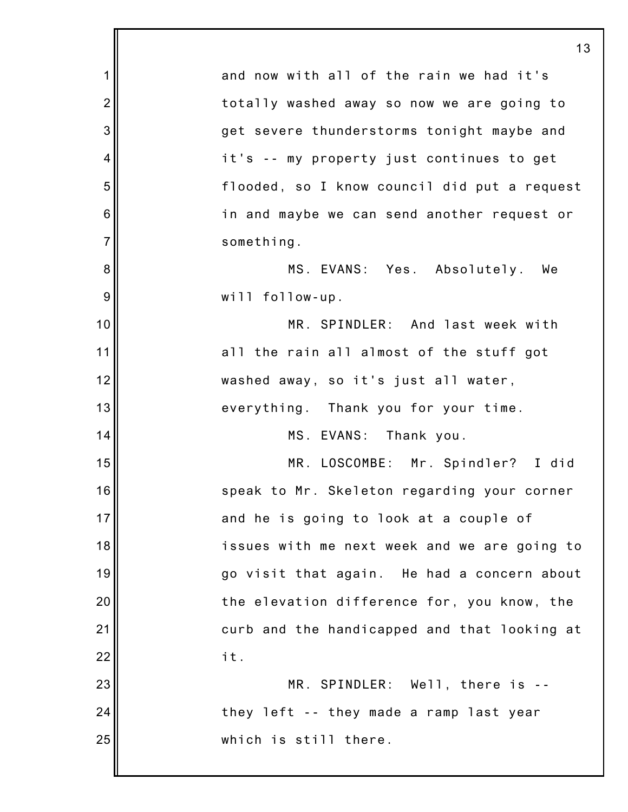|                | 13                                           |
|----------------|----------------------------------------------|
| 1              | and now with all of the rain we had it's     |
| $\overline{2}$ | totally washed away so now we are going to   |
| 3              | get severe thunderstorms tonight maybe and   |
| 4              | it's -- my property just continues to get    |
| 5              | flooded, so I know council did put a request |
| 6              | in and maybe we can send another request or  |
| $\overline{7}$ | something.                                   |
| 8              | MS. EVANS: Yes. Absolutely. We               |
| 9              | will follow-up.                              |
| 10             | MR. SPINDLER: And last week with             |
| 11             | all the rain all almost of the stuff got     |
| 12             | washed away, so it's just all water,         |
| 13             | everything. Thank you for your time.         |
| 14             | MS. EVANS: Thank you.                        |
| 15             | MR. LOSCOMBE: Mr. Spindler? I did            |
| 16             | speak to Mr. Skeleton regarding your corner  |
| 17             | and he is going to look at a couple of       |
| 18             | issues with me next week and we are going to |
| 19             | go visit that again. He had a concern about  |
| 20             | the elevation difference for, you know, the  |
| 21             | curb and the handicapped and that looking at |
| 22             | it.                                          |
| 23             | MR. SPINDLER: Well, there is --              |
| 24             | they left -- they made a ramp last year      |
| 25             | which is still there.                        |
|                |                                              |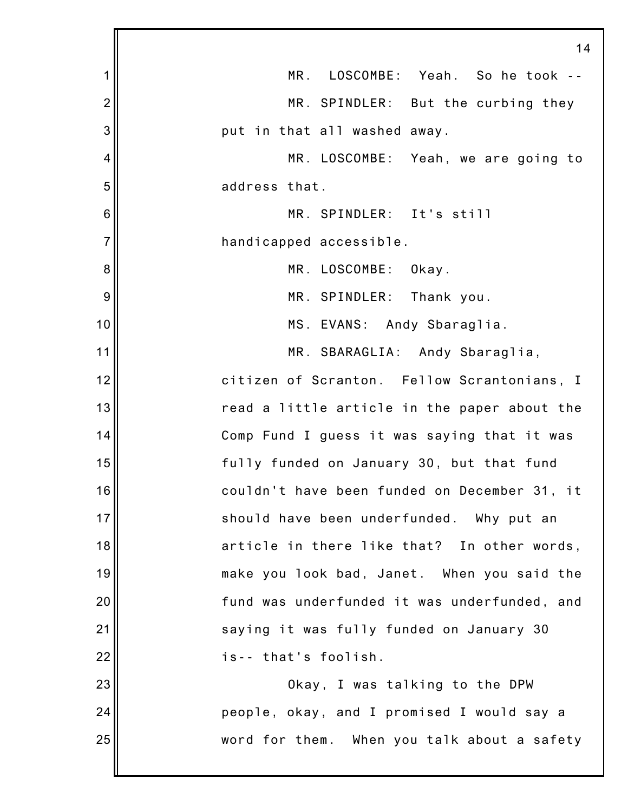|                | 14                                           |
|----------------|----------------------------------------------|
| 1              | MR. LOSCOMBE: Yeah. So he took --            |
| $\overline{2}$ | MR. SPINDLER: But the curbing they           |
| 3              | put in that all washed away.                 |
| 4              | MR. LOSCOMBE: Yeah, we are going to          |
| 5              | address that.                                |
| 6              | MR. SPINDLER: It's still                     |
| $\overline{7}$ | handicapped accessible.                      |
| 8              | MR. LOSCOMBE: Okay.                          |
| 9              | MR. SPINDLER: Thank you.                     |
| 10             | MS. EVANS: Andy Sbaraglia.                   |
| 11             | MR. SBARAGLIA: Andy Sbaraglia,               |
| 12             | citizen of Scranton. Fellow Scrantonians, I  |
| 13             | read a little article in the paper about the |
| 14             | Comp Fund I guess it was saying that it was  |
| 15             | fully funded on January 30, but that fund    |
| 16             | couldn't have been funded on December 31, it |
| 17             | should have been underfunded. Why put an     |
| 18             | article in there like that? In other words,  |
| 19             | make you look bad, Janet. When you said the  |
| 20             | fund was underfunded it was underfunded, and |
| 21             | saying it was fully funded on January 30     |
| 22             | is-- that's foolish.                         |
| 23             | Okay, I was talking to the DPW               |
| 24             | people, okay, and I promised I would say a   |
| 25             | word for them. When you talk about a safety  |
|                |                                              |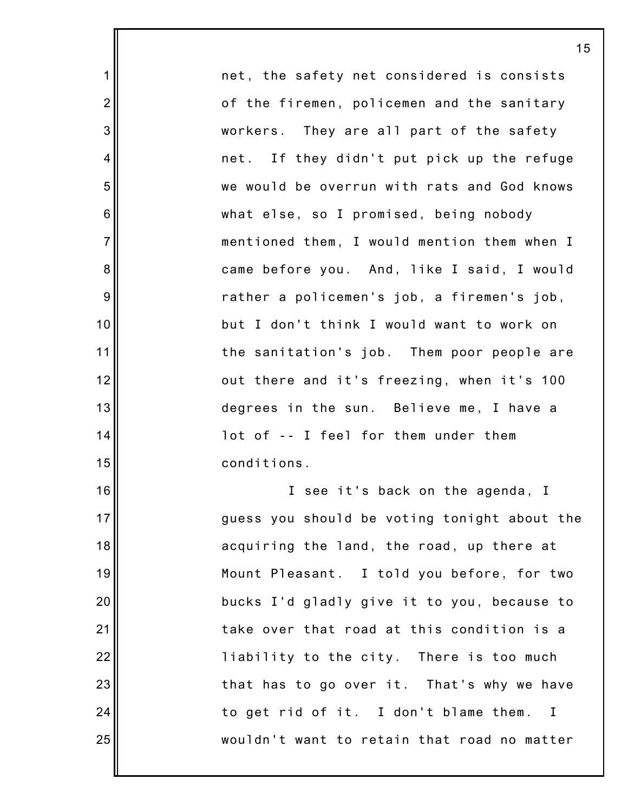net, the safety net considered is consists of the firemen, policemen and the sanitary workers. They are all part of the safety net. If they didn't put pick up the refuge we would be overrun with rats and God knows what else, so I promised, being nobody mentioned them, I would mention them when I came before you. And, like I said, I would rather a policemen's job, a firemen's job, but I don't think I would want to work on the sanitation's job. Them poor people are out there and it's freezing, when it's 100 degrees in the sun. Believe me, I have a lot of -- I feel for them under them conditions. I see it's back on the agenda, I

1

2

3

4

5

6

7

8

9

10

11

12

13

14

15

16

17

18

19

20

21

22

23

24

25

guess you should be voting tonight about the acquiring the land, the road, up there at Mount Pleasant. I told you before, for two bucks I'd gladly give it to you, because to take over that road at this condition is a liability to the city. There is too much that has to go over it. That's why we have to get rid of it. I don't blame them. I wouldn't want to retain that road no matter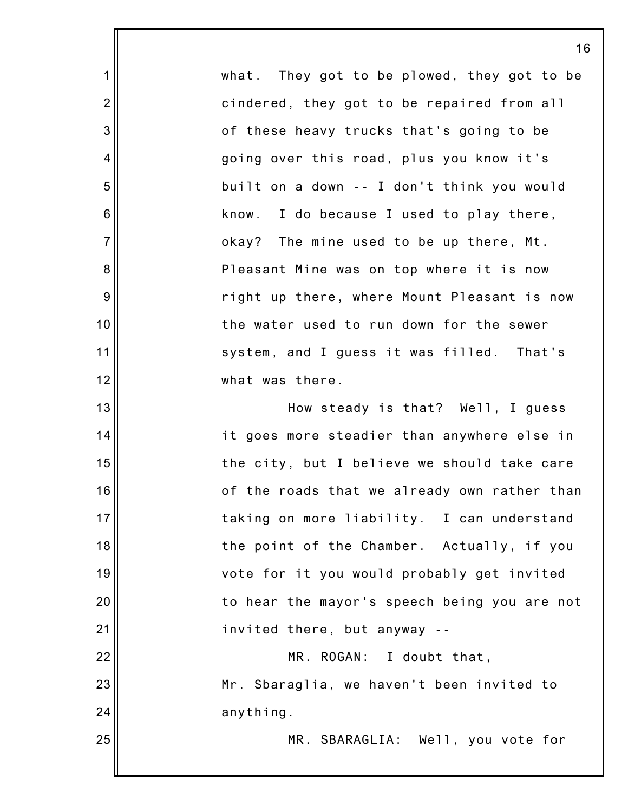what. They got to be plowed, they got to be cindered, they got to be repaired from all of these heavy trucks that's going to be going over this road, plus you know it's built on a down -- I don't think you would know. I do because I used to play there, okay? The mine used to be up there, Mt. Pleasant Mine was on top where it is now right up there, where Mount Pleasant is now the water used to run down for the sewer system, and I guess it was filled. That's what was there.

1

2

3

4

5

6

7

8

9

10

11

12

13

14

15

16

17

18

19

20

21

22

23

24

25

How steady is that? Well, I guess it goes more steadier than anywhere else in the city, but I believe we should take care of the roads that we already own rather than taking on more liability. I can understand the point of the Chamber. Actually, if you vote for it you would probably get invited to hear the mayor's speech being you are not invited there, but anyway -- MR. ROGAN: I doubt that,

> Mr. Sbaraglia, we haven't been invited to anything.

> > MR. SBARAGLIA: Well, you vote for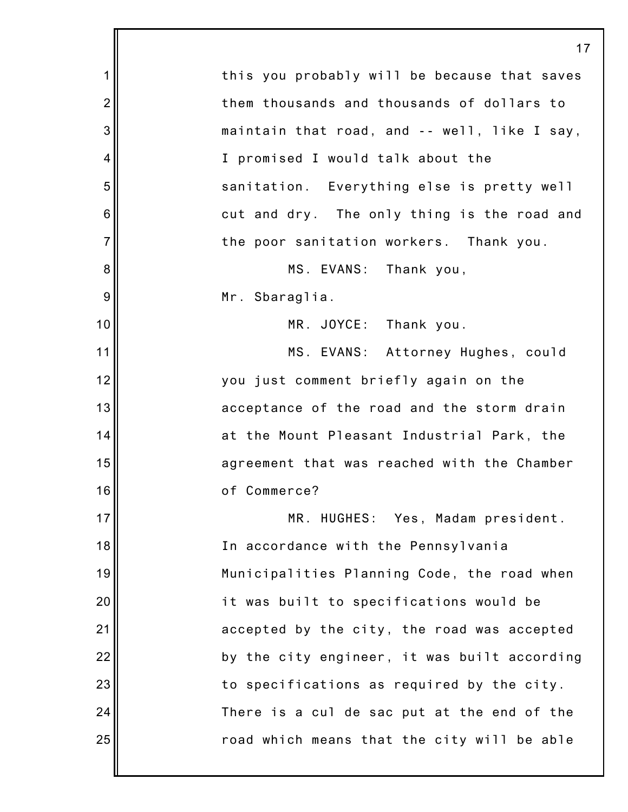|                | 17                                           |
|----------------|----------------------------------------------|
| 1              | this you probably will be because that saves |
| $\overline{2}$ | them thousands and thousands of dollars to   |
| 3              | maintain that road, and -- well, like I say, |
| 4              | I promised I would talk about the            |
| 5              | sanitation. Everything else is pretty well   |
| 6              | cut and dry. The only thing is the road and  |
| $\overline{7}$ | the poor sanitation workers. Thank you.      |
| 8              | MS. EVANS: Thank you,                        |
| 9              | Mr. Sbaraglia.                               |
| 10             | MR. JOYCE: Thank you.                        |
| 11             | MS. EVANS: Attorney Hughes, could            |
| 12             | you just comment briefly again on the        |
| 13             | acceptance of the road and the storm drain   |
| 14             | at the Mount Pleasant Industrial Park, the   |
| 15             | agreement that was reached with the Chamber  |
| 16             | of Commerce?                                 |
| 17             | MR. HUGHES: Yes, Madam president.            |
| 18             | In accordance with the Pennsylvania          |
| 19             | Municipalities Planning Code, the road when  |
| 20             | it was built to specifications would be      |
| 21             | accepted by the city, the road was accepted  |
| 22             | by the city engineer, it was built according |
| 23             | to specifications as required by the city.   |
| 24             | There is a cul de sac put at the end of the  |
| 25             | road which means that the city will be able  |
|                |                                              |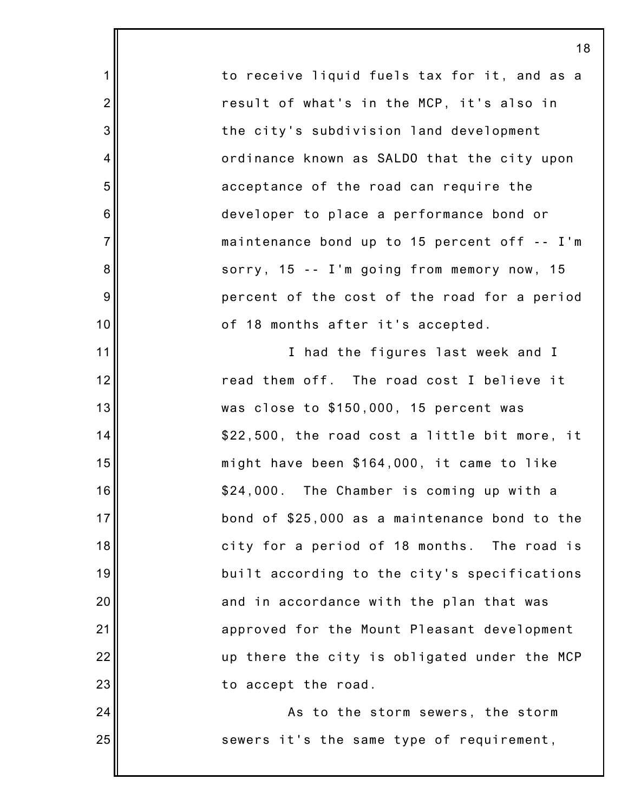to receive liquid fuels tax for it, and as a result of what's in the MCP, it's also in the city's subdivision land development ordinance known as SALDO that the city upon acceptance of the road can require the developer to place a performance bond or maintenance bond up to 15 percent off -- I'm sorry, 15 -- I'm going from memory now, 15 percent of the cost of the road for a period of 18 months after it's accepted.

1

2

3

4

5

6

7

8

9

10

11

12

13

14

15

16

17

18

19

20

21

22

23

24

25

I had the figures last week and I read them off. The road cost I believe it was close to \$150,000, 15 percent was \$22,500, the road cost a little bit more, it might have been \$164,000, it came to like \$24,000. The Chamber is coming up with a bond of \$25,000 as a maintenance bond to the city for a period of 18 months. The road is built according to the city's specifications and in accordance with the plan that was approved for the Mount Pleasant development up there the city is obligated under the MCP to accept the road.

As to the storm sewers, the storm sewers it's the same type of requirement,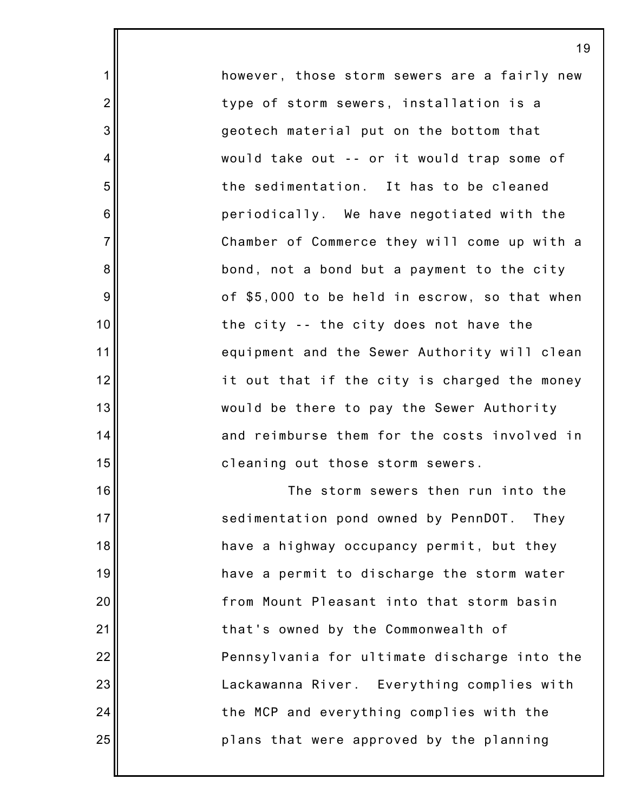however, those storm sewers are a fairly new type of storm sewers, installation is a geotech material put on the bottom that would take out -- or it would trap some of the sedimentation. It has to be cleaned periodically. We have negotiated with the Chamber of Commerce they will come up with a bond, not a bond but a payment to the city of \$5,000 to be held in escrow, so that when the city -- the city does not have the equipment and the Sewer Authority will clean it out that if the city is charged the money would be there to pay the Sewer Authority and reimburse them for the costs involved in cleaning out those storm sewers.

1

2

3

4

5

6

7

8

9

10

11

12

13

14

15

16

17

18

19

20

21

22

23

24

25

The storm sewers then run into the sedimentation pond owned by PennDOT. They have a highway occupancy permit, but they have a permit to discharge the storm water from Mount Pleasant into that storm basin that's owned by the Commonwealth of Pennsylvania for ultimate discharge into the Lackawanna River. Everything complies with the MCP and everything complies with the plans that were approved by the planning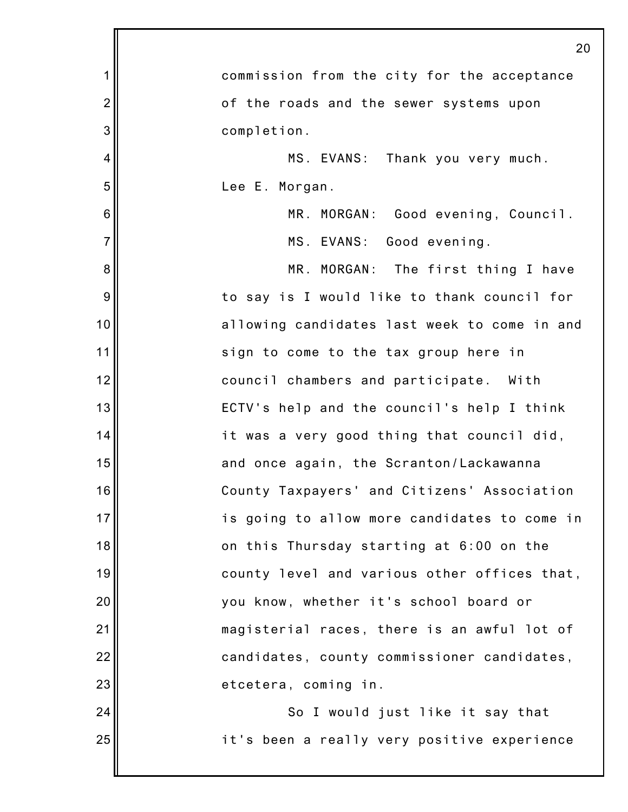|                  | 20                                           |
|------------------|----------------------------------------------|
| 1                | commission from the city for the acceptance  |
| $\overline{2}$   | of the roads and the sewer systems upon      |
| 3                | completion.                                  |
| 4                | MS. EVANS: Thank you very much.              |
| 5                | Lee E. Morgan.                               |
| $\,6$            | MR. MORGAN: Good evening, Council.           |
| $\overline{7}$   | MS. EVANS: Good evening.                     |
| 8                | MR. MORGAN: The first thing I have           |
| $\boldsymbol{9}$ | to say is I would like to thank council for  |
| 10               | allowing candidates last week to come in and |
| 11               | sign to come to the tax group here in        |
| 12               | council chambers and participate. With       |
| 13               | ECTV's help and the council's help I think   |
| 14               | it was a very good thing that council did,   |
| 15               | and once again, the Scranton/Lackawanna      |
| 16               | County Taxpayers' and Citizens' Association  |
| 17               | is going to allow more candidates to come in |
| 18               | on this Thursday starting at 6:00 on the     |
| 19               | county level and various other offices that, |
| 20               | you know, whether it's school board or       |
| 21               | magisterial races, there is an awful lot of  |
| 22               | candidates, county commissioner candidates,  |
| 23               | etcetera, coming in.                         |
| 24               | So I would just like it say that             |
| 25               | it's been a really very positive experience  |
|                  |                                              |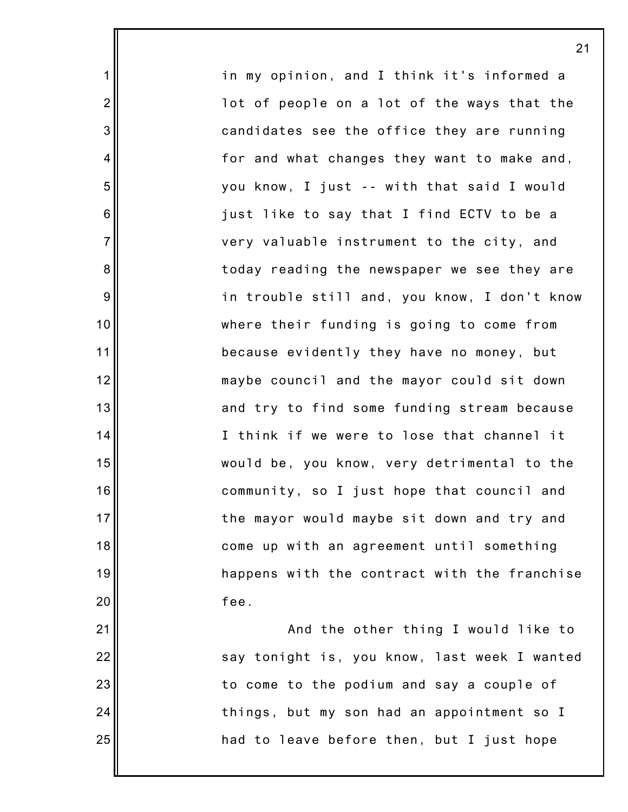in my opinion, and I think it's informed a lot of people on a lot of the ways that the candidates see the office they are running for and what changes they want to make and, you know, I just -- with that said I would just like to say that I find ECTV to be a very valuable instrument to the city, and today reading the newspaper we see they are in trouble still and, you know, I don't know where their funding is going to come from because evidently they have no money, but maybe council and the mayor could sit down and try to find some funding stream because I think if we were to lose that channel it would be, you know, very detrimental to the community, so I just hope that council and the mayor would maybe sit down and try and come up with an agreement until something happens with the contract with the franchise fee.

1

2

3

4

5

6

7

8

9

10

11

12

13

14

15

16

17

18

19

20

21

22

23

24

25

And the other thing I would like to say tonight is, you know, last week I wanted to come to the podium and say a couple of things, but my son had an appointment so I had to leave before then, but I just hope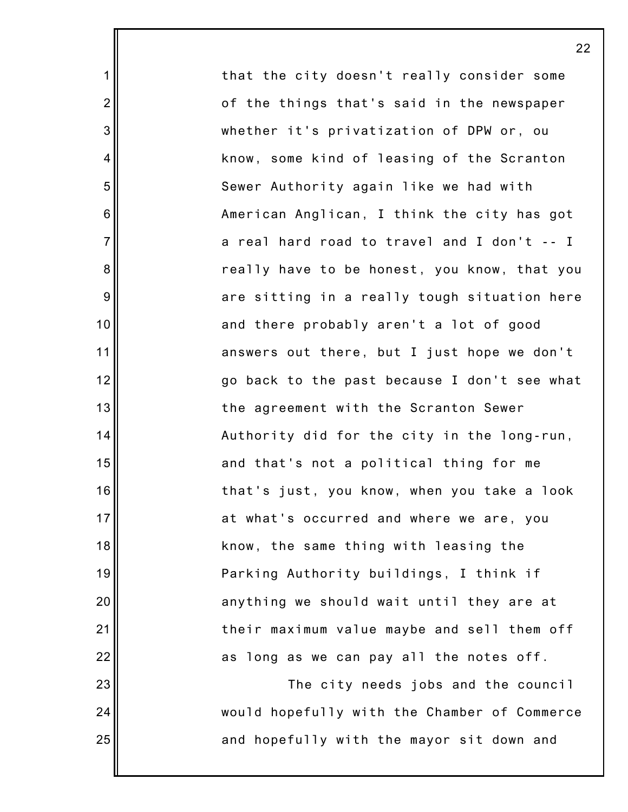that the city doesn't really consider some of the things that's said in the newspaper whether it's privatization of DPW or, ou know, some kind of leasing of the Scranton Sewer Authority again like we had with American Anglican, I think the city has got a real hard road to travel and I don't -- I really have to be honest, you know, that you are sitting in a really tough situation here and there probably aren't a lot of good answers out there, but I just hope we don't go back to the past because I don't see what the agreement with the Scranton Sewer Authority did for the city in the long-run, and that's not a political thing for me that's just, you know, when you take a look at what's occurred and where we are, you know, the same thing with leasing the Parking Authority buildings, I think if anything we should wait until they are at their maximum value maybe and sell them off as long as we can pay all the notes off.

1

2

3

4

5

6

7

8

9

10

11

12

13

14

15

16

17

18

19

20

21

22

23

24

25

The city needs jobs and the council would hopefully with the Chamber of Commerce and hopefully with the mayor sit down and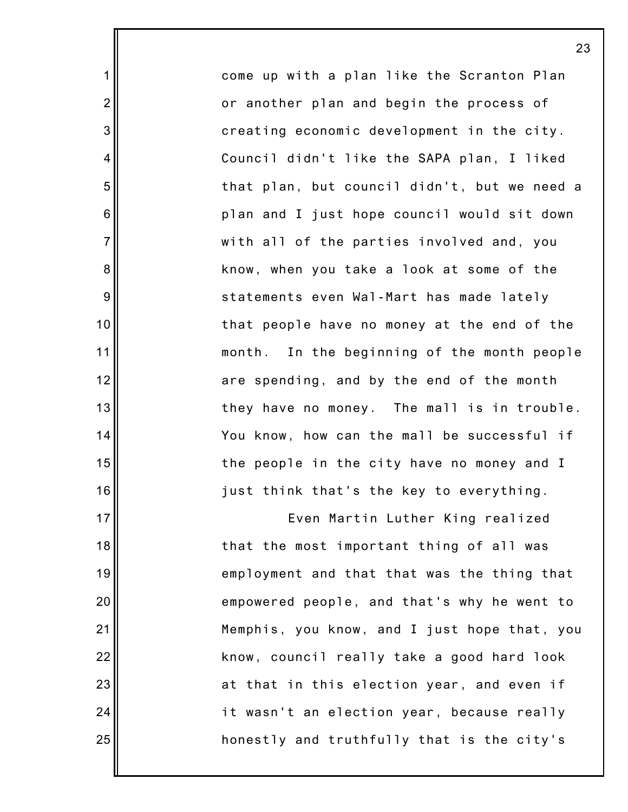come up with a plan like the Scranton Plan or another plan and begin the process of creating economic development in the city. Council didn't like the SAPA plan, I liked that plan, but council didn't, but we need a plan and I just hope council would sit down with all of the parties involved and, you know, when you take a look at some of the statements even Wal-Mart has made lately that people have no money at the end of the month. In the beginning of the month people are spending, and by the end of the month they have no money. The mall is in trouble. You know, how can the mall be successful if the people in the city have no money and I just think that's the key to everything.

1

2

3

4

5

6

7

8

9

10

11

12

13

14

15

16

17

18

19

20

21

22

23

24

25

Even Martin Luther King realized that the most important thing of all was employment and that that was the thing that empowered people, and that's why he went to Memphis, you know, and I just hope that, you know, council really take a good hard look at that in this election year, and even if it wasn't an election year, because really honestly and truthfully that is the city's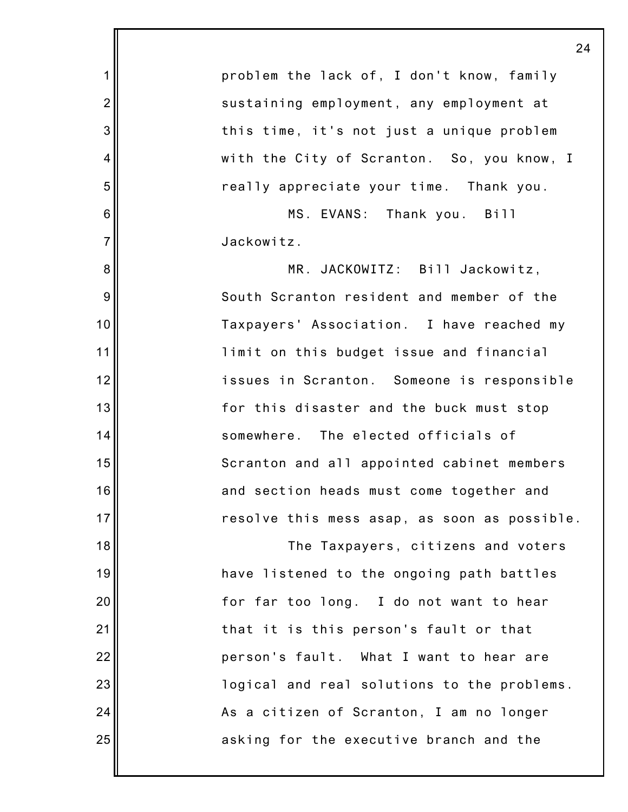1 2 3 4 5 6 7 8 9 10 11 12 13 14 15 16 17 18 19 20 21 22 23 24 25 problem the lack of, I don't know, family sustaining employment, any employment at this time, it's not just a unique problem with the City of Scranton. So, you know, I really appreciate your time. Thank you. MS. EVANS: Thank you. Bill Jackowitz. MR. JACKOWITZ: Bill Jackowitz, South Scranton resident and member of the Taxpayers' Association. I have reached my limit on this budget issue and financial issues in Scranton. Someone is responsible for this disaster and the buck must stop somewhere. The elected officials of Scranton and all appointed cabinet members and section heads must come together and resolve this mess asap, as soon as possible. The Taxpayers, citizens and voters have listened to the ongoing path battles for far too long. I do not want to hear that it is this person's fault or that person's fault. What I want to hear are logical and real solutions to the problems. As a citizen of Scranton, I am no longer asking for the executive branch and the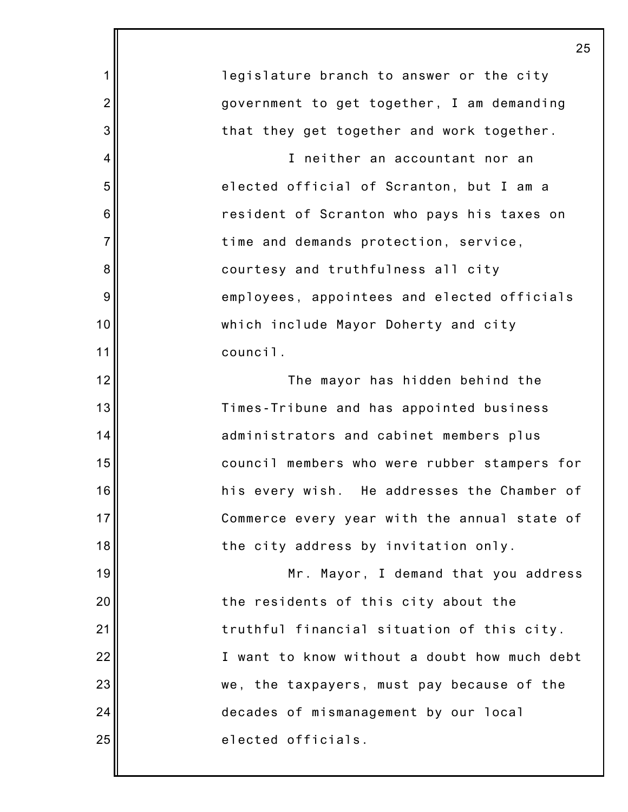|                | 2٤                                           |
|----------------|----------------------------------------------|
| 1              | legislature branch to answer or the city     |
| $\overline{2}$ | government to get together, I am demanding   |
| 3              | that they get together and work together.    |
| 4              | I neither an accountant nor an               |
| 5              | elected official of Scranton, but I am a     |
| 6              | resident of Scranton who pays his taxes on   |
| $\overline{7}$ | time and demands protection, service,        |
| 8              | courtesy and truthfulness all city           |
| 9              | employees, appointees and elected officials  |
| 10             | which include Mayor Doherty and city         |
| 11             | council.                                     |
| 12             | The mayor has hidden behind the              |
| 13             | Times-Tribune and has appointed business     |
| 14             | administrators and cabinet members plus      |
| 15             | council members who were rubber stampers for |
| 16             | his every wish. He addresses the Chamber of  |
| 17             | Commerce every year with the annual state of |
| 18             | the city address by invitation only.         |
| 19             | Mr. Mayor, I demand that you address         |
| 20             | the residents of this city about the         |
| 21             | truthful financial situation of this city.   |
| 22             | I want to know without a doubt how much debt |
| 23             | we, the taxpayers, must pay because of the   |
| 24             | decades of mismanagement by our local        |
| 25             | elected officials.                           |
|                |                                              |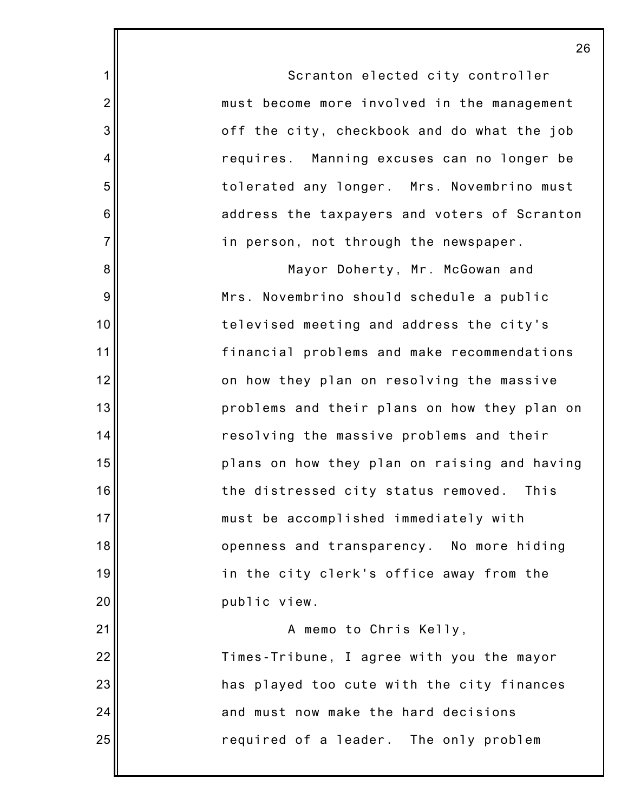1 2 3 4 5 6 7 8 9 10 11 12 13 14 15 16 17 18 19 20 21 22 23 24 25 26 Scranton elected city controller must become more involved in the management off the city, checkbook and do what the job requires. Manning excuses can no longer be tolerated any longer. Mrs. Novembrino must address the taxpayers and voters of Scranton in person, not through the newspaper. Mayor Doherty, Mr. McGowan and Mrs. Novembrino should schedule a public televised meeting and address the city's financial problems and make recommendations on how they plan on resolving the massive problems and their plans on how they plan on resolving the massive problems and their plans on how they plan on raising and having the distressed city status removed. This must be accomplished immediately with openness and transparency. No more hiding in the city clerk's office away from the public view. A memo to Chris Kelly, Times-Tribune, I agree with you the mayor has played too cute with the city finances and must now make the hard decisions required of a leader. The only problem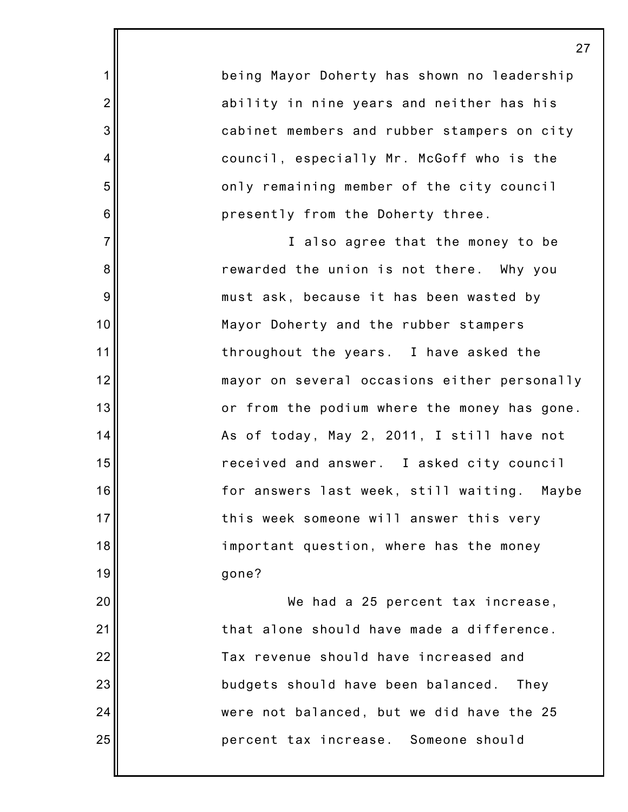being Mayor Doherty has shown no leadership ability in nine years and neither has his cabinet members and rubber stampers on city council, especially Mr. McGoff who is the only remaining member of the city council presently from the Doherty three.

1

2

3

4

5

6

7

8

9

10

11

12

13

14

15

16

17

18

19

20

21

22

23

24

25

I also agree that the money to be rewarded the union is not there. Why you must ask, because it has been wasted by Mayor Doherty and the rubber stampers throughout the years. I have asked the mayor on several occasions either personally or from the podium where the money has gone. As of today, May 2, 2011, I still have not received and answer. I asked city council for answers last week, still waiting. Maybe this week someone will answer this very important question, where has the money gone?

We had a 25 percent tax increase, that alone should have made a difference. Tax revenue should have increased and budgets should have been balanced. They were not balanced, but we did have the 25 percent tax increase. Someone should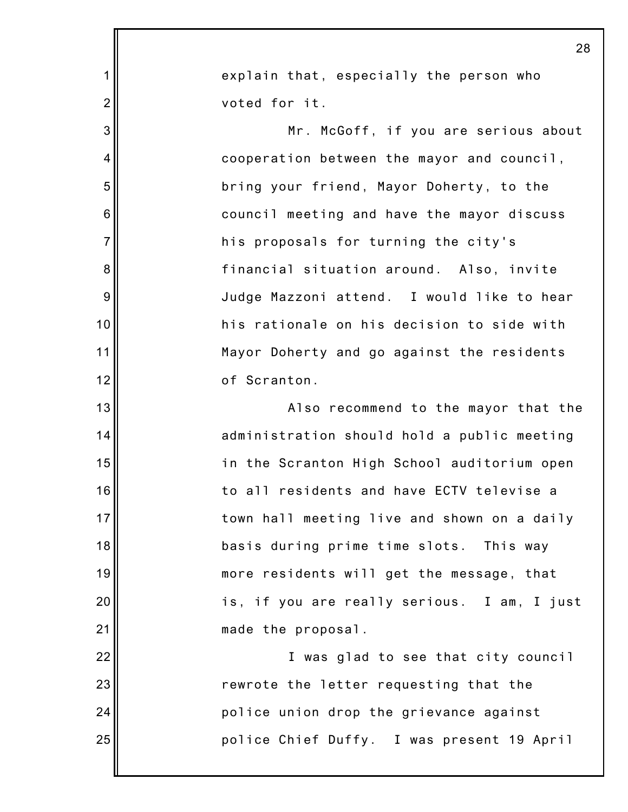|                  | 28                                          |
|------------------|---------------------------------------------|
| $\mathbf{1}$     | explain that, especially the person who     |
| $\overline{2}$   | voted for it.                               |
| 3                | Mr. McGoff, if you are serious about        |
| $\overline{4}$   | cooperation between the mayor and council,  |
| 5                | bring your friend, Mayor Doherty, to the    |
| $\,6$            | council meeting and have the mayor discuss  |
| $\overline{7}$   | his proposals for turning the city's        |
| 8                | financial situation around. Also, invite    |
| $\boldsymbol{9}$ | Judge Mazzoni attend. I would like to hear  |
| 10               | his rationale on his decision to side with  |
| 11               | Mayor Doherty and go against the residents  |
| 12               | of Scranton.                                |
| 13               | Also recommend to the mayor that the        |
| 14               | administration should hold a public meeting |
| 15               | in the Scranton High School auditorium open |
| 16               | to all residents and have ECTV televise a   |
| 17               | town hall meeting live and shown on a daily |
| 18               | basis during prime time slots. This way     |
| 19               | more residents will get the message, that   |
| 20               | is, if you are really serious. I am, I just |
| 21               | made the proposal.                          |
| 22               | I was glad to see that city council         |
| 23               | rewrote the letter requesting that the      |
| 24               | police union drop the grievance against     |
| 25               | police Chief Duffy. I was present 19 April  |
|                  |                                             |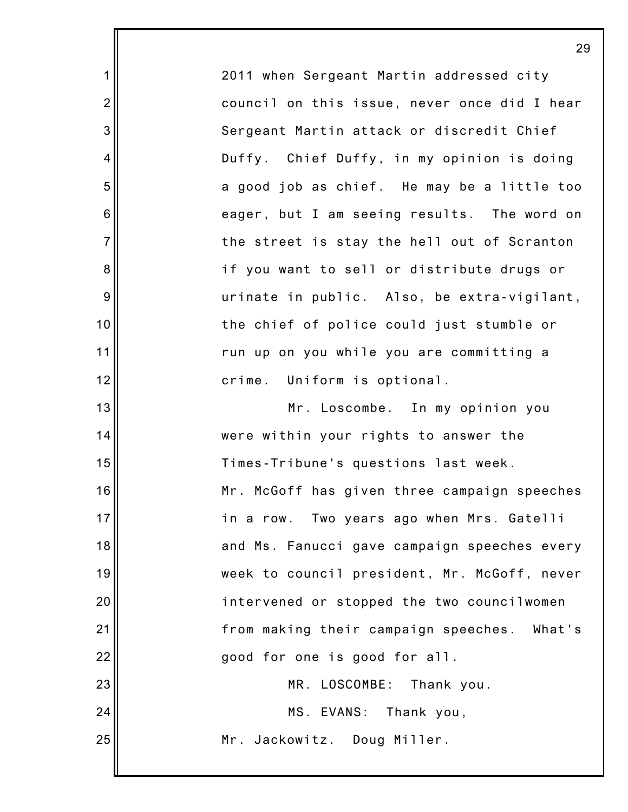2011 when Sergeant Martin addressed city council on this issue, never once did I hear Sergeant Martin attack or discredit Chief Duffy. Chief Duffy, in my opinion is doing a good job as chief. He may be a little too eager, but I am seeing results. The word on the street is stay the hell out of Scranton if you want to sell or distribute drugs or urinate in public. Also, be extra-vigilant, the chief of police could just stumble or run up on you while you are committing a crime. Uniform is optional.

1

2

3

4

5

6

7

8

9

10

11

12

13 14 15 16 17 18 19 20 21 22 23 24 25 Mr. Loscombe. In my opinion you were within your rights to answer the Times-Tribune's questions last week. Mr. McGoff has given three campaign speeches in a row. Two years ago when Mrs. Gatelli and Ms. Fanucci gave campaign speeches every week to council president, Mr. McGoff, never intervened or stopped the two councilwomen from making their campaign speeches. What's good for one is good for all. MR. LOSCOMBE: Thank you. MS. EVANS: Thank you, Mr. Jackowitz. Doug Miller.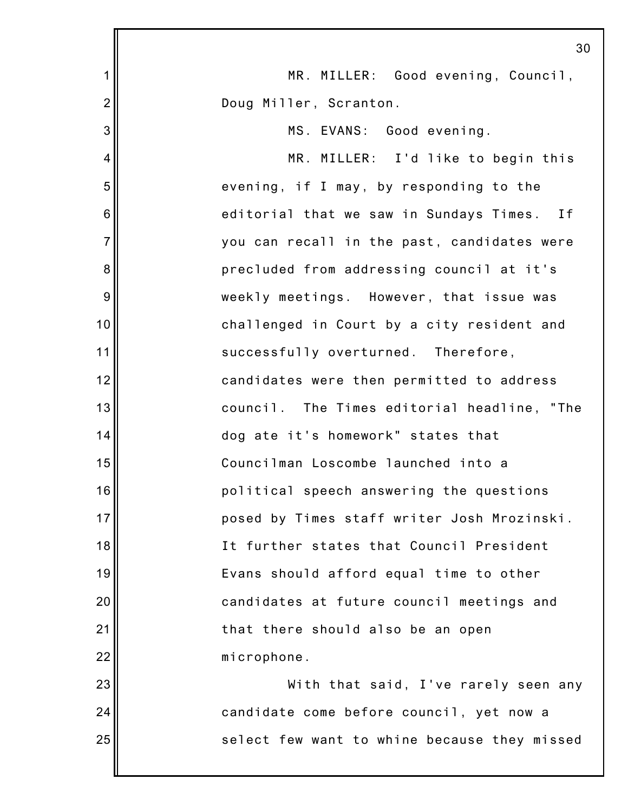|                | 30                                           |
|----------------|----------------------------------------------|
| 1              | MR. MILLER: Good evening, Council,           |
| $\overline{2}$ | Doug Miller, Scranton.                       |
| 3              | MS. EVANS: Good evening.                     |
| 4              | MR. MILLER: I'd like to begin this           |
| 5              | evening, if I may, by responding to the      |
| 6              | editorial that we saw in Sundays Times. If   |
| $\overline{7}$ | you can recall in the past, candidates were  |
| 8              | precluded from addressing council at it's    |
| 9              | weekly meetings. However, that issue was     |
| 10             | challenged in Court by a city resident and   |
| 11             | successfully overturned. Therefore,          |
| 12             | candidates were then permitted to address    |
| 13             | council. The Times editorial headline, "The  |
| 14             | dog ate it's homework" states that           |
| 15             | Councilman Loscombe launched into a          |
| 16             | political speech answering the questions     |
| 17             | posed by Times staff writer Josh Mrozinski.  |
| 18             | It further states that Council President     |
| 19             | Evans should afford equal time to other      |
| 20             | candidates at future council meetings and    |
| 21             | that there should also be an open            |
| 22             | microphone.                                  |
| 23             | With that said, I've rarely seen any         |
| 24             | candidate come before council, yet now a     |
| 25             | select few want to whine because they missed |
|                |                                              |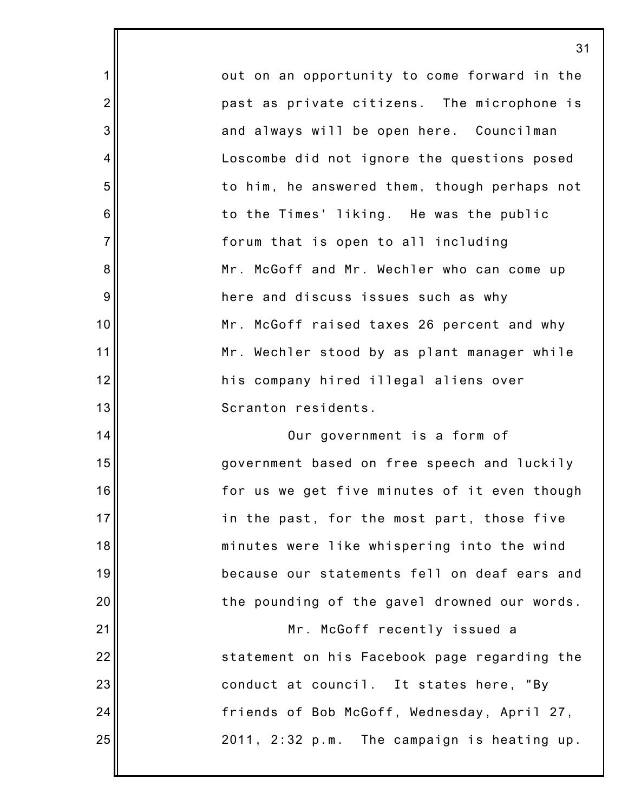out on an opportunity to come forward in the past as private citizens. The microphone is and always will be open here. Councilman Loscombe did not ignore the questions posed to him, he answered them, though perhaps not to the Times' liking. He was the public forum that is open to all including Mr. McGoff and Mr. Wechler who can come up here and discuss issues such as why Mr. McGoff raised taxes 26 percent and why Mr. Wechler stood by as plant manager while his company hired illegal aliens over Scranton residents.

1

2

3

4

5

6

7

8

9

10

11

12

13

14

15

16

17

18

19

20

21

22

23

24

25

Our government is a form of government based on free speech and luckily for us we get five minutes of it even though in the past, for the most part, those five minutes were like whispering into the wind because our statements fell on deaf ears and the pounding of the gavel drowned our words.

Mr. McGoff recently issued a statement on his Facebook page regarding the conduct at council. It states here, "By friends of Bob McGoff, Wednesday, April 27, 2011, 2:32 p.m. The campaign is heating up.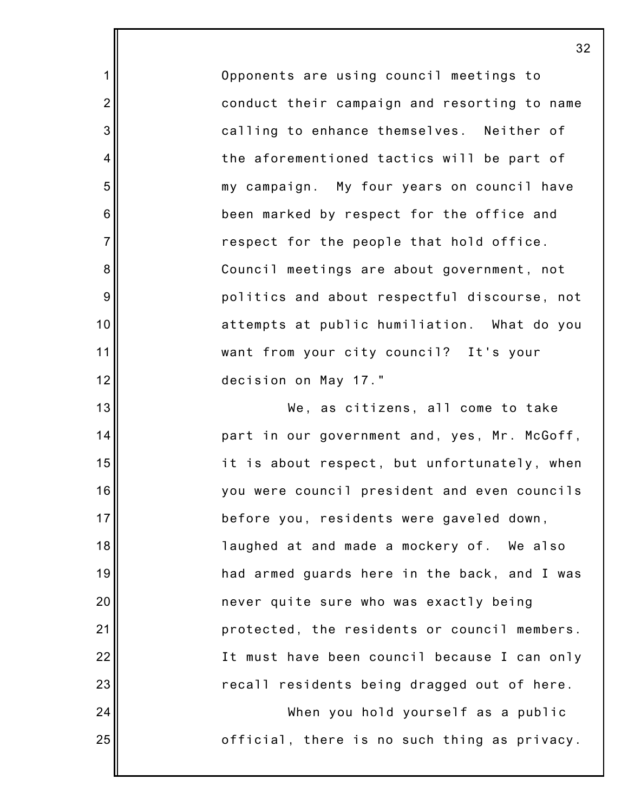Opponents are using council meetings to conduct their campaign and resorting to name calling to enhance themselves. Neither of the aforementioned tactics will be part of my campaign. My four years on council have been marked by respect for the office and respect for the people that hold office. Council meetings are about government, not politics and about respectful discourse, not attempts at public humiliation. What do you want from your city council? It's your decision on May 17."

1

2

3

4

5

6

7

8

9

10

11

12

13

14

15

16

17

18

19

20

21

22

23

24

25

We, as citizens, all come to take part in our government and, yes, Mr. McGoff, it is about respect, but unfortunately, when you were council president and even councils before you, residents were gaveled down, laughed at and made a mockery of. We also had armed guards here in the back, and I was never quite sure who was exactly being protected, the residents or council members. It must have been council because I can only recall residents being dragged out of here. When you hold yourself as a public official, there is no such thing as privacy.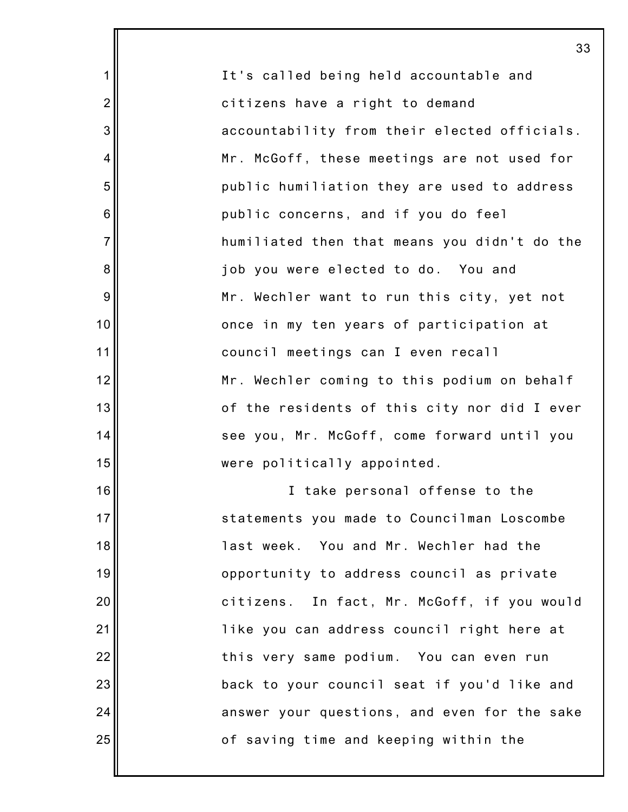|                  | 3 <sup>′</sup>                               |
|------------------|----------------------------------------------|
| $\mathbf{1}$     | It's called being held accountable and       |
| $\overline{2}$   | citizens have a right to demand              |
| 3                | accountability from their elected officials. |
| 4                | Mr. McGoff, these meetings are not used for  |
| 5                | public humiliation they are used to address  |
| $6\phantom{1}6$  | public concerns, and if you do feel          |
| $\overline{7}$   | humiliated then that means you didn't do the |
| $\bf 8$          | job you were elected to do. You and          |
| $\boldsymbol{9}$ | Mr. Wechler want to run this city, yet not   |
| 10               | once in my ten years of participation at     |
| 11               | council meetings can I even recall           |
| 12               | Mr. Wechler coming to this podium on behalf  |
| 13               | of the residents of this city nor did I ever |
| 14               | see you, Mr. McGoff, come forward until you  |
| 15               | were politically appointed.                  |
| 16               | I take personal offense to the               |
| 17               | statements you made to Councilman Loscombe   |
| 18               | last week. You and Mr. Wechler had the       |
| 19               | opportunity to address council as private    |
| 20               | citizens. In fact, Mr. McGoff, if you would  |
| 21               | like you can address council right here at   |
| 22               | this very same podium. You can even run      |
| 23               | back to your council seat if you'd like and  |
| 24               | answer your questions, and even for the sake |
| 25               | of saving time and keeping within the        |
|                  |                                              |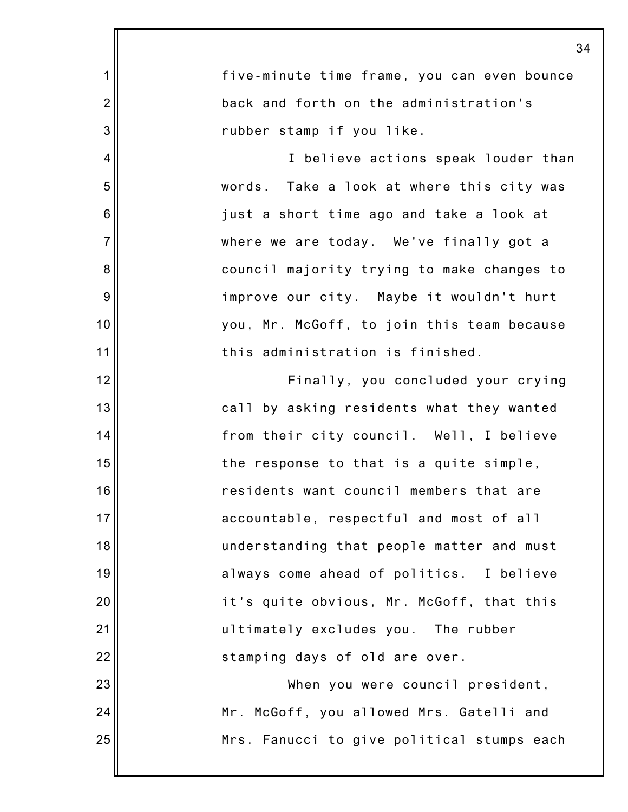| $\mathbf 1$     | five-minute time frame, you can even bounce |
|-----------------|---------------------------------------------|
| $\overline{2}$  | back and forth on the administration's      |
| 3               | rubber stamp if you like.                   |
| 4               | I believe actions speak louder than         |
| 5               | words. Take a look at where this city was   |
| $6\phantom{1}6$ | just a short time ago and take a look at    |
| $\overline{7}$  | where we are today. We've finally got a     |
| $\bf 8$         | council majority trying to make changes to  |
| $\overline{9}$  | improve our city. Maybe it wouldn't hurt    |
| 10              | you, Mr. McGoff, to join this team because  |
| 11              | this administration is finished.            |
| 12              | Finally, you concluded your crying          |
| 13              | call by asking residents what they wanted   |
| 14              | from their city council. Well, I believe    |
| 15              | the response to that is a quite simple,     |
| 16              | residents want council members that are     |
| 17              | accountable, respectful and most of all     |
| 18              | understanding that people matter and must   |
| 19              | always come ahead of politics. I believe    |
| 20              | it's quite obvious, Mr. McGoff, that this   |
| 21              | ultimately excludes you. The rubber         |
| 22              | stamping days of old are over.              |
| 23              | When you were council president,            |
| 24              | Mr. McGoff, you allowed Mrs. Gatelli and    |
| 25              | Mrs. Fanucci to give political stumps each  |
|                 |                                             |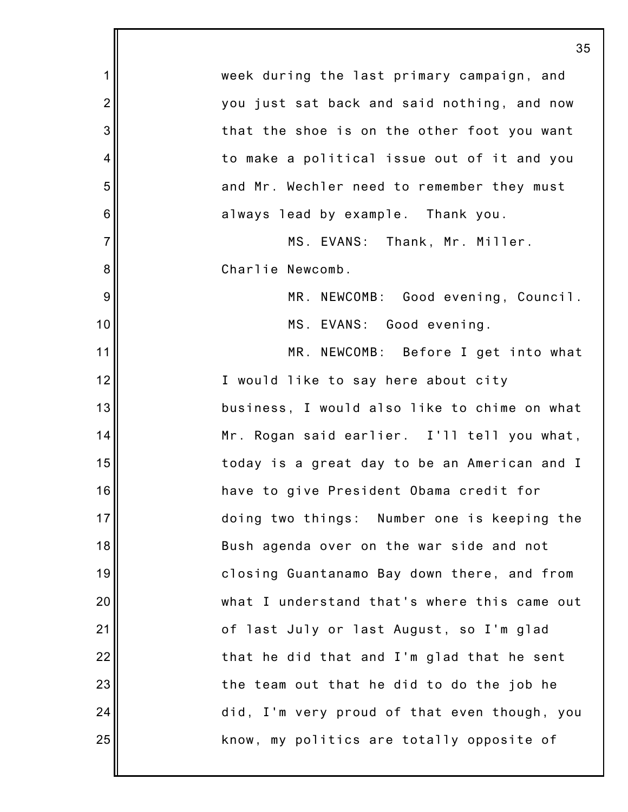|                  | 35                                           |
|------------------|----------------------------------------------|
| $\mathbf 1$      | week during the last primary campaign, and   |
| $\overline{2}$   | you just sat back and said nothing, and now  |
| $\mathbf{3}$     | that the shoe is on the other foot you want  |
| 4                | to make a political issue out of it and you  |
| $\mathbf 5$      | and Mr. Wechler need to remember they must   |
| $\,6$            | always lead by example. Thank you.           |
| $\overline{7}$   | MS. EVANS: Thank, Mr. Miller.                |
| $\bf 8$          | Charlie Newcomb.                             |
| $\boldsymbol{9}$ | MR. NEWCOMB: Good evening, Council.          |
| 10               | MS. EVANS: Good evening.                     |
| 11               | MR. NEWCOMB: Before I get into what          |
| 12               | I would like to say here about city          |
| 13               | business, I would also like to chime on what |
| 14               | Mr. Rogan said earlier. I'll tell you what,  |
| 15               | today is a great day to be an American and I |
| 16               | have to give President Obama credit for      |
| 17               | doing two things: Number one is keeping the  |
| 18               | Bush agenda over on the war side and not     |
| 19               | closing Guantanamo Bay down there, and from  |
| 20               | what I understand that's where this came out |
| 21               | of last July or last August, so I'm glad     |
| 22               | that he did that and I'm glad that he sent   |
| 23               | the team out that he did to do the job he    |
| 24               | did, I'm very proud of that even though, you |
| 25               | know, my politics are totally opposite of    |
|                  |                                              |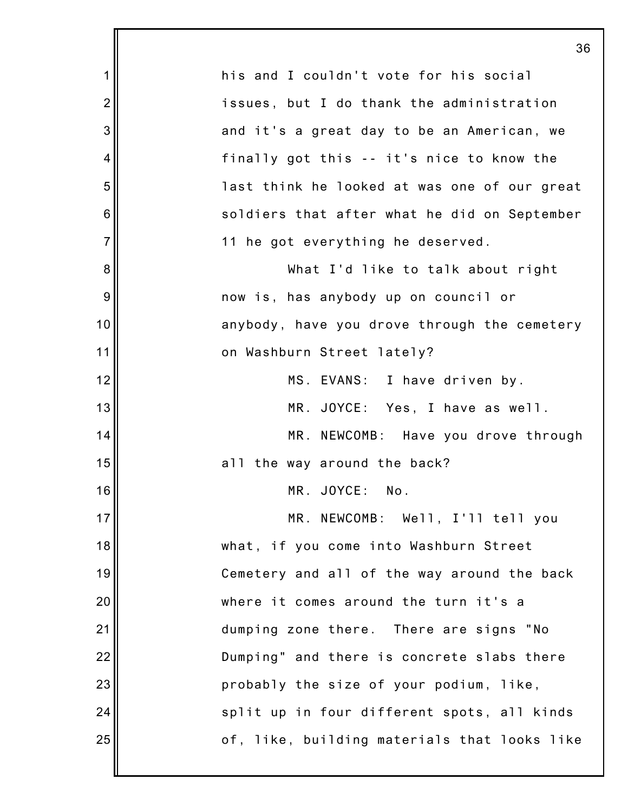|                | 36                                           |
|----------------|----------------------------------------------|
| 1              | his and I couldn't vote for his social       |
| $\overline{2}$ | issues, but I do thank the administration    |
| 3              | and it's a great day to be an American, we   |
| 4              | finally got this -- it's nice to know the    |
| 5              | last think he looked at was one of our great |
| 6              | soldiers that after what he did on September |
| $\overline{7}$ | 11 he got everything he deserved.            |
| 8              | What I'd like to talk about right            |
| 9              | now is, has anybody up on council or         |
| 10             | anybody, have you drove through the cemetery |
| 11             | on Washburn Street lately?                   |
| 12             | MS. EVANS: I have driven by.                 |
| 13             | MR. JOYCE: Yes, I have as well.              |
| 14             | MR. NEWCOMB: Have you drove through          |
| 15             | all the way around the back?                 |
| 16             | MR. JOYCE: No.                               |
| 17             | MR. NEWCOMB: Well, I'll tell you             |
| 18             | what, if you come into Washburn Street       |
| 19             | Cemetery and all of the way around the back  |
| 20             | where it comes around the turn it's a        |
| 21             | dumping zone there. There are signs "No      |
| 22             | Dumping" and there is concrete slabs there   |
| 23             | probably the size of your podium, like,      |
| 24             | split up in four different spots, all kinds  |
| 25             | of, like, building materials that looks like |
|                |                                              |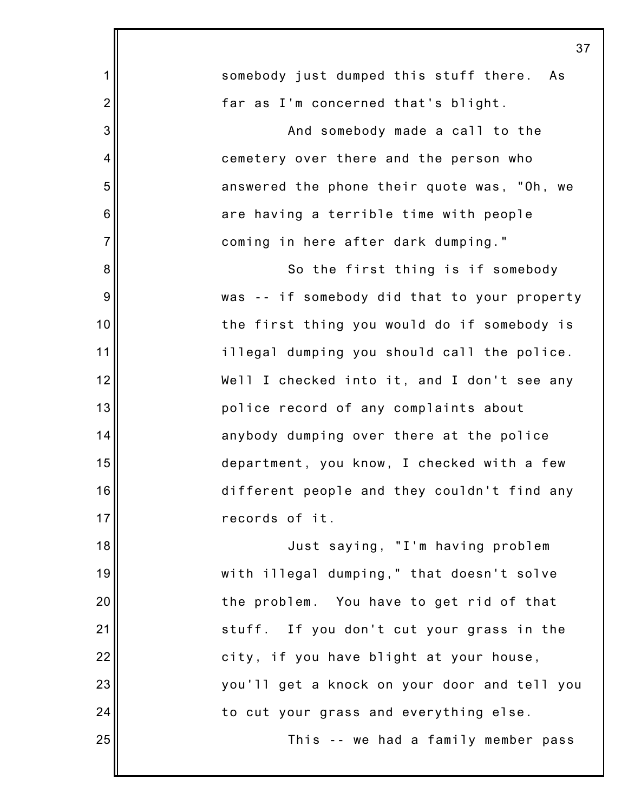|                | 37                                           |
|----------------|----------------------------------------------|
| 1              | somebody just dumped this stuff there.<br>As |
| $\overline{2}$ | far as I'm concerned that's blight.          |
| 3              | And somebody made a call to the              |
| 4              | cemetery over there and the person who       |
| 5              | answered the phone their quote was, "Oh, we  |
| 6              | are having a terrible time with people       |
| $\overline{7}$ | coming in here after dark dumping."          |
| 8              | So the first thing is if somebody            |
| 9              | was -- if somebody did that to your property |
| 10             | the first thing you would do if somebody is  |
| 11             | illegal dumping you should call the police.  |
| 12             | Well I checked into it, and I don't see any  |
| 13             | police record of any complaints about        |
| 14             | anybody dumping over there at the police     |
| 15             | department, you know, I checked with a few   |
| 16             | different people and they couldn't find any  |
| 17             | records of it.                               |
| 18             | Just saying, "I'm having problem             |
| 19             | with illegal dumping," that doesn't solve    |
| 20             | the problem. You have to get rid of that     |
| 21             | stuff. If you don't cut your grass in the    |
| 22             | city, if you have blight at your house,      |
| 23             | you'll get a knock on your door and tell you |
| 24             | to cut your grass and everything else.       |
| 25             | This -- we had a family member pass          |
|                |                                              |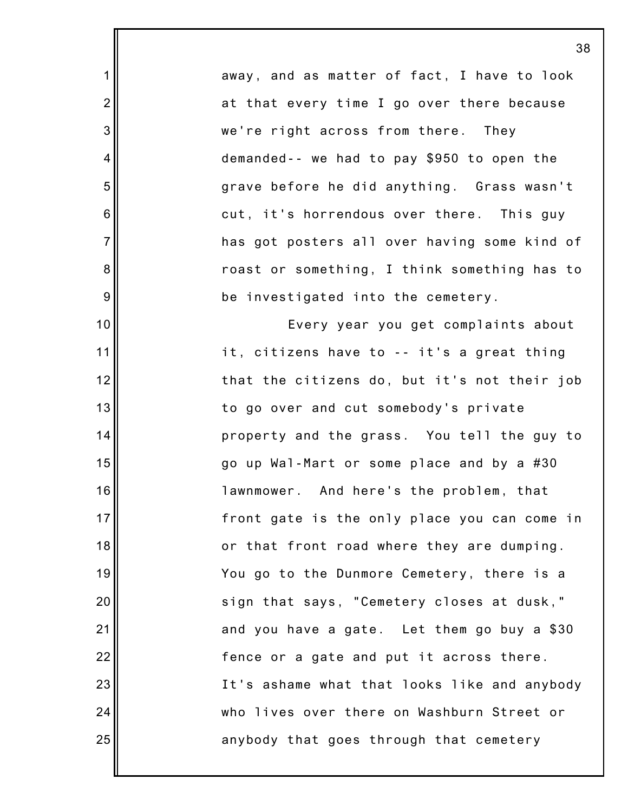away, and as matter of fact, I have to look at that every time I go over there because we're right across from there. They demanded-- we had to pay \$950 to open the grave before he did anything. Grass wasn't cut, it's horrendous over there. This guy has got posters all over having some kind of roast or something, I think something has to be investigated into the cemetery. Every year you get complaints about it, citizens have to -- it's a great thing that the citizens do, but it's not their job to go over and cut somebody's private property and the grass. You tell the guy to go up Wal-Mart or some place and by a #30 lawnmower. And here's the problem, that front gate is the only place you can come in or that front road where they are dumping. You go to the Dunmore Cemetery, there is a sign that says, "Cemetery closes at dusk," and you have a gate. Let them go buy a \$30 fence or a gate and put it across there. It's ashame what that looks like and anybody who lives over there on Washburn Street or

anybody that goes through that cemetery

1

2

3

4

5

6

7

8

9

10

11

12

13

14

15

16

17

18

19

20

21

22

23

24

25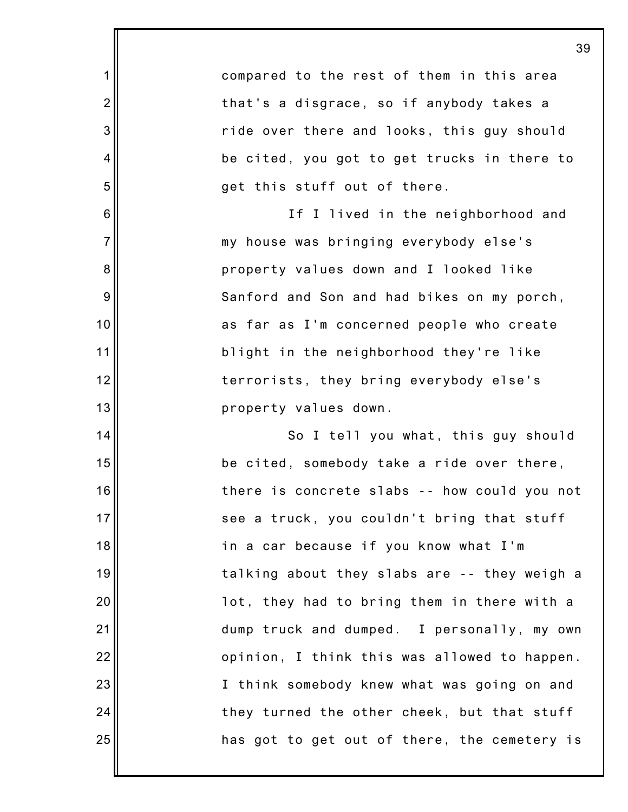compared to the rest of them in this area that's a disgrace, so if anybody takes a ride over there and looks, this guy should be cited, you got to get trucks in there to get this stuff out of there. If I lived in the neighborhood and my house was bringing everybody else's property values down and I looked like Sanford and Son and had bikes on my porch, as far as I'm concerned people who create blight in the neighborhood they're like terrorists, they bring everybody else's property values down. So I tell you what, this guy should be cited, somebody take a ride over there, there is concrete slabs -- how could you not see a truck, you couldn't bring that stuff in a car because if you know what I'm talking about they slabs are -- they weigh a lot, they had to bring them in there with a dump truck and dumped. I personally, my own opinion, I think this was allowed to happen. I think somebody knew what was going on and

they turned the other cheek, but that stuff

has got to get out of there, the cemetery is

1

2

3

4

5

6

7

8

9

10

11

12

13

14

15

16

17

18

19

20

21

22

23

24

25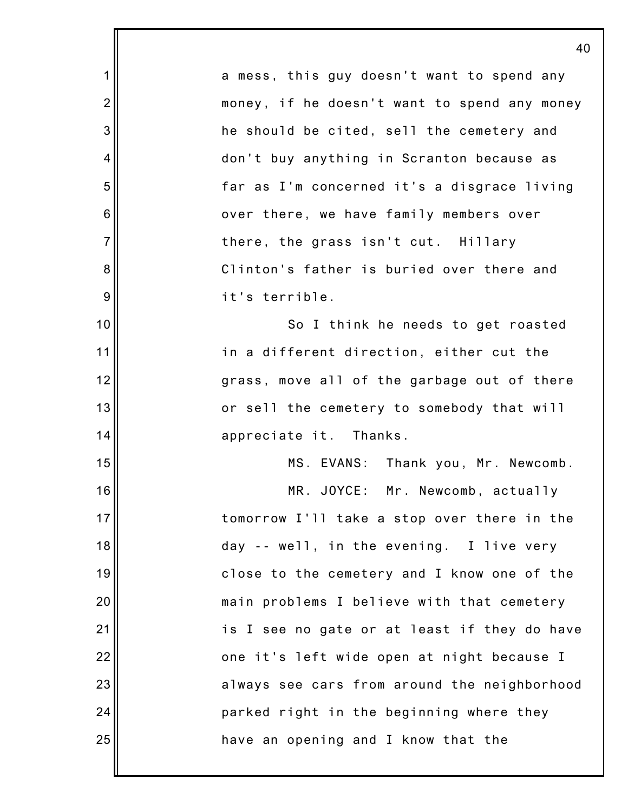1 2 3 4 5 6 7 8 9 10 11 12 13 14 15 16 17 18 19 20 21 22 23 24 25 40 a mess, this guy doesn't want to spend any money, if he doesn't want to spend any money he should be cited, sell the cemetery and don't buy anything in Scranton because as far as I'm concerned it's a disgrace living over there, we have family members over there, the grass isn't cut. Hillary Clinton's father is buried over there and it's terrible. So I think he needs to get roasted in a different direction, either cut the grass, move all of the garbage out of there or sell the cemetery to somebody that will appreciate it. Thanks. MS. EVANS: Thank you, Mr. Newcomb. MR. JOYCE: Mr. Newcomb, actually tomorrow I'll take a stop over there in the day -- well, in the evening. I live very close to the cemetery and I know one of the main problems I believe with that cemetery is I see no gate or at least if they do have one it's left wide open at night because I always see cars from around the neighborhood parked right in the beginning where they have an opening and I know that the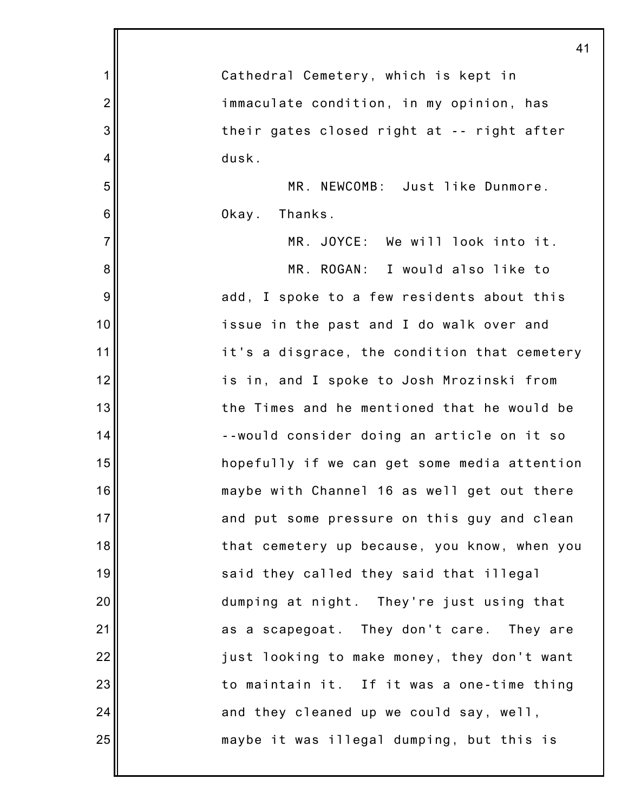|                  | 41                                           |
|------------------|----------------------------------------------|
| $\mathbf 1$      | Cathedral Cemetery, which is kept in         |
| $\overline{2}$   | immaculate condition, in my opinion, has     |
| $\mathbf{3}$     | their gates closed right at -- right after   |
| 4                | dusk.                                        |
| $\mathbf 5$      | MR. NEWCOMB: Just like Dunmore.              |
| 6                | Okay. Thanks.                                |
| $\overline{7}$   | MR. JOYCE: We will look into it.             |
| 8                | MR. ROGAN: I would also like to              |
| $\boldsymbol{9}$ | add, I spoke to a few residents about this   |
| 10               | issue in the past and I do walk over and     |
| 11               | it's a disgrace, the condition that cemetery |
| 12               | is in, and I spoke to Josh Mrozinski from    |
| 13               | the Times and he mentioned that he would be  |
| 14               | --would consider doing an article on it so   |
| 15               | hopefully if we can get some media attention |
| 16               | maybe with Channel 16 as well get out there  |
| 17               | and put some pressure on this guy and clean  |
| 18               | that cemetery up because, you know, when you |
| 19               | said they called they said that illegal      |
| 20               | dumping at night. They're just using that    |
| 21               | as a scapegoat. They don't care. They are    |
| 22               | just looking to make money, they don't want  |
| 23               | to maintain it. If it was a one-time thing   |
| 24               | and they cleaned up we could say, well,      |
| 25               | maybe it was illegal dumping, but this is    |
|                  |                                              |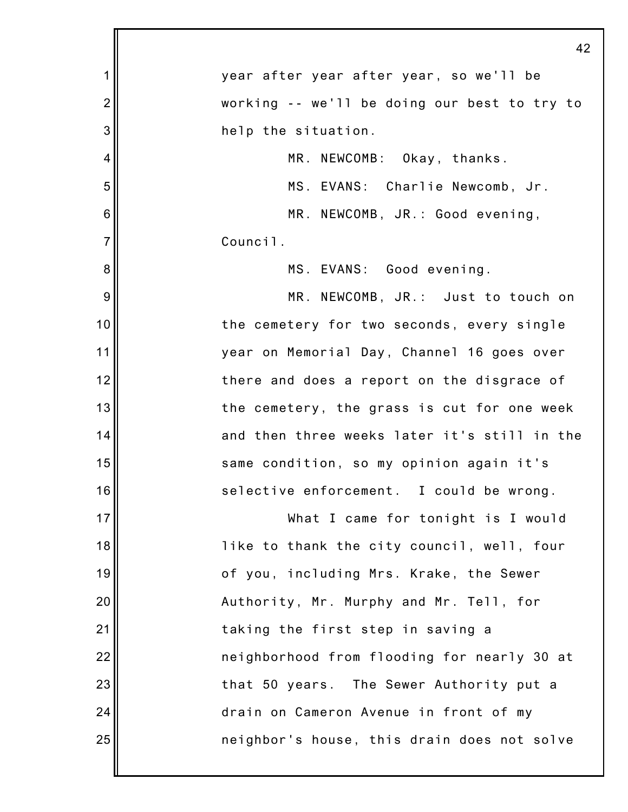|                 | 42                                           |
|-----------------|----------------------------------------------|
| 1               | year after year after year, so we'll be      |
| $\overline{2}$  | working -- we'll be doing our best to try to |
| 3               | help the situation.                          |
| 4               | MR. NEWCOMB: Okay, thanks.                   |
| 5               | MS. EVANS: Charlie Newcomb, Jr.              |
| $6\phantom{1}6$ | MR. NEWCOMB, JR.: Good evening,              |
| $\overline{7}$  | Council.                                     |
| 8               | MS. EVANS: Good evening.                     |
| 9               | MR. NEWCOMB, JR.: Just to touch on           |
| 10              | the cemetery for two seconds, every single   |
| 11              | year on Memorial Day, Channel 16 goes over   |
| 12              | there and does a report on the disgrace of   |
| 13              | the cemetery, the grass is cut for one week  |
| 14              | and then three weeks later it's still in the |
| 15              | same condition, so my opinion again it's     |
| 16              | selective enforcement. I could be wrong.     |
| 17              | What I came for tonight is I would           |
| 18              | like to thank the city council, well, four   |
| 19              | of you, including Mrs. Krake, the Sewer      |
| 20              | Authority, Mr. Murphy and Mr. Tell, for      |
| 21              | taking the first step in saving a            |
| 22              | neighborhood from flooding for nearly 30 at  |
| 23              | that 50 years. The Sewer Authority put a     |
| 24              | drain on Cameron Avenue in front of my       |
| 25              | neighbor's house, this drain does not solve  |
|                 |                                              |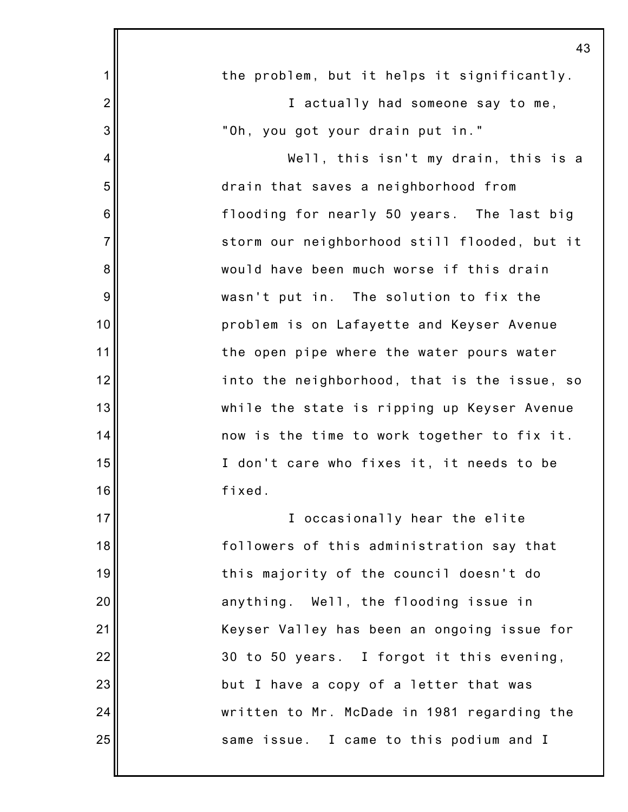|                | 43                                           |
|----------------|----------------------------------------------|
| 1              | the problem, but it helps it significantly.  |
| $\overline{c}$ | I actually had someone say to me,            |
| 3              | "Oh, you got your drain put in."             |
| 4              | Well, this isn't my drain, this is a         |
| 5              | drain that saves a neighborhood from         |
| 6              | flooding for nearly 50 years. The last big   |
| $\overline{7}$ | storm our neighborhood still flooded, but it |
| 8              | would have been much worse if this drain     |
| $9$            | wasn't put in. The solution to fix the       |
| 10             | problem is on Lafayette and Keyser Avenue    |
| 11             | the open pipe where the water pours water    |
| 12             | into the neighborhood, that is the issue, so |
| 13             | while the state is ripping up Keyser Avenue  |
| 14             | now is the time to work together to fix it.  |
| 15             | I don't care who fixes it, it needs to be    |
| 16             | fixed.                                       |
| 17             | I occasionally hear the elite                |
| 18             | followers of this administration say that    |
| 19             | this majority of the council doesn't do      |
| 20             | anything. Well, the flooding issue in        |
| 21             | Keyser Valley has been an ongoing issue for  |
| 22             | 30 to 50 years. I forgot it this evening,    |
| 23             | but I have a copy of a letter that was       |
| 24             | written to Mr. McDade in 1981 regarding the  |
| 25             | same issue. I came to this podium and I      |
|                |                                              |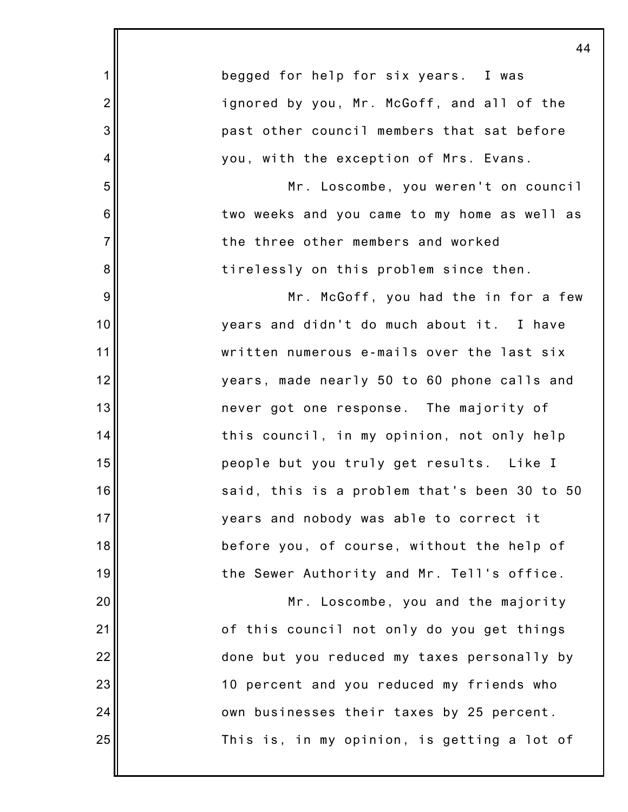|                | 44                                           |
|----------------|----------------------------------------------|
| $\mathbf 1$    | begged for help for six years. I was         |
| $\overline{2}$ | ignored by you, Mr. McGoff, and all of the   |
| 3              | past other council members that sat before   |
| 4              | you, with the exception of Mrs. Evans.       |
| 5              | Mr. Loscombe, you weren't on council         |
| 6              | two weeks and you came to my home as well as |
| $\overline{7}$ | the three other members and worked           |
| 8              | tirelessly on this problem since then.       |
| 9              | Mr. McGoff, you had the in for a few         |
| 10             | years and didn't do much about it. I have    |
| 11             | written numerous e-mails over the last six   |
| 12             | years, made nearly 50 to 60 phone calls and  |
| 13             | never got one response. The majority of      |
| 14             | this council, in my opinion, not only help   |
| 15             | people but you truly get results. Like I     |
| 16             | said, this is a problem that's been 30 to 50 |
| 17             | years and nobody was able to correct it      |
| 18             | before you, of course, without the help of   |
| 19             | the Sewer Authority and Mr. Tell's office.   |
| 20             | Mr. Loscombe, you and the majority           |
| 21             | of this council not only do you get things   |
| 22             | done but you reduced my taxes personally by  |
| 23             | 10 percent and you reduced my friends who    |
| 24             | own businesses their taxes by 25 percent.    |
| 25             | This is, in my opinion, is getting a lot of  |
|                |                                              |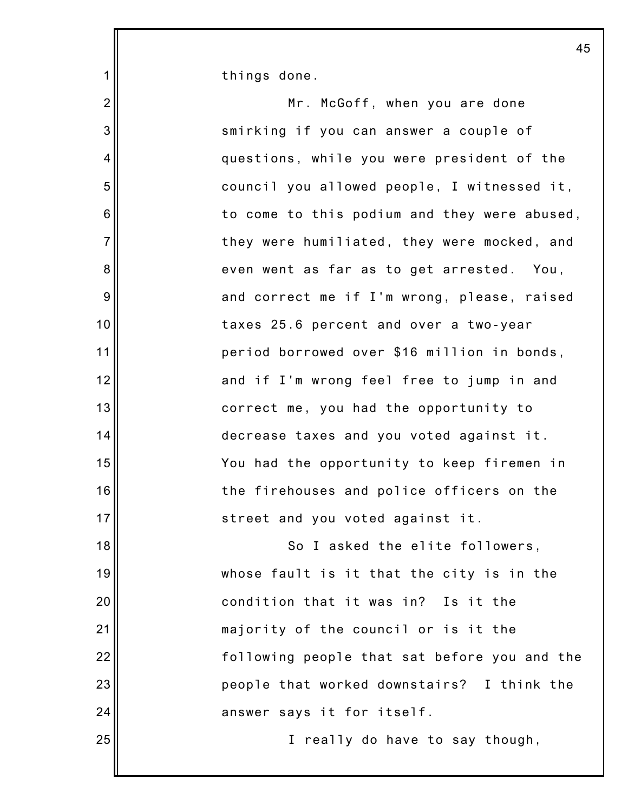things done.

1

25

2 3 4 5 6 7 8 9 10 11 12 13 14 15 16 17 18 19 20 21 22 23 24 Mr. McGoff, when you are done smirking if you can answer a couple of questions, while you were president of the council you allowed people, I witnessed it, to come to this podium and they were abused, they were humiliated, they were mocked, and even went as far as to get arrested. You, and correct me if I'm wrong, please, raised taxes 25.6 percent and over a two-year period borrowed over \$16 million in bonds, and if I'm wrong feel free to jump in and correct me, you had the opportunity to decrease taxes and you voted against it. You had the opportunity to keep firemen in the firehouses and police officers on the street and you voted against it. So I asked the elite followers, whose fault is it that the city is in the condition that it was in? Is it the majority of the council or is it the following people that sat before you and the people that worked downstairs? I think the answer says it for itself.

I really do have to say though,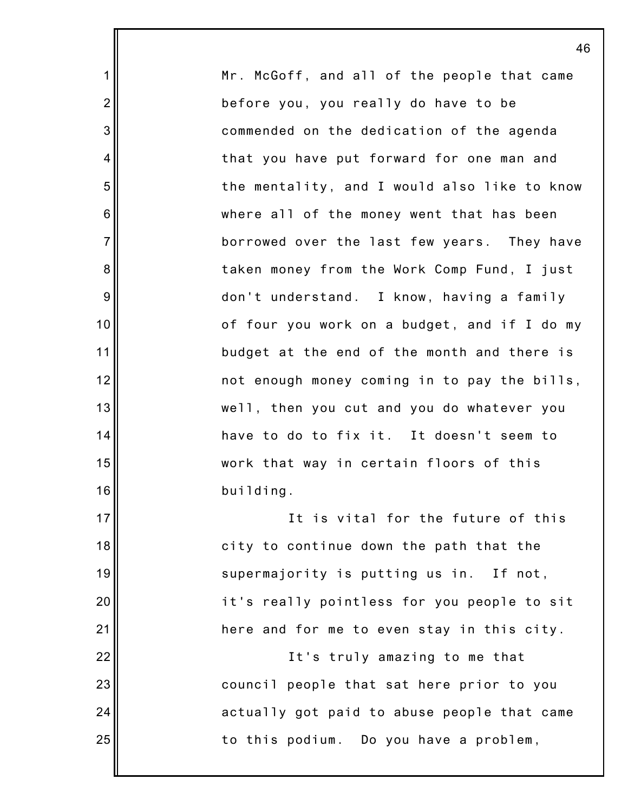Mr. McGoff, and all of the people that came before you, you really do have to be commended on the dedication of the agenda that you have put forward for one man and the mentality, and I would also like to know where all of the money went that has been borrowed over the last few years. They have taken money from the Work Comp Fund, I just don't understand. I know, having a family of four you work on a budget, and if I do my budget at the end of the month and there is not enough money coming in to pay the bills, well, then you cut and you do whatever you have to do to fix it. It doesn't seem to work that way in certain floors of this building. It is vital for the future of this city to continue down the path that the supermajority is putting us in. If not, it's really pointless for you people to sit here and for me to even stay in this city. It's truly amazing to me that

1

2

3

4

5

6

7

8

9

10

11

12

13

14

15

16

17

18

19

20

21

22

23

24

25

council people that sat here prior to you actually got paid to abuse people that came to this podium. Do you have a problem,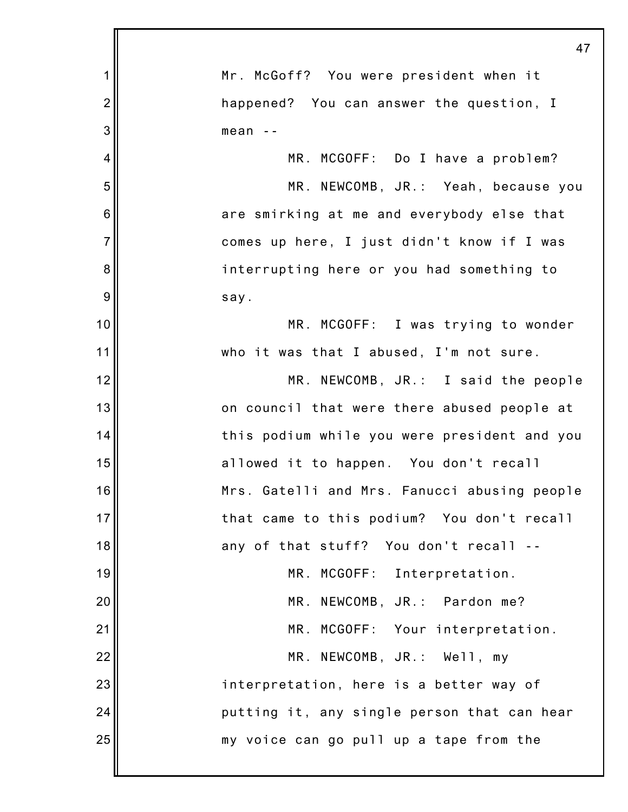|                | 47                                           |
|----------------|----------------------------------------------|
| 1              | Mr. McGoff? You were president when it       |
| $\overline{2}$ | happened? You can answer the question, I     |
| 3              | mean                                         |
| 4              | MR. MCGOFF: Do I have a problem?             |
| 5              | MR. NEWCOMB, JR.: Yeah, because you          |
| 6              | are smirking at me and everybody else that   |
| $\overline{7}$ | comes up here, I just didn't know if I was   |
| 8              | interrupting here or you had something to    |
| 9              | say.                                         |
| 10             | MR. MCGOFF: I was trying to wonder           |
| 11             | who it was that I abused, I'm not sure.      |
| 12             | MR. NEWCOMB, JR.: I said the people          |
| 13             | on council that were there abused people at  |
| 14             | this podium while you were president and you |
| 15             | allowed it to happen. You don't recall       |
| 16             | Mrs. Gatelli and Mrs. Fanucci abusing people |
| 17             | that came to this podium? You don't recall   |
| 18             | any of that stuff? You don't recall          |
| 19             | MR. MCGOFF: Interpretation.                  |
| 20             | MR. NEWCOMB, JR.: Pardon me?                 |
| 21             | MR. MCGOFF: Your interpretation.             |
| 22             | MR. NEWCOMB, JR.: Well, my                   |
| 23             | interpretation, here is a better way of      |
| 24             | putting it, any single person that can hear  |
| 25             | my voice can go pull up a tape from the      |
|                |                                              |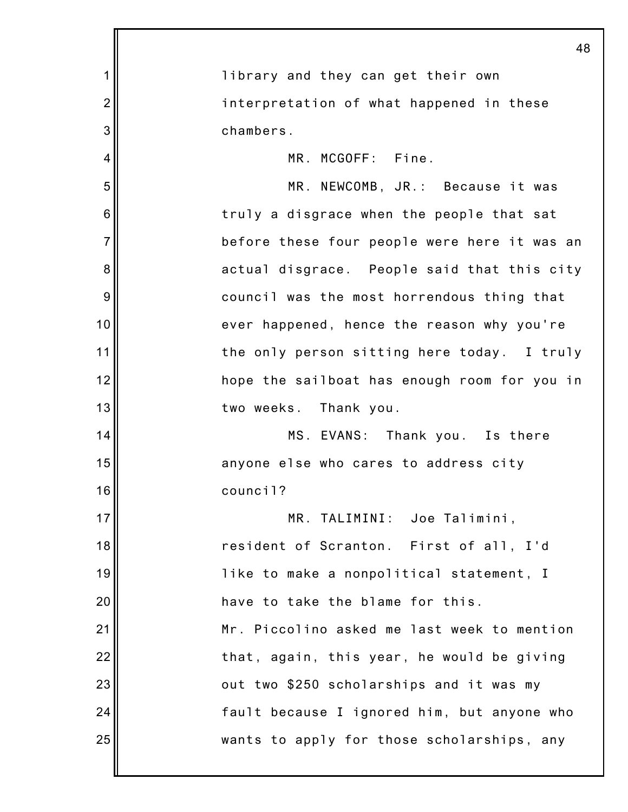|                | 48                                           |
|----------------|----------------------------------------------|
| 1              | library and they can get their own           |
| $\overline{2}$ | interpretation of what happened in these     |
| 3              | chambers.                                    |
| 4              | MR. MCGOFF: Fine.                            |
| 5              | MR. NEWCOMB, JR.: Because it was             |
| 6              | truly a disgrace when the people that sat    |
| $\overline{7}$ | before these four people were here it was an |
| 8              | actual disgrace. People said that this city  |
| 9              | council was the most horrendous thing that   |
| 10             | ever happened, hence the reason why you're   |
| 11             | the only person sitting here today. I truly  |
| 12             | hope the sailboat has enough room for you in |
| 13             | two weeks. Thank you.                        |
| 14             | MS. EVANS: Thank you. Is there               |
| 15             | anyone else who cares to address city        |
| 16             | council?                                     |
| 17             | MR. TALIMINI: Joe Talimini,                  |
| 18             | resident of Scranton. First of all, I'd      |
| 19             | like to make a nonpolitical statement, I     |
| 20             | have to take the blame for this.             |
| 21             | Mr. Piccolino asked me last week to mention  |
| 22             | that, again, this year, he would be giving   |
| 23             | out two \$250 scholarships and it was my     |
| 24             | fault because I ignored him, but anyone who  |
| 25             | wants to apply for those scholarships, any   |
|                |                                              |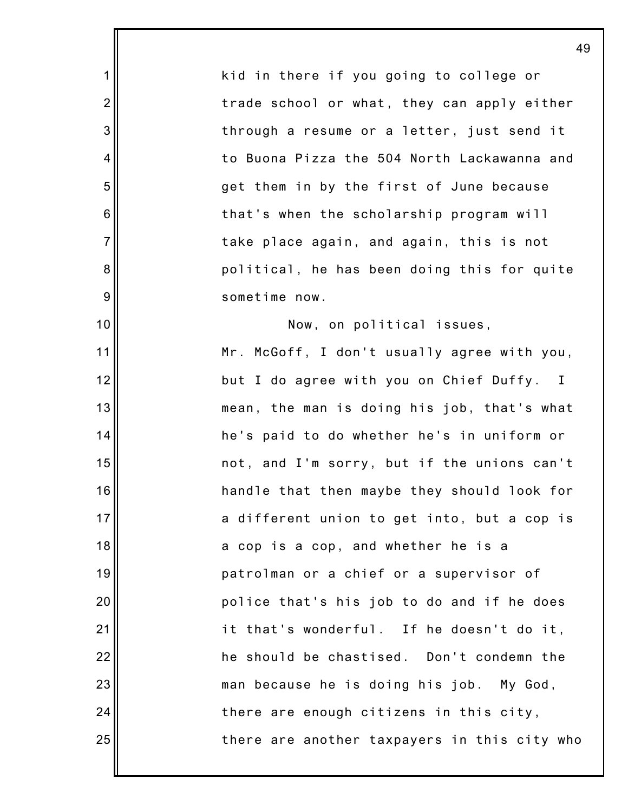kid in there if you going to college or trade school or what, they can apply either through a resume or a letter, just send it to Buona Pizza the 504 North Lackawanna and get them in by the first of June because that's when the scholarship program will take place again, and again, this is not political, he has been doing this for quite sometime now.

1

2

3

4

5

6

7

8

9

10

11

12

13

14

15

16

17

18

19

20

21

22

23

24

25

Now, on political issues, Mr. McGoff, I don't usually agree with you, but I do agree with you on Chief Duffy. I mean, the man is doing his job, that's what he's paid to do whether he's in uniform or not, and I'm sorry, but if the unions can't handle that then maybe they should look for a different union to get into, but a cop is a cop is a cop, and whether he is a patrolman or a chief or a supervisor of police that's his job to do and if he does it that's wonderful. If he doesn't do it, he should be chastised. Don't condemn the man because he is doing his job. My God, there are enough citizens in this city, there are another taxpayers in this city who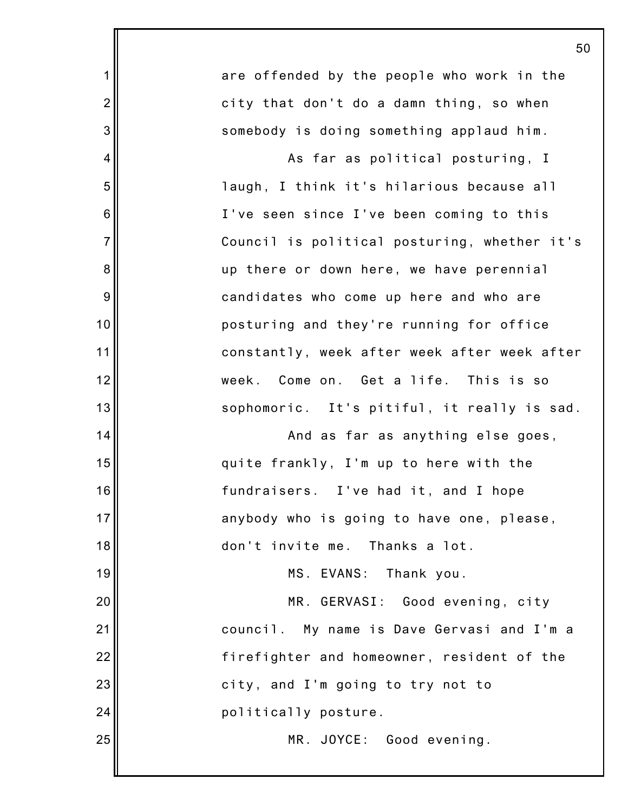|                | 50                                           |
|----------------|----------------------------------------------|
| 1              | are offended by the people who work in the   |
| $\overline{2}$ | city that don't do a damn thing, so when     |
| 3              | somebody is doing something applaud him.     |
| 4              | As far as political posturing, I             |
| 5              | laugh, I think it's hilarious because all    |
| 6              | I've seen since I've been coming to this     |
| $\overline{7}$ | Council is political posturing, whether it's |
| 8              | up there or down here, we have perennial     |
| 9              | candidates who come up here and who are      |
| 10             | posturing and they're running for office     |
| 11             | constantly, week after week after week after |
| 12             | Come on.  Get a life.<br>This is so<br>week. |
| 13             | sophomoric. It's pitiful, it really is sad.  |
| 14             | And as far as anything else goes,            |
| 15             | quite frankly, I'm up to here with the       |
| 16             | fundraisers. I've had it, and I hope         |
| 17             | anybody who is going to have one, please,    |
| 18             | don't invite me. Thanks a lot.               |
| 19             | MS. EVANS:<br>Thank you.                     |
| 20             | MR. GERVASI: Good evening, city              |
| 21             | council. My name is Dave Gervasi and I'm a   |
| 22             | firefighter and homeowner, resident of the   |
| 23             | city, and I'm going to try not to            |
| 24             | politically posture.                         |
| 25             | MR. JOYCE: Good evening.                     |
|                |                                              |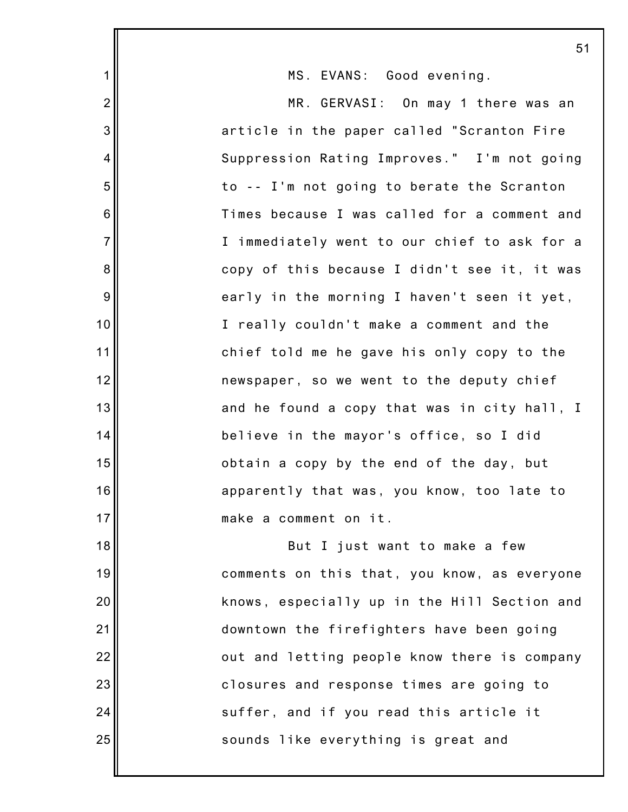|                  | 5                                            |
|------------------|----------------------------------------------|
| $\mathbf{1}$     | MS. EVANS: Good evening.                     |
| $\overline{2}$   | MR. GERVASI: On may 1 there was an           |
| 3                | article in the paper called "Scranton Fire   |
| 4                | Suppression Rating Improves." I'm not going  |
| 5                | to -- I'm not going to berate the Scranton   |
| 6                | Times because I was called for a comment and |
| $\overline{7}$   | I immediately went to our chief to ask for a |
| $\bf 8$          | copy of this because I didn't see it, it was |
| $\boldsymbol{9}$ | early in the morning I haven't seen it yet,  |
| 10               | I really couldn't make a comment and the     |
| 11               | chief told me he gave his only copy to the   |
| 12               | newspaper, so we went to the deputy chief    |
| 13               | and he found a copy that was in city hall, I |
| 14               | believe in the mayor's office, so I did      |
| 15               | obtain a copy by the end of the day, but     |
| 16               | apparently that was, you know, too late to   |
| 17               | make a comment on it.                        |
| 18               | But I just want to make a few                |
| 19               | comments on this that, you know, as everyone |
| 20               | knows, especially up in the Hill Section and |
| 21               | downtown the firefighters have been going    |
| 22               | out and letting people know there is company |
| 23               | closures and response times are going to     |
| 24               | suffer, and if you read this article it      |
| 25               | sounds like everything is great and          |
|                  |                                              |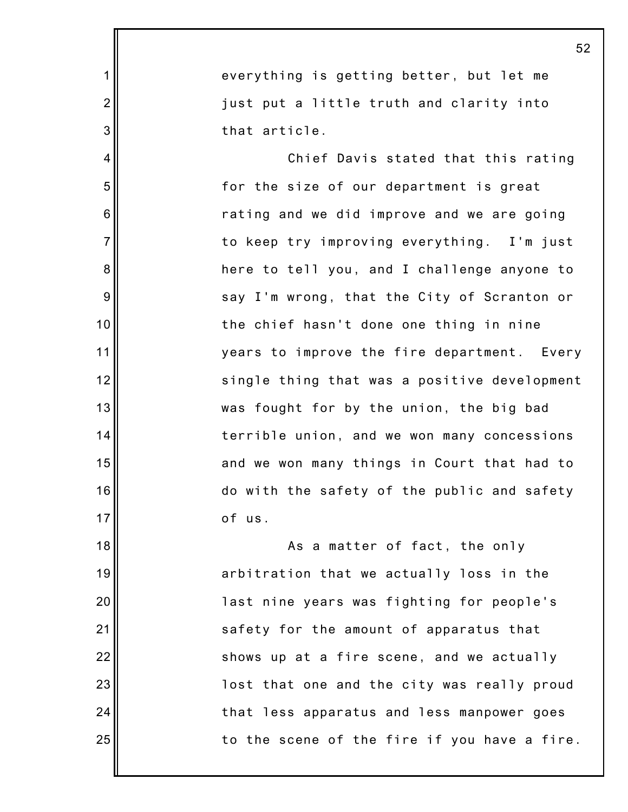|                | 52                                           |
|----------------|----------------------------------------------|
| $\mathbf 1$    | everything is getting better, but let me     |
| $\overline{2}$ | just put a little truth and clarity into     |
| 3              | that article.                                |
| 4              | Chief Davis stated that this rating          |
| 5              | for the size of our department is great      |
| 6              | rating and we did improve and we are going   |
| $\overline{7}$ | to keep try improving everything. I'm just   |
| 8              | here to tell you, and I challenge anyone to  |
| 9              | say I'm wrong, that the City of Scranton or  |
| 10             | the chief hasn't done one thing in nine      |
| 11             | years to improve the fire department. Every  |
| 12             | single thing that was a positive development |
| 13             | was fought for by the union, the big bad     |
| 14             | terrible union, and we won many concessions  |
| 15             | and we won many things in Court that had to  |
| 16             | do with the safety of the public and safety  |
| 17             | of us.                                       |
| 18             | As a matter of fact, the only                |
| 19             | arbitration that we actually loss in the     |
| 20             | last nine years was fighting for people's    |
| 21             | safety for the amount of apparatus that      |
| 22             | shows up at a fire scene, and we actually    |
| 23             | lost that one and the city was really proud  |
| 24             | that less apparatus and less manpower goes   |
| 25             | to the scene of the fire if you have a fire. |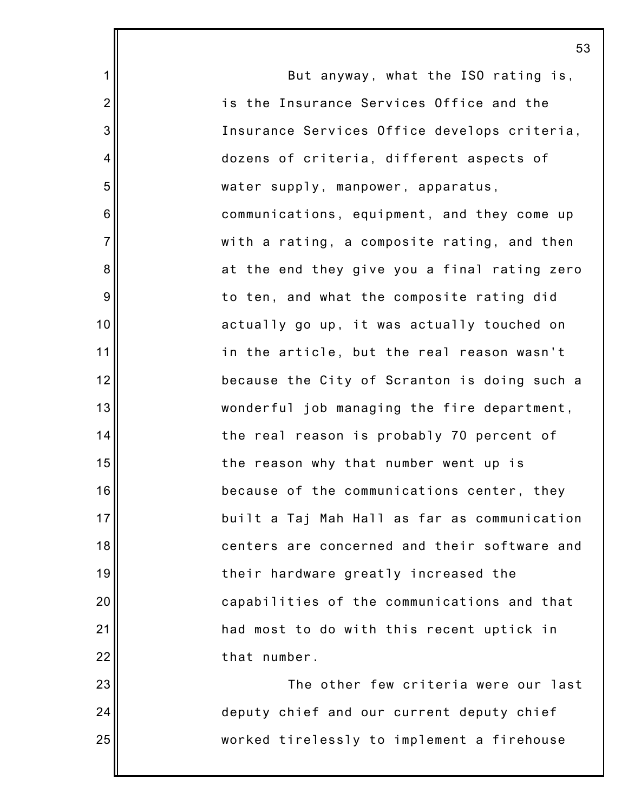But anyway, what the ISO rating is, is the Insurance Services Office and the Insurance Services Office develops criteria, dozens of criteria, different aspects of water supply, manpower, apparatus, communications, equipment, and they come up with a rating, a composite rating, and then at the end they give you a final rating zero to ten, and what the composite rating did actually go up, it was actually touched on in the article, but the real reason wasn't because the City of Scranton is doing such a wonderful job managing the fire department, the real reason is probably 70 percent of the reason why that number went up is because of the communications center, they built a Taj Mah Hall as far as communication centers are concerned and their software and their hardware greatly increased the capabilities of the communications and that had most to do with this recent uptick in that number. The other few criteria were our last deputy chief and our current deputy chief

worked tirelessly to implement a firehouse

1

2

3

4

5

6

7

8

9

10

11

12

13

14

15

16

17

18

19

20

21

22

23

24

25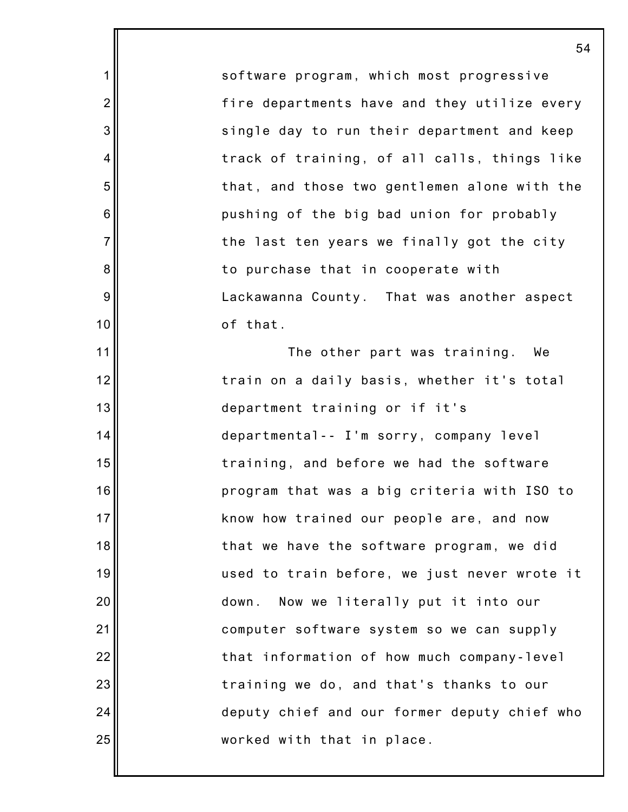software program, which most progressive fire departments have and they utilize every single day to run their department and keep track of training, of all calls, things like that, and those two gentlemen alone with the pushing of the big bad union for probably the last ten years we finally got the city to purchase that in cooperate with Lackawanna County. That was another aspect of that. The other part was training. We train on a daily basis, whether it's total

1

2

3

4

5

6

7

8

9

10

11

12

13

14

15

16

17

18

19

20

21

22

23

24

25

department training or if it's departmental-- I'm sorry, company level training, and before we had the software program that was a big criteria with ISO to know how trained our people are, and now that we have the software program, we did used to train before, we just never wrote it down. Now we literally put it into our computer software system so we can supply that information of how much company-level training we do, and that's thanks to our deputy chief and our former deputy chief who worked with that in place.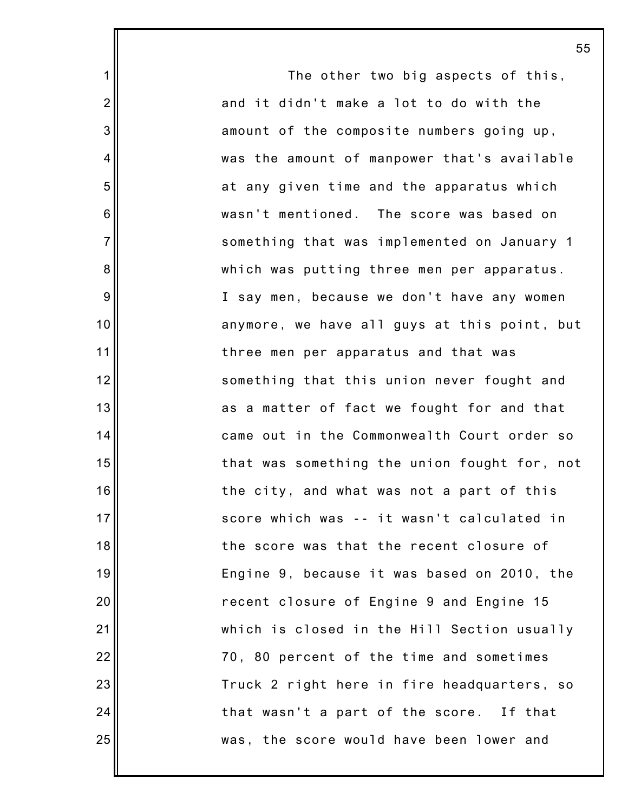The other two big aspects of this, and it didn't make a lot to do with the amount of the composite numbers going up, was the amount of manpower that's available at any given time and the apparatus which wasn't mentioned. The score was based on something that was implemented on January 1 which was putting three men per apparatus. I say men, because we don't have any women anymore, we have all guys at this point, but three men per apparatus and that was something that this union never fought and as a matter of fact we fought for and that came out in the Commonwealth Court order so that was something the union fought for, not the city, and what was not a part of this score which was -- it wasn't calculated in the score was that the recent closure of Engine 9, because it was based on 2010, the recent closure of Engine 9 and Engine 15 which is closed in the Hill Section usually 70, 80 percent of the time and sometimes Truck 2 right here in fire headquarters, so that wasn't a part of the score. If that was, the score would have been lower and

1

2

3

4

5

6

7

8

9

10

11

12

13

14

15

16

17

18

19

20

21

22

23

24

25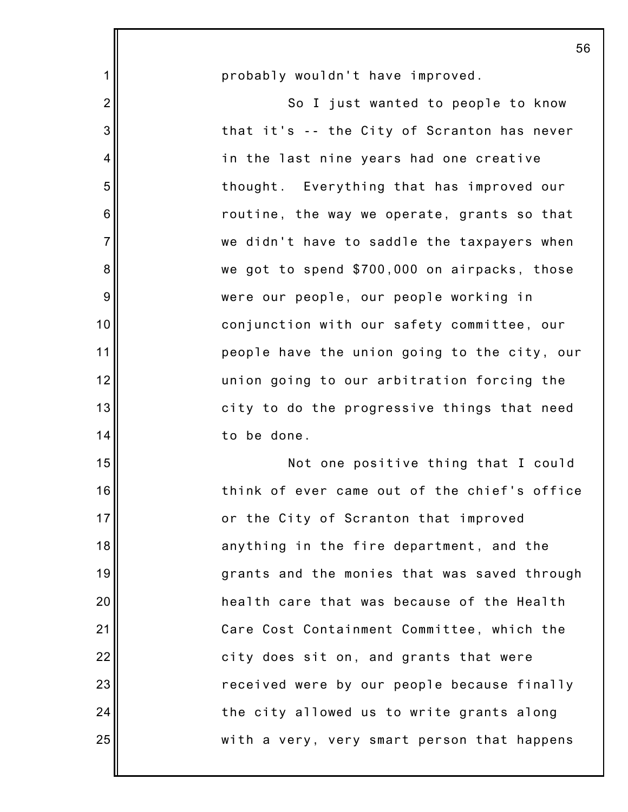|                | 56                                           |
|----------------|----------------------------------------------|
| 1              | probably wouldn't have improved.             |
| $\overline{2}$ | So I just wanted to people to know           |
| 3              | that it's -- the City of Scranton has never  |
| 4              | in the last nine years had one creative      |
| 5              | thought. Everything that has improved our    |
| 6              | routine, the way we operate, grants so that  |
| $\overline{7}$ | we didn't have to saddle the taxpayers when  |
| 8              | we got to spend \$700,000 on airpacks, those |
| 9              | were our people, our people working in       |
| 10             | conjunction with our safety committee, our   |
| 11             | people have the union going to the city, our |
| 12             | union going to our arbitration forcing the   |
| 13             | city to do the progressive things that need  |
| 14             | to be done.                                  |
| 15             | Not one positive thing that I could          |
| 16             | think of ever came out of the chief's office |
| 17             | or the City of Scranton that improved        |
| 18             | anything in the fire department, and the     |
| 19             | grants and the monies that was saved through |
| 20             | health care that was because of the Health   |
| 21             | Care Cost Containment Committee, which the   |
| 22             | city does sit on, and grants that were       |
| 23             | received were by our people because finally  |
| 24             | the city allowed us to write grants along    |
| 25             | with a very, very smart person that happens  |
|                |                                              |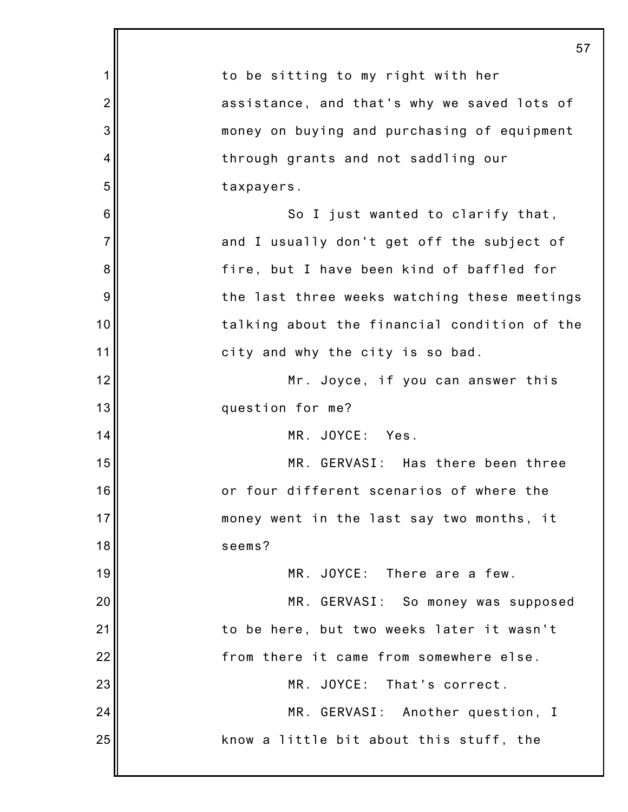|                 | 57                                           |
|-----------------|----------------------------------------------|
| 1               | to be sitting to my right with her           |
| $\overline{2}$  | assistance, and that's why we saved lots of  |
| 3               | money on buying and purchasing of equipment  |
| 4               | through grants and not saddling our          |
| 5               | taxpayers.                                   |
| $6\phantom{1}6$ | So I just wanted to clarify that,            |
| $\overline{7}$  | and I usually don't get off the subject of   |
| 8               | fire, but I have been kind of baffled for    |
| 9               | the last three weeks watching these meetings |
| 10              | talking about the financial condition of the |
| 11              | city and why the city is so bad.             |
| 12              | Mr. Joyce, if you can answer this            |
| 13              | question for me?                             |
| 14              | MR. JOYCE: Yes.                              |
| 15              | MR. GERVASI: Has there been three            |
| 16              | or four different scenarios of where the     |
| 17              | money went in the last say two months, it    |
| 18              | seems?                                       |
| 19              | MR. JOYCE: There are a few.                  |
| 20              | MR. GERVASI: So money was supposed           |
| 21              | to be here, but two weeks later it wasn't    |
| 22              | from there it came from somewhere else.      |
| 23              | MR. JOYCE: That's correct.                   |
| 24              | MR. GERVASI: Another question, I             |
| 25              | know a little bit about this stuff, the      |
|                 |                                              |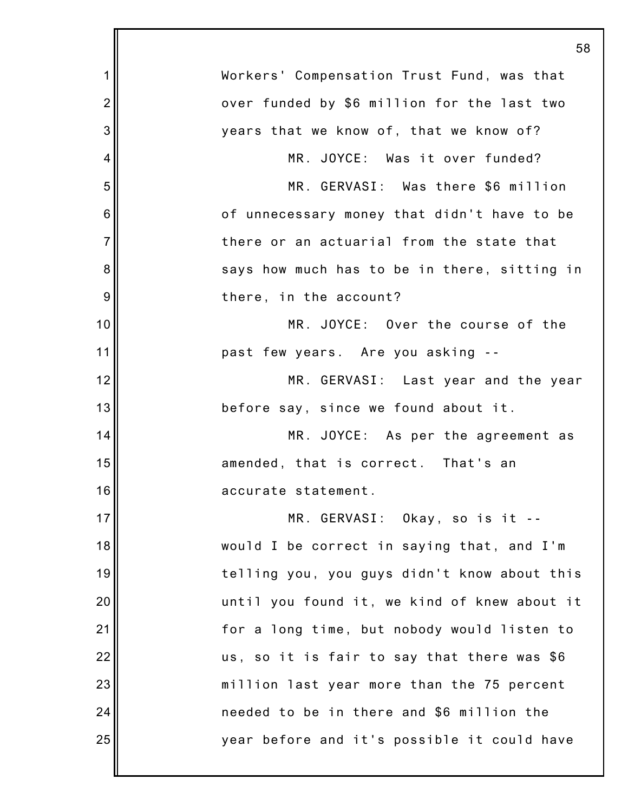|                | 58                                           |
|----------------|----------------------------------------------|
| 1              | Workers' Compensation Trust Fund, was that   |
| $\overline{2}$ | over funded by \$6 million for the last two  |
| 3              | years that we know of, that we know of?      |
| 4              | MR. JOYCE: Was it over funded?               |
| 5              | MR. GERVASI: Was there \$6 million           |
| 6              | of unnecessary money that didn't have to be  |
| $\overline{7}$ | there or an actuarial from the state that    |
| 8              | says how much has to be in there, sitting in |
| 9              | there, in the account?                       |
| 10             | MR. JOYCE: Over the course of the            |
| 11             | past few years. Are you asking --            |
| 12             | MR. GERVASI: Last year and the year          |
| 13             | before say, since we found about it.         |
| 14             | MR. JOYCE: As per the agreement as           |
| 15             | amended, that is correct. That's an          |
| 16             | accurate statement.                          |
| 17             | MR. GERVASI: Okay, so is it --               |
| 18             | would I be correct in saying that, and I'm   |
| 19             | telling you, you guys didn't know about this |
| 20             | until you found it, we kind of knew about it |
| 21             | for a long time, but nobody would listen to  |
| 22             | us, so it is fair to say that there was \$6  |
| 23             | million last year more than the 75 percent   |
| 24             | needed to be in there and \$6 million the    |
| 25             | year before and it's possible it could have  |
|                |                                              |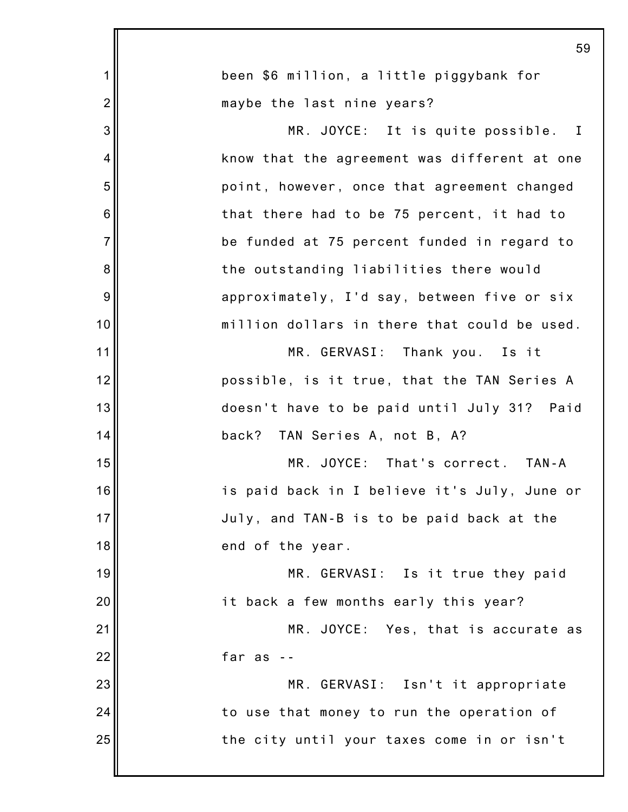|                | 59                                           |
|----------------|----------------------------------------------|
| $\mathbf 1$    | been \$6 million, a little piggybank for     |
| $\overline{2}$ | maybe the last nine years?                   |
| 3              | MR. JOYCE: It is quite possible. I           |
| 4              | know that the agreement was different at one |
| 5              | point, however, once that agreement changed  |
| $6\phantom{1}$ | that there had to be 75 percent, it had to   |
| $\overline{7}$ | be funded at 75 percent funded in regard to  |
| 8              | the outstanding liabilities there would      |
| 9              | approximately, I'd say, between five or six  |
| 10             | million dollars in there that could be used. |
| 11             | MR. GERVASI: Thank you. Is it                |
| 12             | possible, is it true, that the TAN Series A  |
| 13             | doesn't have to be paid until July 31? Paid  |
| 14             | back? TAN Series A, not B, A?                |
| 15             | MR. JOYCE: That's correct. TAN-A             |
| 16             | is paid back in I believe it's July, June or |
| 17             | July, and TAN-B is to be paid back at the    |
| 18             | end of the year.                             |
| 19             | MR. GERVASI: Is it true they paid            |
| 20             | it back a few months early this year?        |
| 21             | MR. JOYCE: Yes, that is accurate as          |
| 22             | far as                                       |
| 23             | MR. GERVASI: Isn't it appropriate            |
| 24             | to use that money to run the operation of    |
| 25             | the city until your taxes come in or isn't   |
|                |                                              |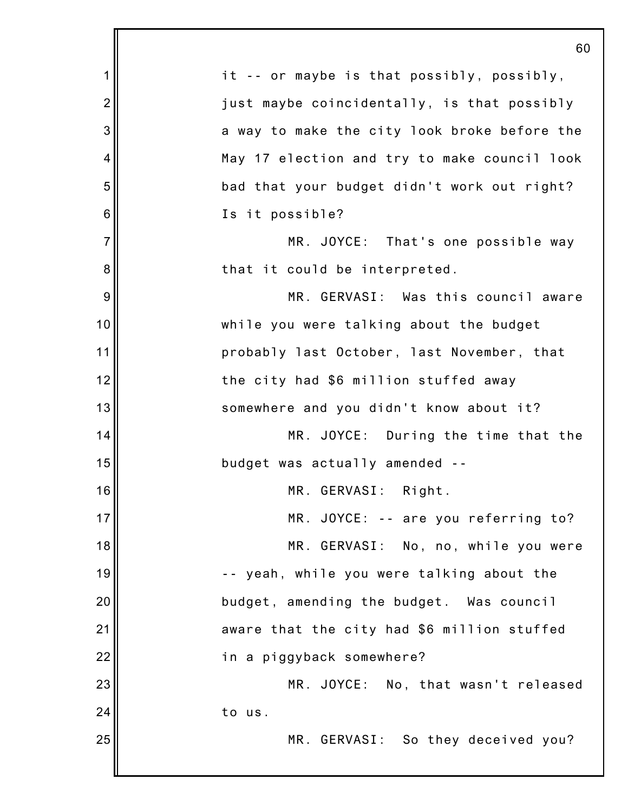|                | 60                                           |
|----------------|----------------------------------------------|
| 1              | it -- or maybe is that possibly, possibly,   |
| $\overline{2}$ | just maybe coincidentally, is that possibly  |
| 3              | a way to make the city look broke before the |
| 4              | May 17 election and try to make council look |
| 5              | bad that your budget didn't work out right?  |
| 6              | Is it possible?                              |
| $\overline{7}$ | MR. JOYCE: That's one possible way           |
| 8              | that it could be interpreted.                |
| 9              | MR. GERVASI: Was this council aware          |
| 10             | while you were talking about the budget      |
| 11             | probably last October, last November, that   |
| 12             | the city had \$6 million stuffed away        |
| 13             | somewhere and you didn't know about it?      |
| 14             | MR. JOYCE: During the time that the          |
| 15             | budget was actually amended --               |
| 16             | MR. GERVASI: Right.                          |
| 17             | MR. JOYCE: -- are you referring to?          |
| 18             | MR. GERVASI: No, no, while you were          |
| 19             | -- yeah, while you were talking about the    |
| 20             | budget, amending the budget. Was council     |
| 21             | aware that the city had \$6 million stuffed  |
| 22             | in a piggyback somewhere?                    |
| 23             | MR. JOYCE: No, that wasn't released          |
| 24             | to us.                                       |
| 25             | MR. GERVASI: So they deceived you?           |
|                |                                              |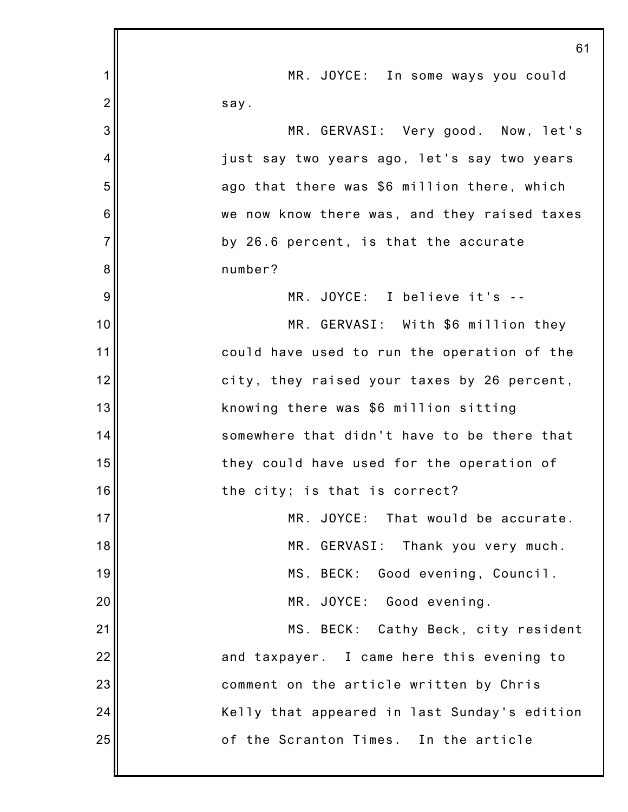|                | 61                                           |
|----------------|----------------------------------------------|
| 1              | MR. JOYCE: In some ways you could            |
| $\overline{2}$ | say.                                         |
| 3              | MR. GERVASI: Very good. Now, let's           |
| 4              | just say two years ago, let's say two years  |
| 5              | ago that there was \$6 million there, which  |
| 6              | we now know there was, and they raised taxes |
| $\overline{7}$ | by 26.6 percent, is that the accurate        |
| 8              | number?                                      |
| 9              | MR. JOYCE: I believe it's --                 |
| 10             | MR. GERVASI: With \$6 million they           |
| 11             | could have used to run the operation of the  |
| 12             | city, they raised your taxes by 26 percent,  |
| 13             | knowing there was \$6 million sitting        |
| 14             | somewhere that didn't have to be there that  |
| 15             | they could have used for the operation of    |
| 16             | the city; is that is correct?                |
| 17             | MR. JOYCE: That would be accurate.           |
| 18             | MR. GERVASI: Thank you very much.            |
| 19             | MS. BECK: Good evening, Council.             |
| 20             | MR. JOYCE: Good evening.                     |
| 21             | MS. BECK: Cathy Beck, city resident          |
| 22             | and taxpayer. I came here this evening to    |
| 23             | comment on the article written by Chris      |
| 24             | Kelly that appeared in last Sunday's edition |
| 25             | of the Scranton Times. In the article        |
|                |                                              |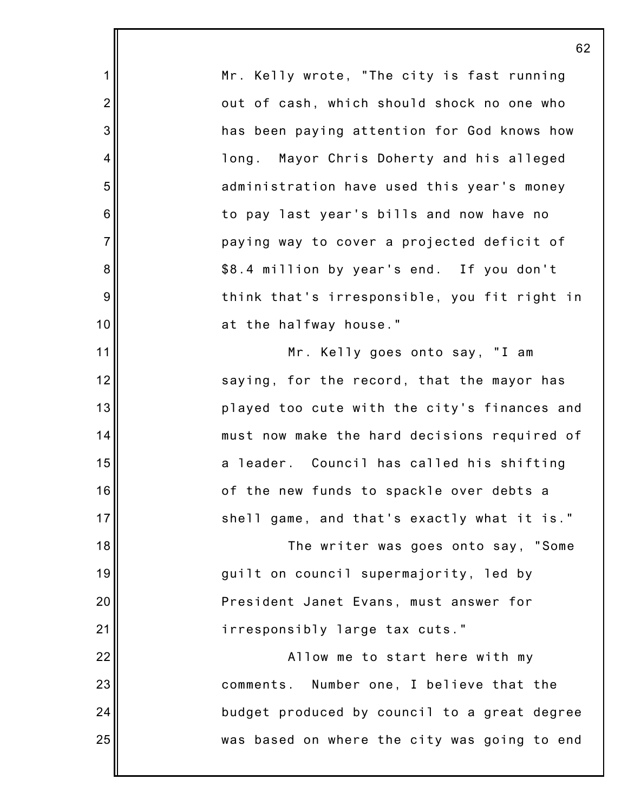1 2 3 4 5 6 7 8 9 10 11 12 13 14 15 16 17 18 19 20 21 22 23 24 25 62 Mr. Kelly wrote, "The city is fast running out of cash, which should shock no one who has been paying attention for God knows how long. Mayor Chris Doherty and his alleged administration have used this year's money to pay last year's bills and now have no paying way to cover a projected deficit of \$8.4 million by year's end. If you don't think that's irresponsible, you fit right in at the halfway house." Mr. Kelly goes onto say, "I am saying, for the record, that the mayor has played too cute with the city's finances and must now make the hard decisions required of a leader. Council has called his shifting of the new funds to spackle over debts a shell game, and that's exactly what it is." The writer was goes onto say, "Some guilt on council supermajority, led by President Janet Evans, must answer for irresponsibly large tax cuts." Allow me to start here with my comments. Number one, I believe that the budget produced by council to a great degree was based on where the city was going to end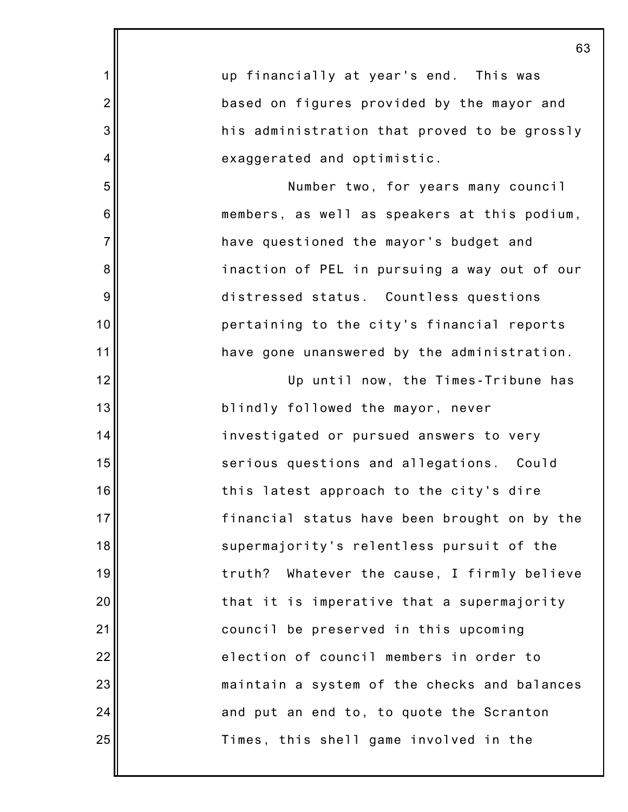|                 | 63                                           |
|-----------------|----------------------------------------------|
| 1               | up financially at year's end. This was       |
| $\overline{2}$  | based on figures provided by the mayor and   |
| 3               | his administration that proved to be grossly |
| 4               | exaggerated and optimistic.                  |
| 5               | Number two, for years many council           |
| $6\phantom{1}6$ | members, as well as speakers at this podium, |
| $\overline{7}$  | have questioned the mayor's budget and       |
| 8               | inaction of PEL in pursuing a way out of our |
| 9               | distressed status. Countless questions       |
| 10              | pertaining to the city's financial reports   |
| 11              | have gone unanswered by the administration.  |
| 12              | Up until now, the Times-Tribune has          |
| 13              | blindly followed the mayor, never            |
| 14              | investigated or pursued answers to very      |
| 15              | serious questions and allegations. Could     |
| 16              | this latest approach to the city's dire      |
| 17              | financial status have been brought on by the |
| 18              | supermajority's relentless pursuit of the    |
| 19              | truth? Whatever the cause, I firmly believe  |
| 20              | that it is imperative that a supermajority   |
| 21              | council be preserved in this upcoming        |
| 22              | election of council members in order to      |
| 23              | maintain a system of the checks and balances |
| 24              | and put an end to, to quote the Scranton     |
| 25              | Times, this shell game involved in the       |
|                 |                                              |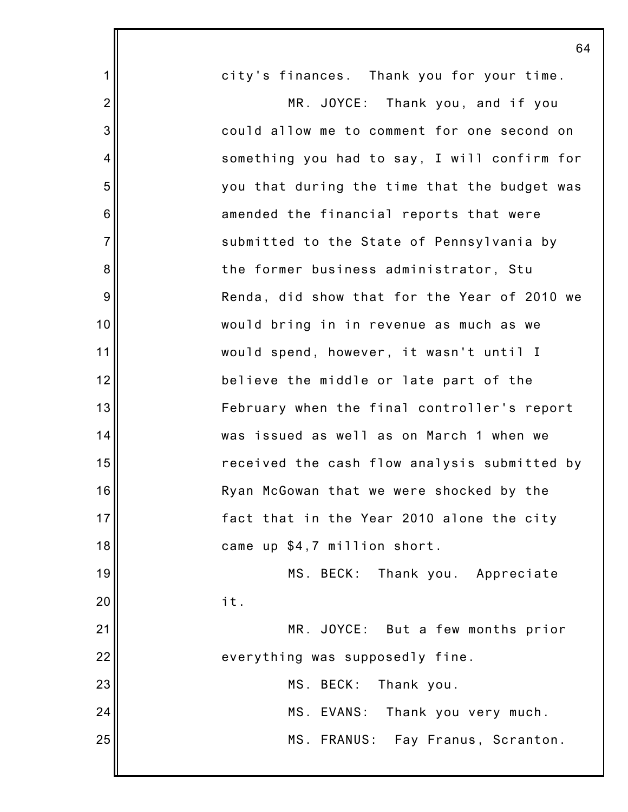|                 | 64                                           |
|-----------------|----------------------------------------------|
| $\mathbf 1$     | city's finances. Thank you for your time.    |
| $\overline{2}$  | MR. JOYCE: Thank you, and if you             |
| 3               | could allow me to comment for one second on  |
| 4               | something you had to say, I will confirm for |
| 5               | you that during the time that the budget was |
| $6\phantom{1}6$ | amended the financial reports that were      |
| $\overline{7}$  | submitted to the State of Pennsylvania by    |
| 8               | the former business administrator, Stu       |
| 9               | Renda, did show that for the Year of 2010 we |
| 10              | would bring in in revenue as much as we      |
| 11              | would spend, however, it wasn't until I      |
| 12              | believe the middle or late part of the       |
| 13              | February when the final controller's report  |
| 14              | was issued as well as on March 1 when we     |
| 15              | received the cash flow analysis submitted by |
| 16              | Ryan McGowan that we were shocked by the     |
| 17              | fact that in the Year 2010 alone the city    |
| 18              | came up \$4,7 million short.                 |
| 19              | MS. BECK:<br>Thank you. Appreciate           |
| 20              | it.                                          |
| 21              | MR. JOYCE: But a few months prior            |
| 22              | everything was supposedly fine.              |
| 23              | MS. BECK:<br>Thank you.                      |
| 24              | MS. EVANS: Thank you very much.              |
| 25              | MS. FRANUS: Fay Franus, Scranton.            |
|                 |                                              |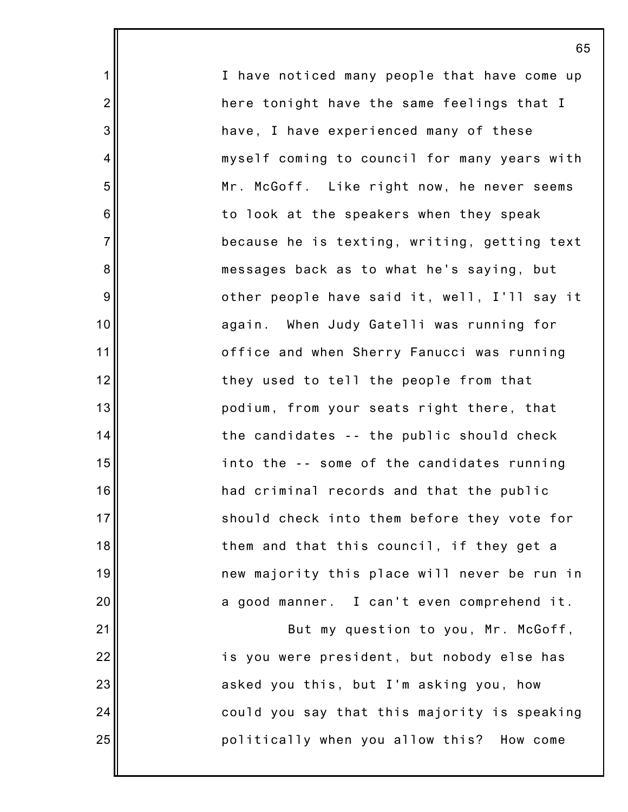I have noticed many people that have come up here tonight have the same feelings that I have, I have experienced many of these myself coming to council for many years with Mr. McGoff. Like right now, he never seems to look at the speakers when they speak because he is texting, writing, getting text messages back as to what he's saying, but other people have said it, well, I'll say it again. When Judy Gatelli was running for office and when Sherry Fanucci was running they used to tell the people from that podium, from your seats right there, that the candidates -- the public should check into the -- some of the candidates running had criminal records and that the public should check into them before they vote for them and that this council, if they get a new majority this place will never be run in a good manner. I can't even comprehend it. But my question to you, Mr. McGoff, is you were president, but nobody else has asked you this, but I'm asking you, how

1

2

3

4

5

6

7

8

9

10

11

12

13

14

15

16

17

18

19

20

21

22

23

24

25

politically when you allow this? How come

could you say that this majority is speaking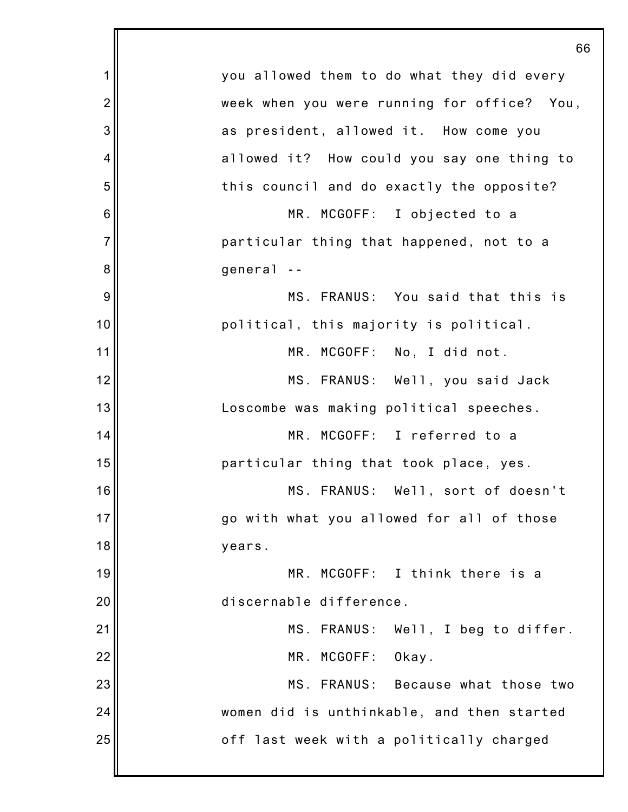|                | 66                                          |
|----------------|---------------------------------------------|
| 1              | you allowed them to do what they did every  |
| $\overline{2}$ | week when you were running for office? You, |
| 3              | as president, allowed it. How come you      |
| 4              | allowed it? How could you say one thing to  |
| 5              | this council and do exactly the opposite?   |
| 6              | MR. MCGOFF: I objected to a                 |
| $\overline{7}$ | particular thing that happened, not to a    |
| 8              | general --                                  |
| 9              | MS. FRANUS: You said that this is           |
| 10             | political, this majority is political.      |
| 11             | MR. MCGOFF: No, I did not.                  |
| 12             | MS. FRANUS: Well, you said Jack             |
| 13             | Loscombe was making political speeches.     |
| 14             | MR. MCGOFF: I referred to a                 |
| 15             | particular thing that took place, yes.      |
| 16             | MS. FRANUS: Well, sort of doesn't           |
| 17             | go with what you allowed for all of those   |
| 18             | years.                                      |
| 19             | MR. MCGOFF: I think there is a              |
| 20             | discernable difference.                     |
| 21             | MS. FRANUS: Well, I beg to differ.          |
| 22             | MR. MCGOFF:<br>Okay.                        |
| 23             | MS. FRANUS: Because what those two          |
| 24             | women did is unthinkable, and then started  |
| 25             | off last week with a politically charged    |
|                |                                             |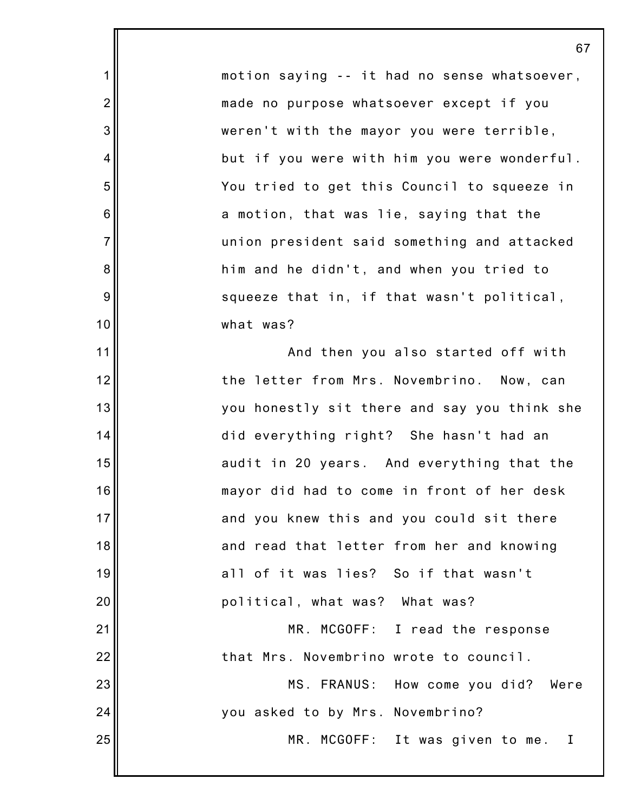motion saying -- it had no sense whatsoever, made no purpose whatsoever except if you weren't with the mayor you were terrible, but if you were with him you were wonderful. You tried to get this Council to squeeze in a motion, that was lie, saying that the union president said something and attacked him and he didn't, and when you tried to squeeze that in, if that wasn't political, what was?

1

2

3

4

5

6

7

8

9

10

11 12 13 14 15 16 17 18 19 20 21 22 23 24 25 And then you also started off with the letter from Mrs. Novembrino. Now, can you honestly sit there and say you think she did everything right? She hasn't had an audit in 20 years. And everything that the mayor did had to come in front of her desk and you knew this and you could sit there and read that letter from her and knowing all of it was lies? So if that wasn't political, what was? What was? MR. MCGOFF: I read the response that Mrs. Novembrino wrote to council. MS. FRANUS: How come you did? Were you asked to by Mrs. Novembrino? MR. MCGOFF: It was given to me. I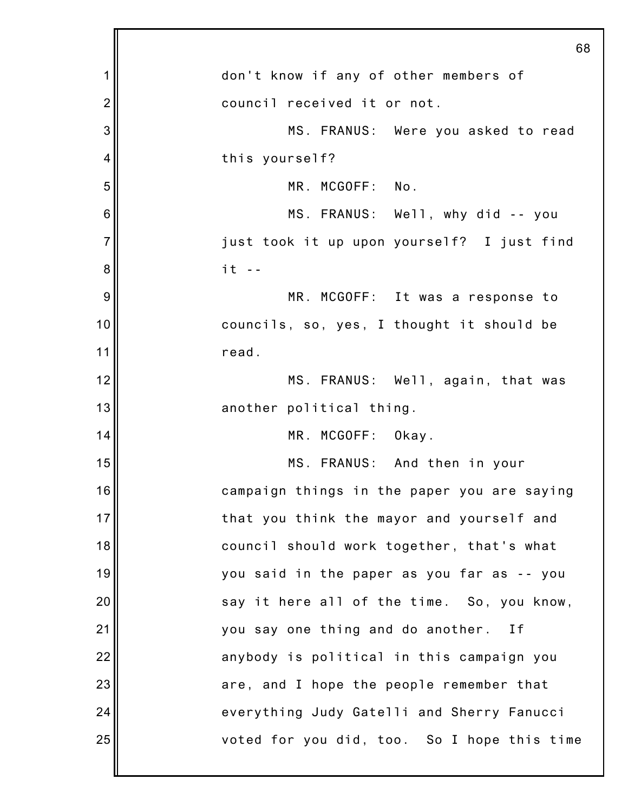|                | 68                                          |
|----------------|---------------------------------------------|
| 1              | don't know if any of other members of       |
| $\overline{c}$ | council received it or not.                 |
| 3              | MS. FRANUS: Were you asked to read          |
| 4              | this yourself?                              |
| 5              | MR. MCGOFF: No.                             |
| 6              | MS. FRANUS: Well, why did -- you            |
| $\overline{7}$ | just took it up upon yourself? I just find  |
| 8              | $it -$                                      |
| 9              | MR. MCGOFF: It was a response to            |
| 10             | councils, so, yes, I thought it should be   |
| 11             | read.                                       |
| 12             | MS. FRANUS: Well, again, that was           |
| 13             | another political thing.                    |
| 14             | MR. MCGOFF: Okay.                           |
| 15             | MS. FRANUS: And then in your                |
| 16             | campaign things in the paper you are saying |
| 17             | that you think the mayor and yourself and   |
| 18             | council should work together, that's what   |
| 19             | you said in the paper as you far as -- you  |
| 20             | say it here all of the time. So, you know,  |
| 21             | you say one thing and do another. If        |
| 22             | anybody is political in this campaign you   |
| 23             | are, and I hope the people remember that    |
| 24             | everything Judy Gatelli and Sherry Fanucci  |
| 25             | voted for you did, too. So I hope this time |
|                |                                             |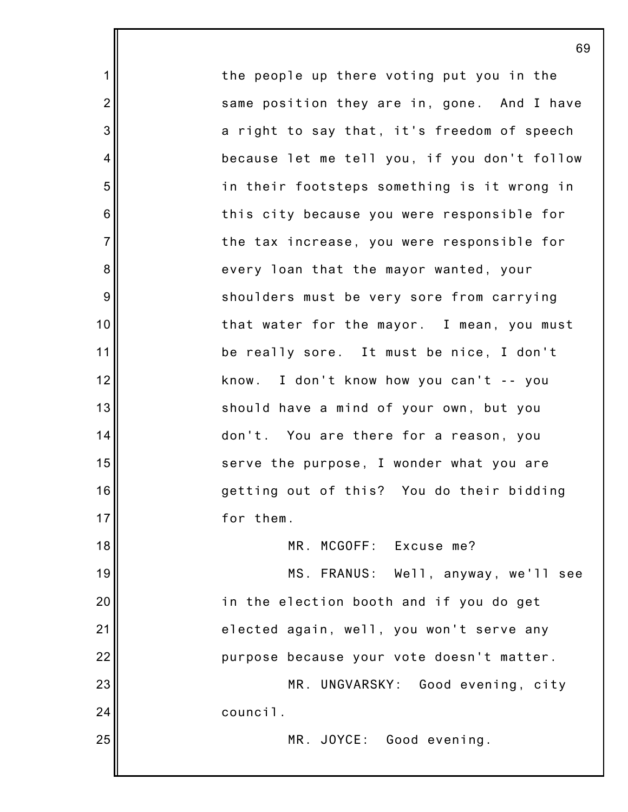the people up there voting put you in the same position they are in, gone. And I have a right to say that, it's freedom of speech because let me tell you, if you don't follow in their footsteps something is it wrong in this city because you were responsible for the tax increase, you were responsible for every loan that the mayor wanted, your shoulders must be very sore from carrying that water for the mayor. I mean, you must be really sore. It must be nice, I don't know. I don't know how you can't -- you should have a mind of your own, but you don't. You are there for a reason, you serve the purpose, I wonder what you are getting out of this? You do their bidding for them. MR. MCGOFF: Excuse me? MS. FRANUS: Well, anyway, we'll see in the election booth and if you do get elected again, well, you won't serve any purpose because your vote doesn't matter.

1

2

3

4

5

6

7

8

9

10

11

12

13

14

15

16

17

18

19

20

21

22

23

24

25

MR. UNGVARSKY: Good evening, city council.

MR. JOYCE: Good evening.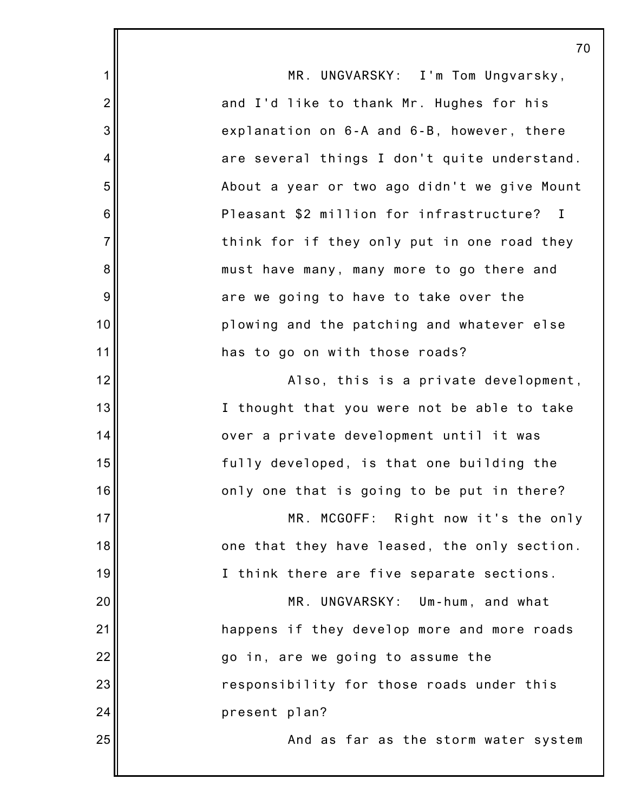|                | 70                                           |
|----------------|----------------------------------------------|
| $\mathbf 1$    | MR. UNGVARSKY: I'm Tom Ungvarsky,            |
| $\overline{2}$ | and I'd like to thank Mr. Hughes for his     |
| 3              | explanation on 6-A and 6-B, however, there   |
| 4              | are several things I don't quite understand. |
| 5              | About a year or two ago didn't we give Mount |
| 6              | Pleasant \$2 million for infrastructure? I   |
| $\overline{7}$ | think for if they only put in one road they  |
| 8              | must have many, many more to go there and    |
| 9              | are we going to have to take over the        |
| 10             | plowing and the patching and whatever else   |
| 11             | has to go on with those roads?               |
| 12             | Also, this is a private development,         |
| 13             | I thought that you were not be able to take  |
| 14             | over a private development until it was      |
| 15             | fully developed, is that one building the    |
| 16             | only one that is going to be put in there?   |
| 17             | MR. MCGOFF: Right now it's the only          |
| 18             | one that they have leased, the only section. |
| 19             | I think there are five separate sections.    |
| 20             | MR. UNGVARSKY: Um-hum, and what              |
| 21             | happens if they develop more and more roads  |
| 22             | go in, are we going to assume the            |
| 23             | responsibility for those roads under this    |
| 24             | present plan?                                |
| 25             | And as far as the storm water system         |
|                |                                              |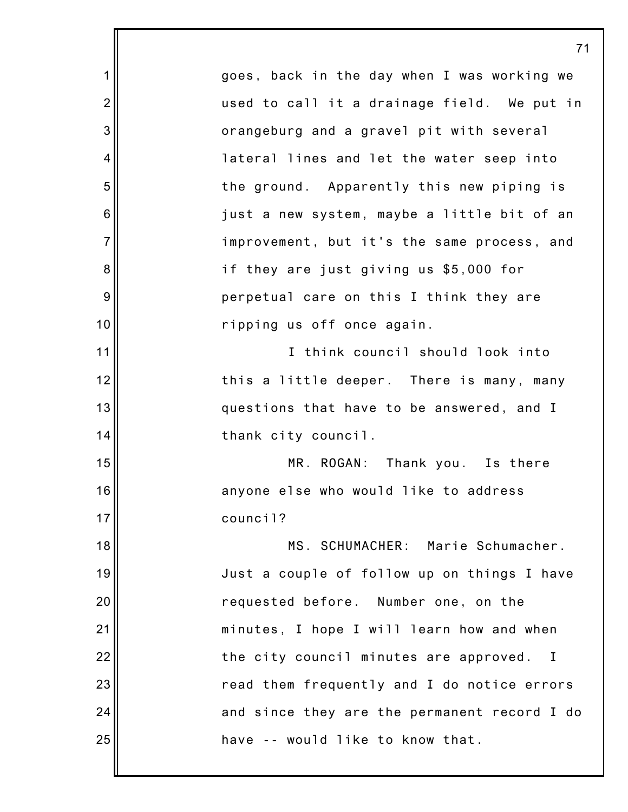1 2 3 4 5 6 7 8 9 10 11 12 13 14 15 16 17 18 19 20 21 22 23 24 25 71 goes, back in the day when I was working we used to call it a drainage field. We put in orangeburg and a gravel pit with several lateral lines and let the water seep into the ground. Apparently this new piping is just a new system, maybe a little bit of an improvement, but it's the same process, and if they are just giving us \$5,000 for perpetual care on this I think they are ripping us off once again. I think council should look into this a little deeper. There is many, many questions that have to be answered, and I thank city council. MR. ROGAN: Thank you. Is there anyone else who would like to address council? MS. SCHUMACHER: Marie Schumacher. Just a couple of follow up on things I have requested before. Number one, on the minutes, I hope I will learn how and when the city council minutes are approved. I read them frequently and I do notice errors and since they are the permanent record I do have -- would like to know that.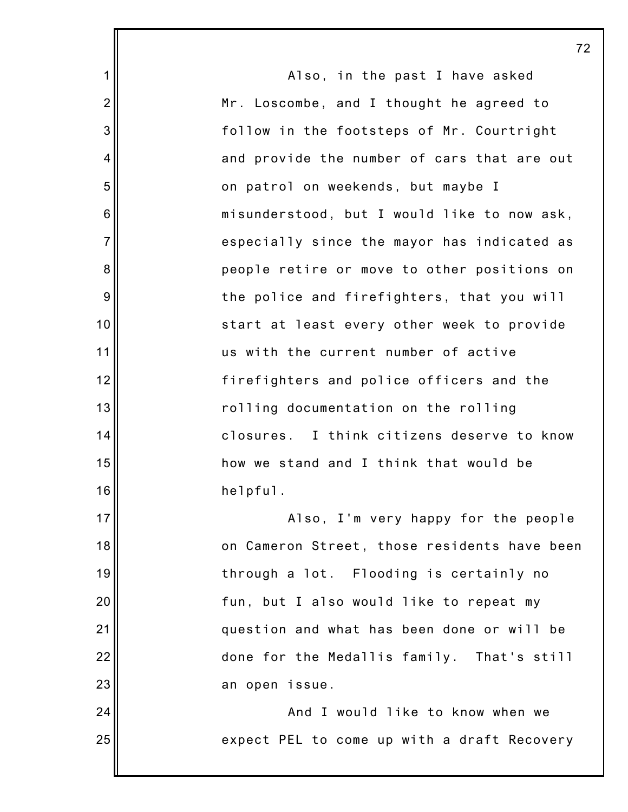1 2 3 4 5 6 7 8 9 10 11 12 13 14 15 16 17 18 19 20 21 22 23 24 25 72 Also, in the past I have asked Mr. Loscombe, and I thought he agreed to follow in the footsteps of Mr. Courtright and provide the number of cars that are out on patrol on weekends, but maybe I misunderstood, but I would like to now ask, especially since the mayor has indicated as people retire or move to other positions on the police and firefighters, that you will start at least every other week to provide us with the current number of active firefighters and police officers and the rolling documentation on the rolling closures. I think citizens deserve to know how we stand and I think that would be helpful. Also, I'm very happy for the people on Cameron Street, those residents have been through a lot. Flooding is certainly no fun, but I also would like to repeat my question and what has been done or will be done for the Medallis family. That's still an open issue. And I would like to know when we expect PEL to come up with a draft Recovery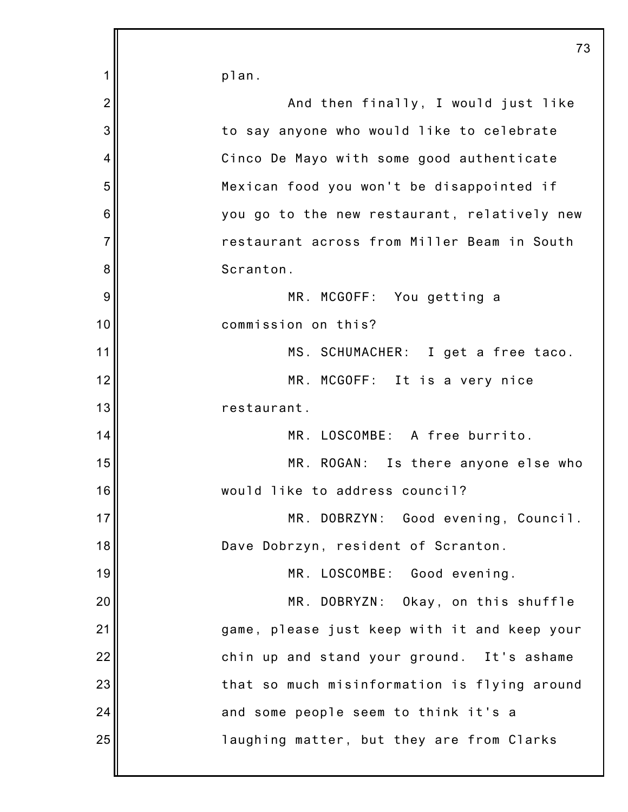|                | 73                                           |
|----------------|----------------------------------------------|
| 1              | plan.                                        |
| $\overline{2}$ | And then finally, I would just like          |
| 3              | to say anyone who would like to celebrate    |
| 4              | Cinco De Mayo with some good authenticate    |
| 5              | Mexican food you won't be disappointed if    |
| 6              | you go to the new restaurant, relatively new |
| $\overline{7}$ | restaurant across from Miller Beam in South  |
| 8              | Scranton.                                    |
| 9              | MR. MCGOFF: You getting a                    |
| 10             | commission on this?                          |
| 11             | MS. SCHUMACHER: I get a free taco.           |
| 12             | MR. MCGOFF: It is a very nice                |
| 13             | restaurant.                                  |
| 14             | MR. LOSCOMBE: A free burrito.                |
| 15             | MR. ROGAN: Is there anyone else who          |
| 16             | would like to address council?               |
| 17             | MR. DOBRZYN: Good evening, Council.          |
| 18             | Dave Dobrzyn, resident of Scranton.          |
| 19             | MR. LOSCOMBE: Good evening.                  |
| 20             | MR. DOBRYZN: Okay, on this shuffle           |
| 21             | game, please just keep with it and keep your |
| 22             | chin up and stand your ground. It's ashame   |
| 23             | that so much misinformation is flying around |
| 24             | and some people seem to think it's a         |
| 25             | laughing matter, but they are from Clarks    |
|                |                                              |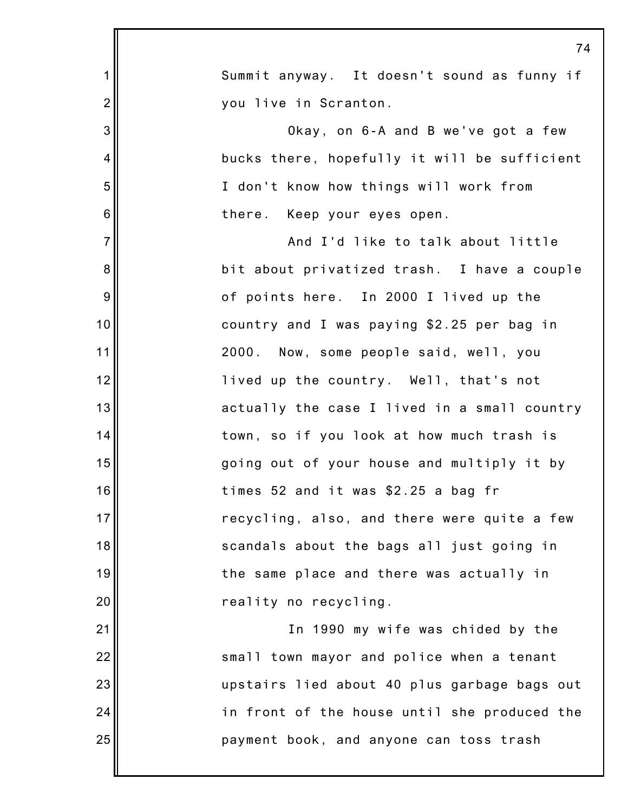|                | 74                                           |
|----------------|----------------------------------------------|
| $\mathbf 1$    | Summit anyway. It doesn't sound as funny if  |
| $\overline{2}$ | you live in Scranton.                        |
| 3              | Okay, on 6-A and B we've got a few           |
| 4'             | bucks there, hopefully it will be sufficient |
| 5              | I don't know how things will work from       |
| 6              | there. Keep your eyes open.                  |
| $\overline{7}$ | And I'd like to talk about little            |
| 8              | bit about privatized trash. I have a couple  |
| 9              | of points here. In 2000 I lived up the       |
| 10             | country and I was paying \$2.25 per bag in   |
| 11             | 2000. Now, some people said, well, you       |
| 12             | lived up the country. Well, that's not       |
| 13             | actually the case I lived in a small country |
| 14             | town, so if you look at how much trash is    |
| 15             | going out of your house and multiply it by   |
| 16             | times 52 and it was \$2.25 a bag fr          |
| 17             | recycling, also, and there were quite a few  |
| 18             | scandals about the bags all just going in    |
| 19             | the same place and there was actually in     |
| 20             | reality no recycling.                        |
| 21             | In 1990 my wife was chided by the            |
| 22             | small town mayor and police when a tenant    |
| 23             | upstairs lied about 40 plus garbage bags out |
| 24             | in front of the house until she produced the |
| 25             | payment book, and anyone can toss trash      |
|                |                                              |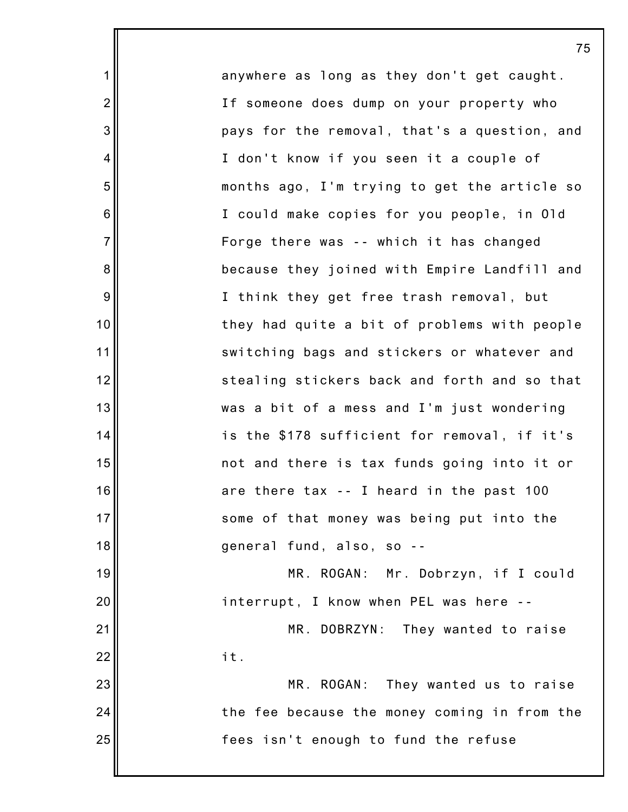anywhere as long as they don't get caught. If someone does dump on your property who pays for the removal, that's a question, and I don't know if you seen it a couple of months ago, I'm trying to get the article so I could make copies for you people, in Old Forge there was -- which it has changed because they joined with Empire Landfill and I think they get free trash removal, but they had quite a bit of problems with people switching bags and stickers or whatever and stealing stickers back and forth and so that was a bit of a mess and I'm just wondering is the \$178 sufficient for removal, if it's not and there is tax funds going into it or are there tax -- I heard in the past 100 some of that money was being put into the general fund, also, so -- MR. ROGAN: Mr. Dobrzyn, if I could interrupt, I know when PEL was here -- MR. DOBRZYN: They wanted to raise it. MR. ROGAN: They wanted us to raise the fee because the money coming in from the fees isn't enough to fund the refuse

1

2

3

4

5

6

7

8

9

10

11

12

13

14

15

16

17

18

19

20

21

22

23

24

25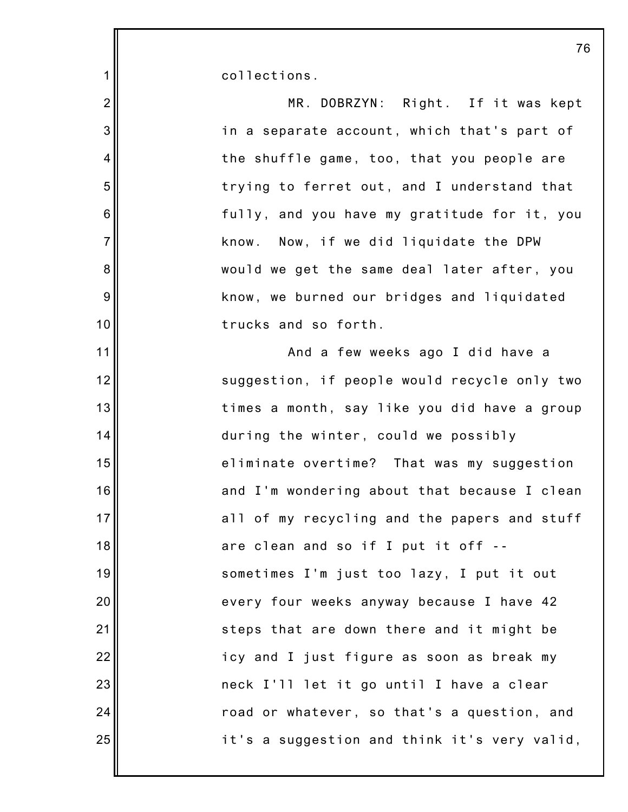collections.

1

| $\overline{2}$  | MR. DOBRZYN: Right. If it was kept           |
|-----------------|----------------------------------------------|
| 3               | in a separate account, which that's part of  |
| $\overline{4}$  | the shuffle game, too, that you people are   |
| 5               | trying to ferret out, and I understand that  |
| $6\phantom{1}6$ | fully, and you have my gratitude for it, you |
| $\overline{7}$  | know. Now, if we did liquidate the DPW       |
| 8               | would we get the same deal later after, you  |
| 9               | know, we burned our bridges and liquidated   |
| 10              | trucks and so forth.                         |
| 11              | And a few weeks ago I did have a             |
| 12              | suggestion, if people would recycle only two |
| 13              | times a month, say like you did have a group |
| 14              | during the winter, could we possibly         |
| 15              | eliminate overtime? That was my suggestion   |
| 16              | and I'm wondering about that because I clean |
| 17              | all of my recycling and the papers and stuff |
| 18              | are clean and so if I put it off --          |
| 19              | sometimes I'm just too lazy, I put it out    |
| 20              | every four weeks anyway because I have 42    |
| 21              | steps that are down there and it might be    |
| 22              | icy and I just figure as soon as break my    |
| 23              | neck I'll let it go until I have a clear     |
| 24              | road or whatever, so that's a question, and  |
| 25              | it's a suggestion and think it's very valid, |
|                 |                                              |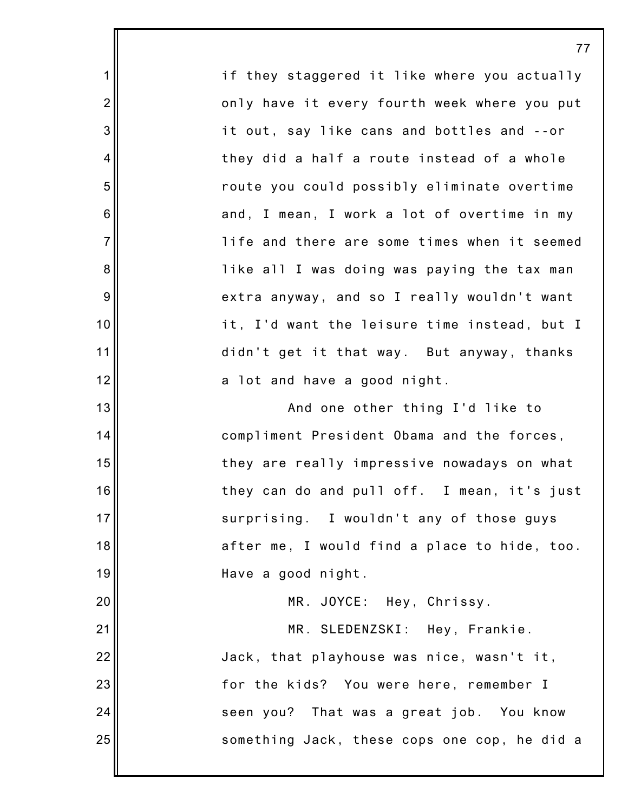1 2 3 4 5 6 7 8 9 10 11 12 13 14 15 16 17 18 19 20 21 22 23 24 25 if they staggered it like where you actually only have it every fourth week where you put it out, say like cans and bottles and --or they did a half a route instead of a whole route you could possibly eliminate overtime and, I mean, I work a lot of overtime in my life and there are some times when it seemed like all I was doing was paying the tax man extra anyway, and so I really wouldn't want it, I'd want the leisure time instead, but I didn't get it that way. But anyway, thanks a lot and have a good night. And one other thing I'd like to compliment President Obama and the forces, they are really impressive nowadays on what they can do and pull off. I mean, it's just surprising. I wouldn't any of those guys after me, I would find a place to hide, too. Have a good night. MR. JOYCE: Hey, Chrissy. MR. SLEDENZSKI: Hey, Frankie. Jack, that playhouse was nice, wasn't it, for the kids? You were here, remember I seen you? That was a great job. You know something Jack, these cops one cop, he did a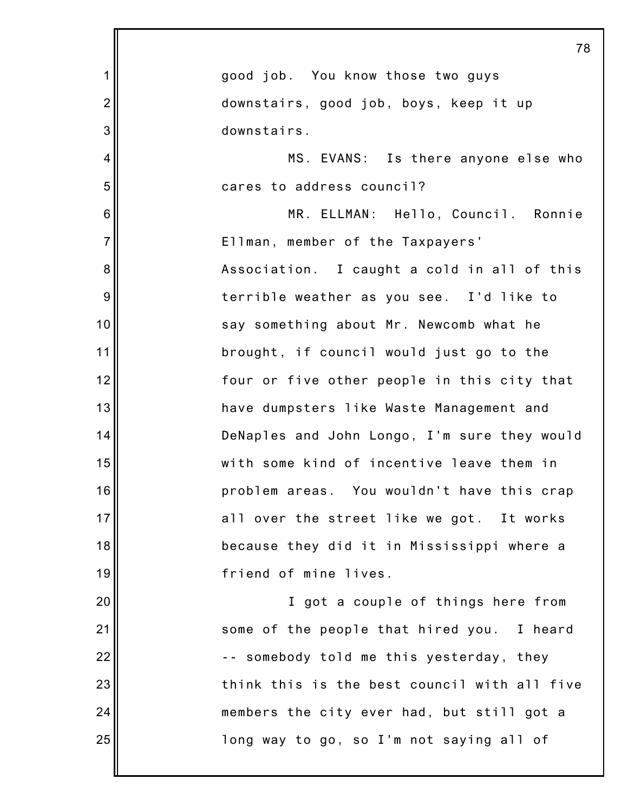|                 | 78                                           |
|-----------------|----------------------------------------------|
| 1               | good job. You know those two guys            |
| $\overline{2}$  | downstairs, good job, boys, keep it up       |
| 3               | downstairs.                                  |
| 4               | MS. EVANS: Is there anyone else who          |
| 5               | cares to address council?                    |
| $6\phantom{1}6$ | MR. ELLMAN: Hello, Council. Ronnie           |
| $\overline{7}$  | Ellman, member of the Taxpayers'             |
| 8               | Association. I caught a cold in all of this  |
| 9               | terrible weather as you see. I'd like to     |
| 10              | say something about Mr. Newcomb what he      |
| 11              | brought, if council would just go to the     |
| 12              | four or five other people in this city that  |
| 13              | have dumpsters like Waste Management and     |
| 14              | DeNaples and John Longo, I'm sure they would |
| 15              | with some kind of incentive leave them in    |
| 16              | problem areas. You wouldn't have this crap   |
| 17              | all over the street like we got. It works    |
| 18              | because they did it in Mississippi where a   |
| 19              | friend of mine lives.                        |
| 20              | I got a couple of things here from           |
| 21              | some of the people that hired you. I heard   |
| 22              | -- somebody told me this yesterday, they     |
| 23              | think this is the best council with all five |
| 24              | members the city ever had, but still got a   |
| 25              | long way to go, so I'm not saying all of     |
|                 |                                              |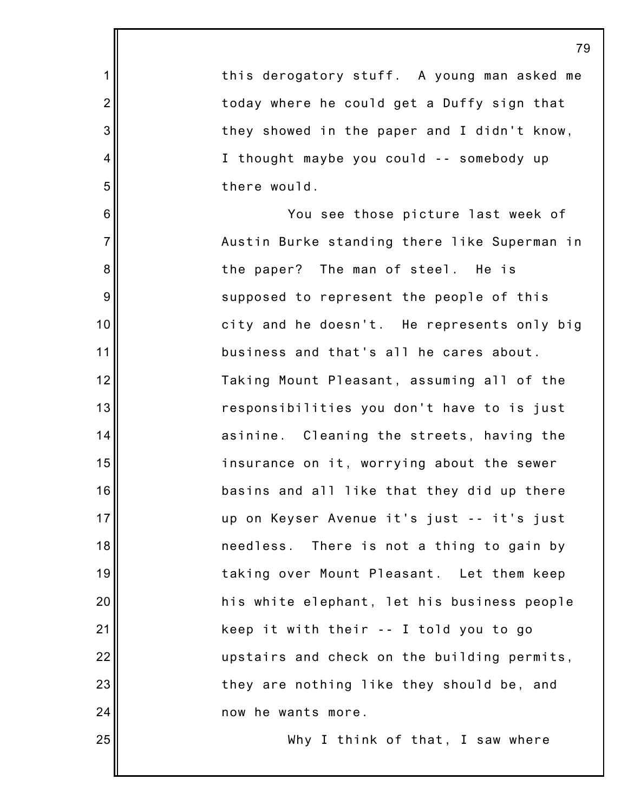|                 | 79                                           |
|-----------------|----------------------------------------------|
| $\mathbf 1$     | this derogatory stuff. A young man asked me  |
| $\overline{2}$  | today where he could get a Duffy sign that   |
| 3               | they showed in the paper and I didn't know,  |
| 4               | I thought maybe you could -- somebody up     |
| 5               | there would.                                 |
| $6\phantom{1}6$ | You see those picture last week of           |
| $\overline{7}$  | Austin Burke standing there like Superman in |
| 8               | the paper? The man of steel. He is           |
| $9\,$           | supposed to represent the people of this     |
| 10              | city and he doesn't. He represents only big  |
| 11              | business and that's all he cares about.      |
| 12              | Taking Mount Pleasant, assuming all of the   |
| 13              | responsibilities you don't have to is just   |
| 14              | asinine. Cleaning the streets, having the    |
| 15              | insurance on it, worrying about the sewer    |
| 16              | basins and all like that they did up there   |
| 17              | up on Keyser Avenue it's just -- it's just   |
| 18              | needless. There is not a thing to gain by    |
| 19              | taking over Mount Pleasant. Let them keep    |
| 20              | his white elephant, let his business people  |
| 21              | keep it with their -- I told you to go       |
| 22              | upstairs and check on the building permits,  |
| 23              | they are nothing like they should be, and    |
| 24              | now he wants more.                           |
| 25              | Why I think of that, I saw where             |
|                 |                                              |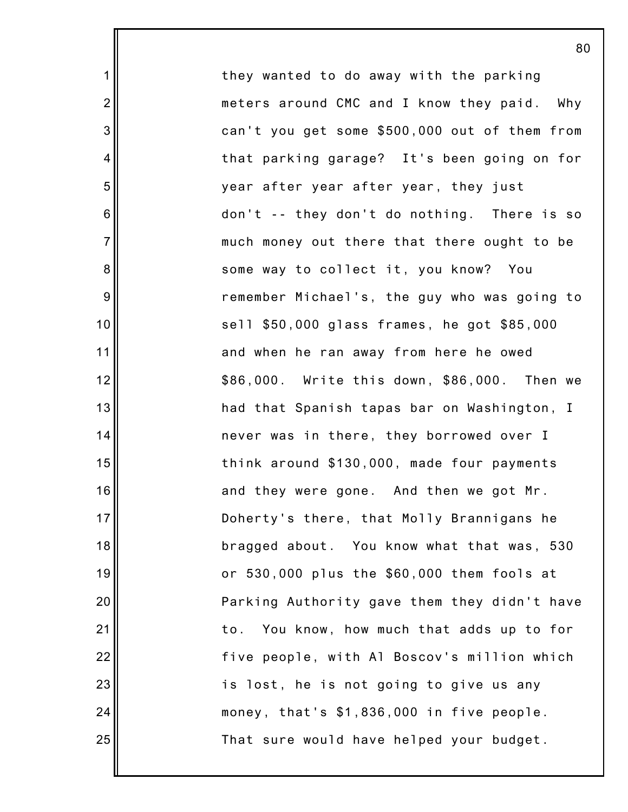they wanted to do away with the parking meters around CMC and I know they paid. Why can't you get some \$500,000 out of them from that parking garage? It's been going on for year after year after year, they just don't -- they don't do nothing. There is so much money out there that there ought to be some way to collect it, you know? You remember Michael's, the guy who was going to sell \$50,000 glass frames, he got \$85,000 and when he ran away from here he owed \$86,000. Write this down, \$86,000. Then we had that Spanish tapas bar on Washington, I never was in there, they borrowed over I think around \$130,000, made four payments and they were gone. And then we got Mr. Doherty's there, that Molly Brannigans he bragged about. You know what that was, 530 or 530,000 plus the \$60,000 them fools at Parking Authority gave them they didn't have to. You know, how much that adds up to for five people, with Al Boscov's million which is lost, he is not going to give us any money, that's \$1,836,000 in five people. That sure would have helped your budget.

80

1

2

3

4

5

6

7

8

9

10

11

12

13

14

15

16

17

18

19

20

21

22

23

24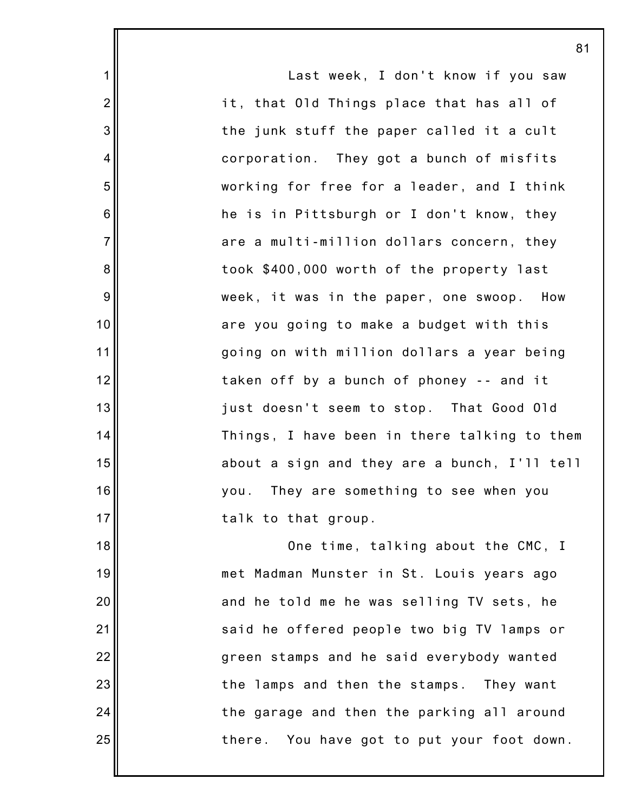|                | 81                                           |
|----------------|----------------------------------------------|
| 1              | Last week, I don't know if you saw           |
| $\overline{2}$ | it, that Old Things place that has all of    |
| 3              | the junk stuff the paper called it a cult    |
| 4              | corporation. They got a bunch of misfits     |
| 5              | working for free for a leader, and I think   |
| 6              | he is in Pittsburgh or I don't know, they    |
| $\overline{7}$ | are a multi-million dollars concern, they    |
| 8              | took \$400,000 worth of the property last    |
| 9              | week, it was in the paper, one swoop.<br>How |
| 10             | are you going to make a budget with this     |
| 11             | going on with million dollars a year being   |
| 12             | taken off by a bunch of phoney -- and it     |
| 13             | just doesn't seem to stop. That Good Old     |
| 14             | Things, I have been in there talking to them |
| 15             | about a sign and they are a bunch, I'll tell |
| 16             | you. They are something to see when you      |
| 17             | talk to that group.                          |
| 18             | One time, talking about the CMC, I           |
| 19             | met Madman Munster in St. Louis years ago    |
| 20             | and he told me he was selling TV sets, he    |
| 21             | said he offered people two big TV lamps or   |
| 22             | green stamps and he said everybody wanted    |
| 23             | the lamps and then the stamps. They want     |
| 24             | the garage and then the parking all around   |
| 25             | there. You have got to put your foot down.   |
|                |                                              |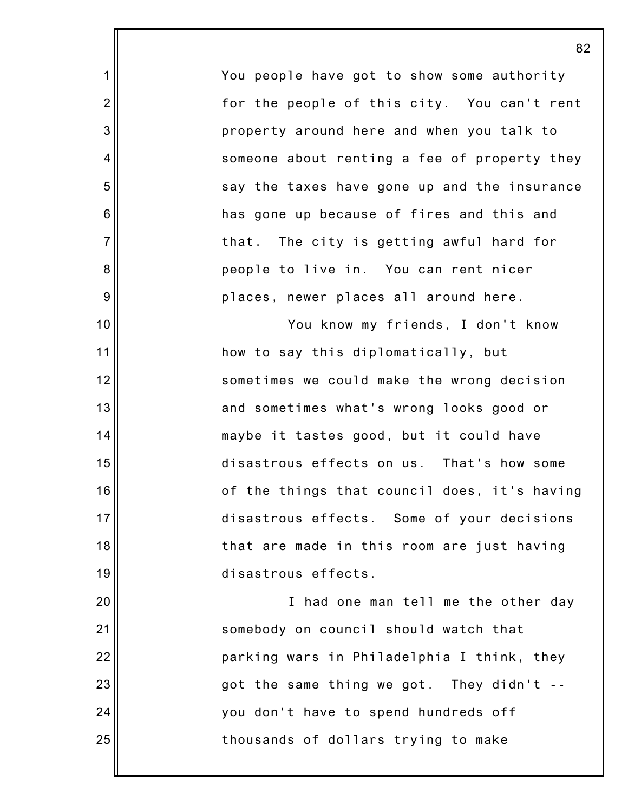You people have got to show some authority for the people of this city. You can't rent property around here and when you talk to someone about renting a fee of property they say the taxes have gone up and the insurance has gone up because of fires and this and that. The city is getting awful hard for people to live in. You can rent nicer places, newer places all around here.

1

2

3

4

5

6

7

8

9

10

11

12

13

14

15

16

17

18

19

20

21

22

23

24

25

You know my friends, I don't know how to say this diplomatically, but sometimes we could make the wrong decision and sometimes what's wrong looks good or maybe it tastes good, but it could have disastrous effects on us. That's how some of the things that council does, it's having disastrous effects. Some of your decisions that are made in this room are just having disastrous effects.

I had one man tell me the other day somebody on council should watch that parking wars in Philadelphia I think, they got the same thing we got. They didn't - you don't have to spend hundreds off thousands of dollars trying to make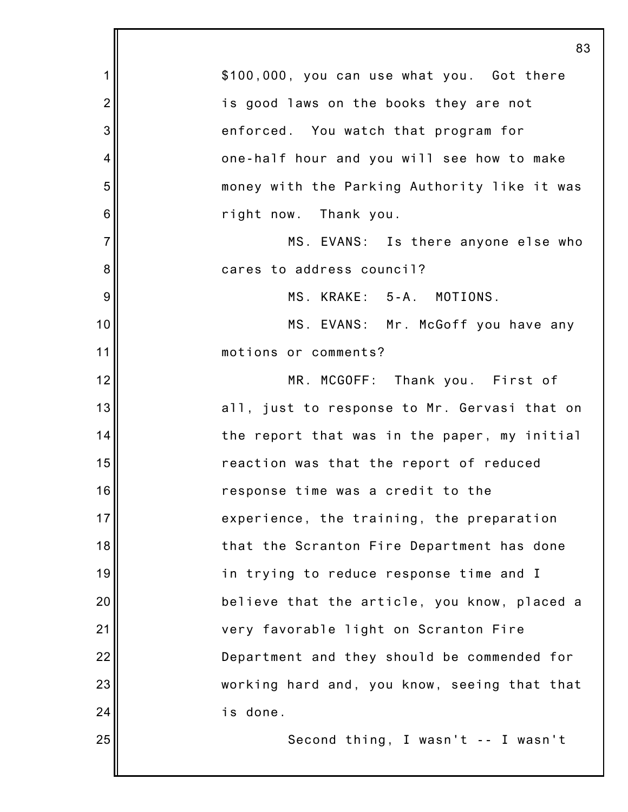|                | 83                                           |
|----------------|----------------------------------------------|
| 1              | \$100,000, you can use what you. Got there   |
| $\overline{2}$ | is good laws on the books they are not       |
| 3              | enforced. You watch that program for         |
| 4              | one-half hour and you will see how to make   |
| 5              | money with the Parking Authority like it was |
| $\,$ 6 $\,$    | right now. Thank you.                        |
| $\overline{7}$ | MS. EVANS: Is there anyone else who          |
| 8              | cares to address council?                    |
| $\overline{9}$ | MS. KRAKE: 5-A. MOTIONS.                     |
| 10             | MS. EVANS: Mr. McGoff you have any           |
| 11             | motions or comments?                         |
| 12             | MR. MCGOFF: Thank you. First of              |
| 13             | all, just to response to Mr. Gervasi that on |
| 14             | the report that was in the paper, my initial |
| 15             | reaction was that the report of reduced      |
| 16             | response time was a credit to the            |
| 17             | experience, the training, the preparation    |
| 18             | that the Scranton Fire Department has done   |
| 19             | in trying to reduce response time and I      |
| 20             | believe that the article, you know, placed a |
| 21             | very favorable light on Scranton Fire        |
| 22             | Department and they should be commended for  |
| 23             | working hard and, you know, seeing that that |
| 24             | is done.                                     |
| 25             | Second thing, I wasn't -- I wasn't           |
|                |                                              |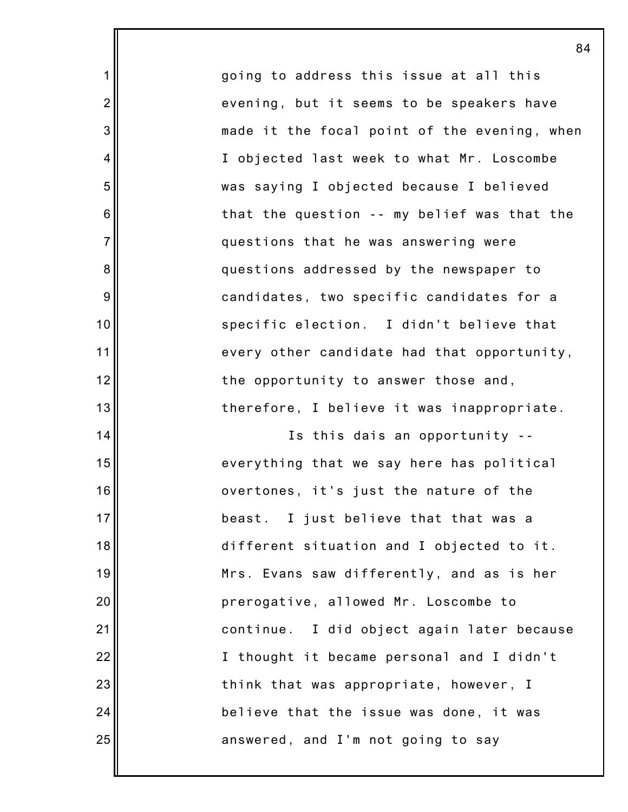going to address this issue at all this evening, but it seems to be speakers have made it the focal point of the evening, when I objected last week to what Mr. Loscombe was saying I objected because I believed that the question -- my belief was that the questions that he was answering were questions addressed by the newspaper to candidates, two specific candidates for a specific election. I didn't believe that every other candidate had that opportunity, the opportunity to answer those and, therefore, I believe it was inappropriate.

1

2

3

4

5

6

7

8

9

10

11

12

13

14

15

16

17

18

19

20

21

22

23

24

25

Is this dais an opportunity - everything that we say here has political overtones, it's just the nature of the beast. I just believe that that was a different situation and I objected to it. Mrs. Evans saw differently, and as is her prerogative, allowed Mr. Loscombe to continue. I did object again later because I thought it became personal and I didn't think that was appropriate, however, I believe that the issue was done, it was answered, and I'm not going to say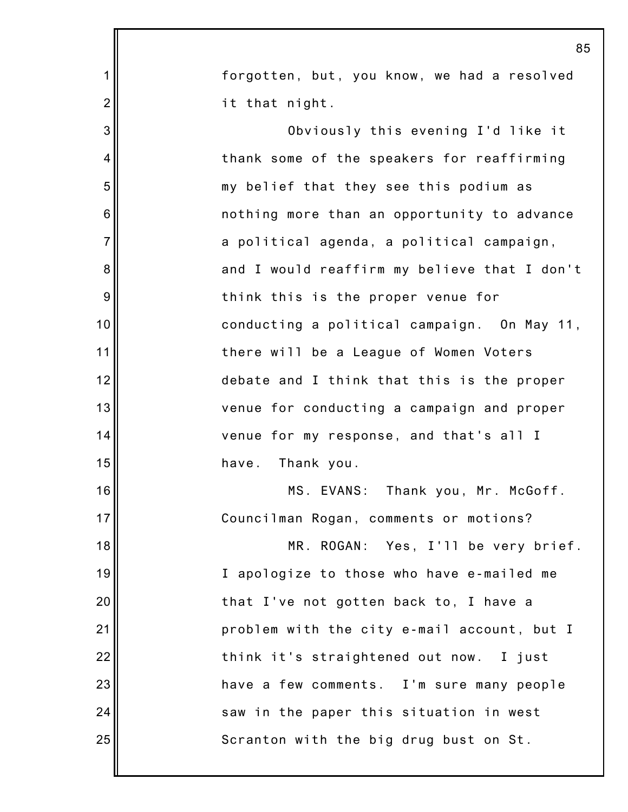|                | 85                                           |
|----------------|----------------------------------------------|
| 1              | forgotten, but, you know, we had a resolved  |
| $\overline{2}$ | it that night.                               |
| 3              | Obviously this evening I'd like it           |
| 4              | thank some of the speakers for reaffirming   |
| 5              | my belief that they see this podium as       |
| 6              | nothing more than an opportunity to advance  |
| $\overline{7}$ | a political agenda, a political campaign,    |
| 8              | and I would reaffirm my believe that I don't |
| 9              | think this is the proper venue for           |
| 10             | conducting a political campaign. On May 11,  |
| 11             | there will be a League of Women Voters       |
| 12             | debate and I think that this is the proper   |
| 13             | venue for conducting a campaign and proper   |
| 14             | venue for my response, and that's all I      |
| 15             | Thank you.<br>have.                          |
| 16             | MS. EVANS: Thank you, Mr. McGoff.            |
| 17             | Councilman Rogan, comments or motions?       |
| 18             | MR. ROGAN: Yes, I'll be very brief.          |
| 19             | I apologize to those who have e-mailed me    |
| 20             | that I've not gotten back to, I have a       |
| 21             | problem with the city e-mail account, but I  |
| 22             | think it's straightened out now. I just      |
| 23             | have a few comments. I'm sure many people    |
| 24             | saw in the paper this situation in west      |
| 25             | Scranton with the big drug bust on St.       |
|                |                                              |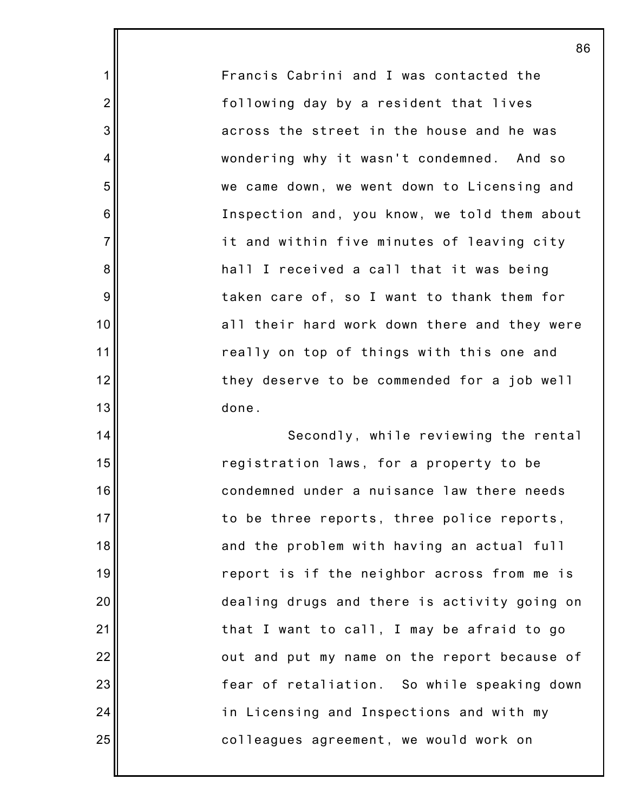Francis Cabrini and I was contacted the following day by a resident that lives across the street in the house and he was wondering why it wasn't condemned. And so we came down, we went down to Licensing and Inspection and, you know, we told them about it and within five minutes of leaving city hall I received a call that it was being taken care of, so I want to thank them for all their hard work down there and they were really on top of things with this one and they deserve to be commended for a job well done.

1

2

3

4

5

6

7

8

9

10

11

12

13

14

15

16

17

18

19

20

21

22

23

24

25

Secondly, while reviewing the rental registration laws, for a property to be condemned under a nuisance law there needs to be three reports, three police reports, and the problem with having an actual full report is if the neighbor across from me is dealing drugs and there is activity going on that I want to call, I may be afraid to go out and put my name on the report because of fear of retaliation. So while speaking down in Licensing and Inspections and with my colleagues agreement, we would work on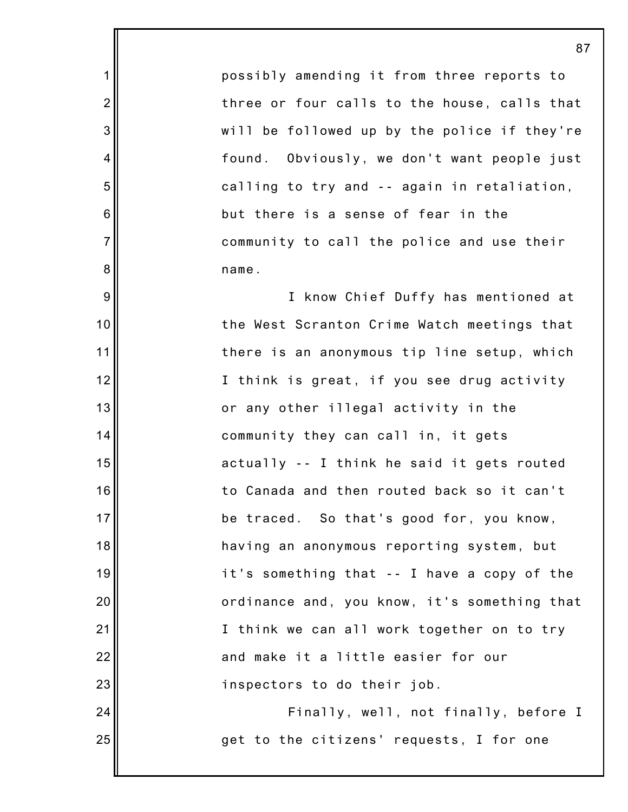possibly amending it from three reports to three or four calls to the house, calls that will be followed up by the police if they're found. Obviously, we don't want people just calling to try and -- again in retaliation, but there is a sense of fear in the community to call the police and use their name.

1

2

3

4

5

6

7

8

9

10

11

12

13

14

15

16

17

18

19

20

21

22

23

24

25

I know Chief Duffy has mentioned at the West Scranton Crime Watch meetings that there is an anonymous tip line setup, which I think is great, if you see drug activity or any other illegal activity in the community they can call in, it gets actually -- I think he said it gets routed to Canada and then routed back so it can't be traced. So that's good for, you know, having an anonymous reporting system, but it's something that -- I have a copy of the ordinance and, you know, it's something that I think we can all work together on to try and make it a little easier for our inspectors to do their job.

Finally, well, not finally, before I get to the citizens' requests, I for one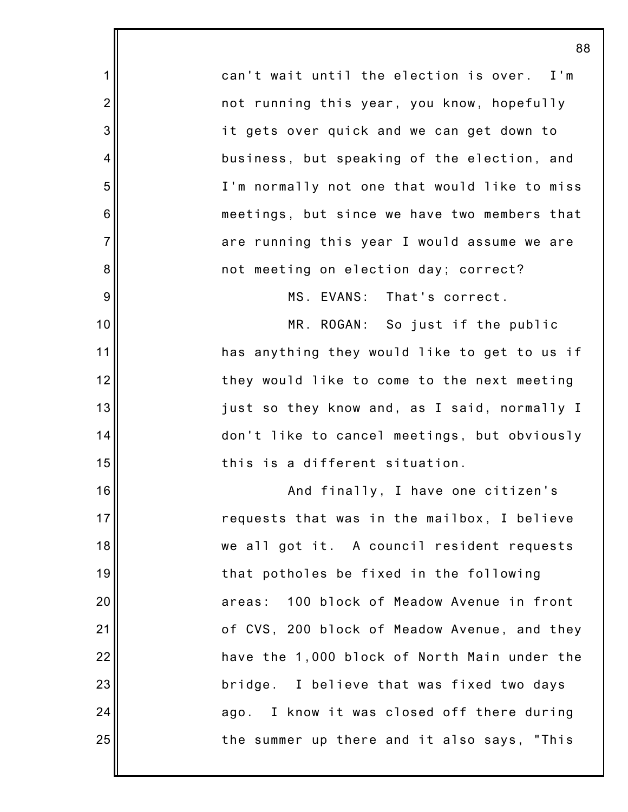can't wait until the election is over. I'm not running this year, you know, hopefully it gets over quick and we can get down to business, but speaking of the election, and I'm normally not one that would like to miss meetings, but since we have two members that are running this year I would assume we are not meeting on election day; correct?

1

2

3

4

5

6

7

8

9

10

11

12

13

14

15

16

17

18

19

20

21

22

23

24

25

MS. EVANS: That's correct.

MR. ROGAN: So just if the public has anything they would like to get to us if they would like to come to the next meeting just so they know and, as I said, normally I don't like to cancel meetings, but obviously this is a different situation.

And finally, I have one citizen's requests that was in the mailbox, I believe we all got it. A council resident requests that potholes be fixed in the following areas: 100 block of Meadow Avenue in front of CVS, 200 block of Meadow Avenue, and they have the 1,000 block of North Main under the bridge. I believe that was fixed two days ago. I know it was closed off there during the summer up there and it also says, "This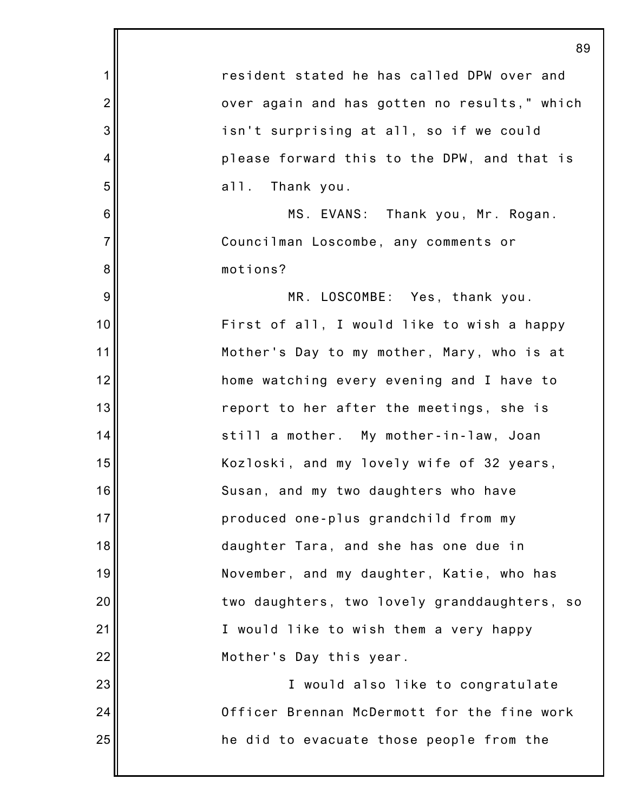|                | 89                                           |
|----------------|----------------------------------------------|
| 1              | resident stated he has called DPW over and   |
| $\overline{2}$ | over again and has gotten no results," which |
| 3              | isn't surprising at all, so if we could      |
| 4              | please forward this to the DPW, and that is  |
| 5              | all. Thank you.                              |
| 6              | MS. EVANS: Thank you, Mr. Rogan.             |
| $\overline{7}$ | Councilman Loscombe, any comments or         |
| 8              | motions?                                     |
| 9              | MR. LOSCOMBE: Yes, thank you.                |
| 10             | First of all, I would like to wish a happy   |
| 11             | Mother's Day to my mother, Mary, who is at   |
| 12             | home watching every evening and I have to    |
| 13             | report to her after the meetings, she is     |
| 14             | still a mother. My mother-in-law, Joan       |
| 15             | Kozloski, and my lovely wife of 32 years,    |
| 16             | Susan, and my two daughters who have         |
| 17             | produced one-plus grandchild from my         |
| 18             | daughter Tara, and she has one due in        |
| 19             | November, and my daughter, Katie, who has    |
| 20             | two daughters, two lovely granddaughters, so |
| 21             | I would like to wish them a very happy       |
| 22             | Mother's Day this year.                      |
| 23             | I would also like to congratulate            |
| 24             | Officer Brennan McDermott for the fine work  |
| 25             | he did to evacuate those people from the     |
|                |                                              |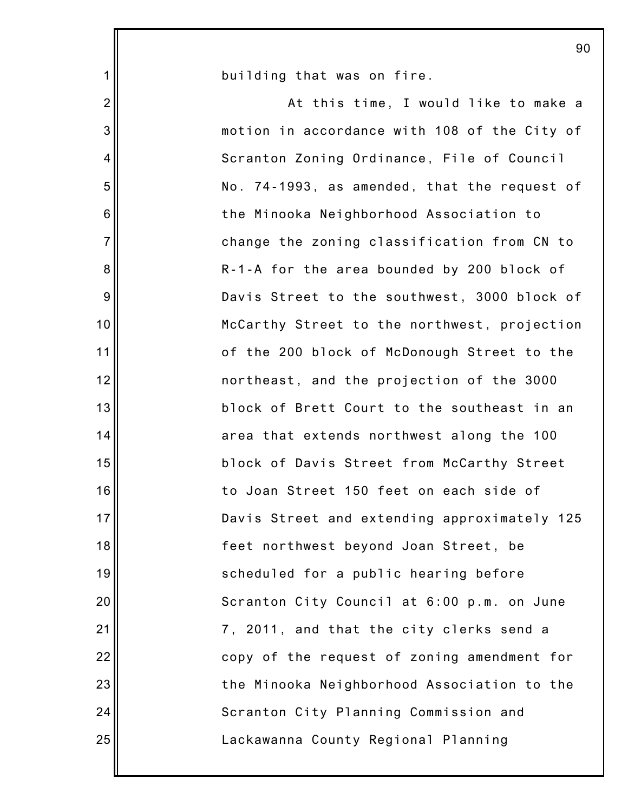|                 | 90                                           |
|-----------------|----------------------------------------------|
| $\mathbf 1$     | building that was on fire.                   |
| $\overline{2}$  | At this time, I would like to make a         |
| 3               | motion in accordance with 108 of the City of |
| 4               | Scranton Zoning Ordinance, File of Council   |
| 5               | No. 74-1993, as amended, that the request of |
| 6               | the Minooka Neighborhood Association to      |
| $\overline{7}$  | change the zoning classification from CN to  |
| $\bf 8$         | R-1-A for the area bounded by 200 block of   |
| $9\,$           | Davis Street to the southwest, 3000 block of |
| 10              | McCarthy Street to the northwest, projection |
| 11              | of the 200 block of McDonough Street to the  |
| 12              | northeast, and the projection of the 3000    |
| 13              | block of Brett Court to the southeast in an  |
| 14              | area that extends northwest along the 100    |
| 15              | block of Davis Street from McCarthy Street   |
| 16 <sup>1</sup> | to Joan Street 150 feet on each side of      |
| 17              | Davis Street and extending approximately 125 |
| 18              | feet northwest beyond Joan Street, be        |
| 19              | scheduled for a public hearing before        |
| 20              | Scranton City Council at 6:00 p.m. on June   |
| 21              | 7, 2011, and that the city clerks send a     |
| 22              | copy of the request of zoning amendment for  |
| 23              | the Minooka Neighborhood Association to the  |
| 24              | Scranton City Planning Commission and        |
| 25              | Lackawanna County Regional Planning          |
|                 |                                              |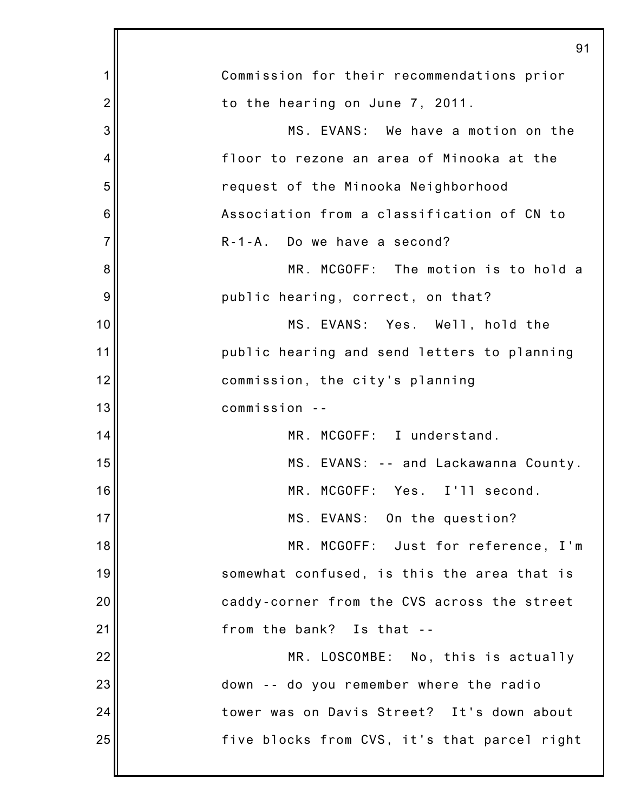|                | 91                                           |
|----------------|----------------------------------------------|
| 1              | Commission for their recommendations prior   |
| $\overline{2}$ | to the hearing on June 7, 2011.              |
| 3              | MS. EVANS: We have a motion on the           |
| 4              | floor to rezone an area of Minooka at the    |
| 5              | request of the Minooka Neighborhood          |
| 6              | Association from a classification of CN to   |
| $\overline{7}$ | R-1-A. Do we have a second?                  |
| 8              | MR. MCGOFF: The motion is to hold a          |
| 9              | public hearing, correct, on that?            |
| 10             | MS. EVANS: Yes. Well, hold the               |
| 11             | public hearing and send letters to planning  |
| 12             | commission, the city's planning              |
| 13             | commission --                                |
| 14             | MR. MCGOFF: I understand.                    |
| 15             | MS. EVANS: -- and Lackawanna County.         |
| 16             | MR. MCGOFF: Yes. I'll second.                |
| 17             | MS. EVANS: On the question?                  |
| 18             | MR. MCGOFF: Just for reference, I'm          |
| 19             | somewhat confused, is this the area that is  |
| 20             | caddy-corner from the CVS across the street  |
| 21             | from the bank? Is that --                    |
| 22             | MR. LOSCOMBE: No, this is actually           |
| 23             | down -- do you remember where the radio      |
| 24             | tower was on Davis Street? It's down about   |
| 25             | five blocks from CVS, it's that parcel right |
|                |                                              |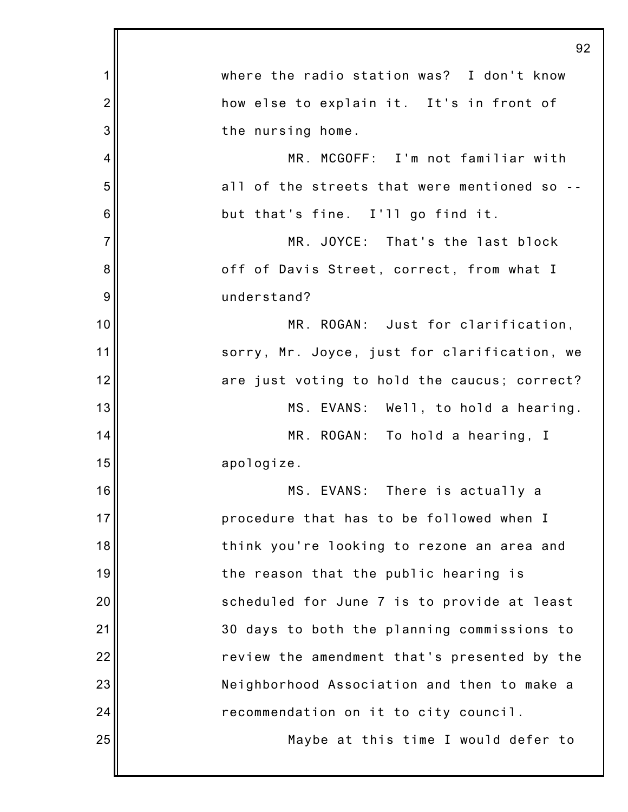|                | 92                                           |
|----------------|----------------------------------------------|
| 1              | where the radio station was? I don't know    |
| $\overline{2}$ | how else to explain it. It's in front of     |
| 3              | the nursing home.                            |
| 4              | MR. MCGOFF: I'm not familiar with            |
| 5              | all of the streets that were mentioned so -- |
| 6              | but that's fine. I'll go find it.            |
| $\overline{7}$ | MR. JOYCE: That's the last block             |
| 8              | off of Davis Street, correct, from what I    |
| 9              | understand?                                  |
| 10             | MR. ROGAN: Just for clarification,           |
| 11             | sorry, Mr. Joyce, just for clarification, we |
| 12             | are just voting to hold the caucus; correct? |
| 13             | MS. EVANS: Well, to hold a hearing.          |
| 14             | MR. ROGAN: To hold a hearing, I              |
| 15             | apologize.                                   |
| 16             | MS. EVANS: There is actually a               |
| 17             | procedure that has to be followed when I     |
| 18             | think you're looking to rezone an area and   |
| 19             | the reason that the public hearing is        |
| 20             | scheduled for June 7 is to provide at least  |
| 21             | 30 days to both the planning commissions to  |
| 22             | review the amendment that's presented by the |
| 23             | Neighborhood Association and then to make a  |
| 24             | recommendation on it to city council.        |
| 25             | Maybe at this time I would defer to          |
|                |                                              |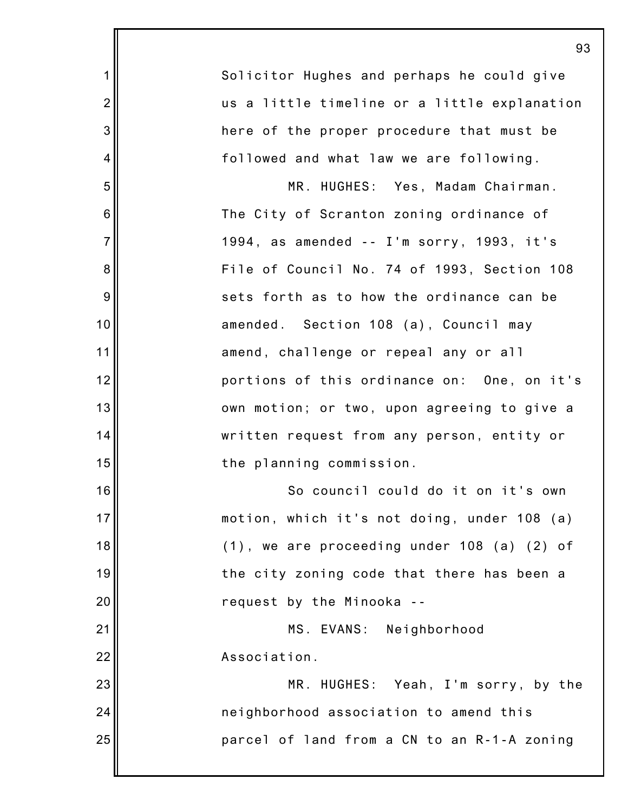|                | 93                                                 |
|----------------|----------------------------------------------------|
| 1              | Solicitor Hughes and perhaps he could give         |
| $\overline{2}$ | us a little timeline or a little explanation       |
| 3              | here of the proper procedure that must be          |
| 4              | followed and what law we are following.            |
| 5              | MR. HUGHES: Yes, Madam Chairman.                   |
| 6              | The City of Scranton zoning ordinance of           |
| $\overline{7}$ | 1994, as amended -- I'm sorry, 1993, it's          |
| 8              | File of Council No. 74 of 1993, Section 108        |
| 9              | sets forth as to how the ordinance can be          |
| 10             | amended. Section 108 (a), Council may              |
| 11             | amend, challenge or repeal any or all              |
| 12             | portions of this ordinance on: One, on it's        |
| 13             | own motion; or two, upon agreeing to give a        |
| 14             | written request from any person, entity or         |
| 15             | the planning commission.                           |
| 16             | So council could do it on it's own                 |
| 17             | motion, which it's not doing, under 108 (a)        |
| 18             | $(1)$ , we are proceeding under 108 $(a)$ $(2)$ of |
| 19             | the city zoning code that there has been a         |
| 20             | request by the Minooka --                          |
| 21             | MS. EVANS: Neighborhood                            |
| 22             | Association.                                       |
| 23             | MR. HUGHES: Yeah, I'm sorry, by the                |
| 24             | neighborhood association to amend this             |
| 25             | parcel of land from a CN to an R-1-A zoning        |
|                |                                                    |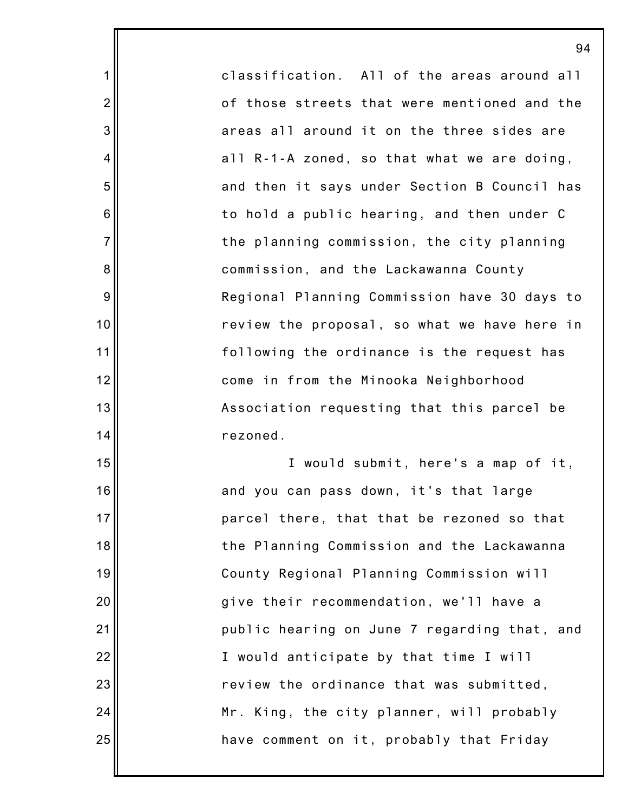classification. All of the areas around all of those streets that were mentioned and the areas all around it on the three sides are all R-1-A zoned, so that what we are doing, and then it says under Section B Council has to hold a public hearing, and then under C the planning commission, the city planning commission, and the Lackawanna County Regional Planning Commission have 30 days to review the proposal, so what we have here in following the ordinance is the request has come in from the Minooka Neighborhood Association requesting that this parcel be rezoned. I would submit, here's a map of it,

1

2

3

4

5

6

7

8

9

10

11

12

13

14

15

16

17

18

19

20

21

22

23

24

25

and you can pass down, it's that large parcel there, that that be rezoned so that the Planning Commission and the Lackawanna County Regional Planning Commission will give their recommendation, we'll have a public hearing on June 7 regarding that, and I would anticipate by that time I will review the ordinance that was submitted, Mr. King, the city planner, will probably have comment on it, probably that Friday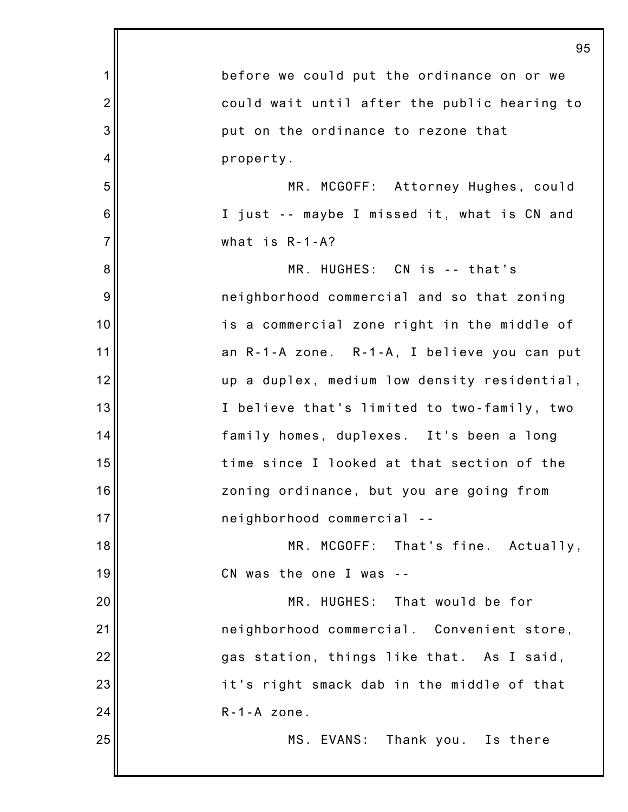|                | 95                                           |
|----------------|----------------------------------------------|
| 1              | before we could put the ordinance on or we   |
| $\overline{c}$ | could wait until after the public hearing to |
| 3              | put on the ordinance to rezone that          |
| 4              | property.                                    |
| 5              | MR. MCGOFF: Attorney Hughes, could           |
| 6              | I just -- maybe I missed it, what is CN and  |
| $\overline{7}$ | what is $R - 1 - A$ ?                        |
| 8              | MR. HUGHES: CN is -- that's                  |
| 9              | neighborhood commercial and so that zoning   |
| 10             | is a commercial zone right in the middle of  |
| 11             | an R-1-A zone. R-1-A, I believe you can put  |
| 12             | up a duplex, medium low density residential, |
| 13             | I believe that's limited to two-family, two  |
| 14             | family homes, duplexes. It's been a long     |
| 15             | time since I looked at that section of the   |
| 16             | zoning ordinance, but you are going from     |
| 17             | neighborhood commercial --                   |
| 18             | MR. MCGOFF: That's fine. Actually,           |
| 19             | CN was the one I was                         |
| 20             | MR. HUGHES: That would be for                |
| 21             | neighborhood commercial. Convenient store,   |
| 22             | gas station, things like that. As I said,    |
| 23             | it's right smack dab in the middle of that   |
| 24             | $R - 1 - A$ zone.                            |
| 25             | MS. EVANS: Thank you. Is there               |
|                |                                              |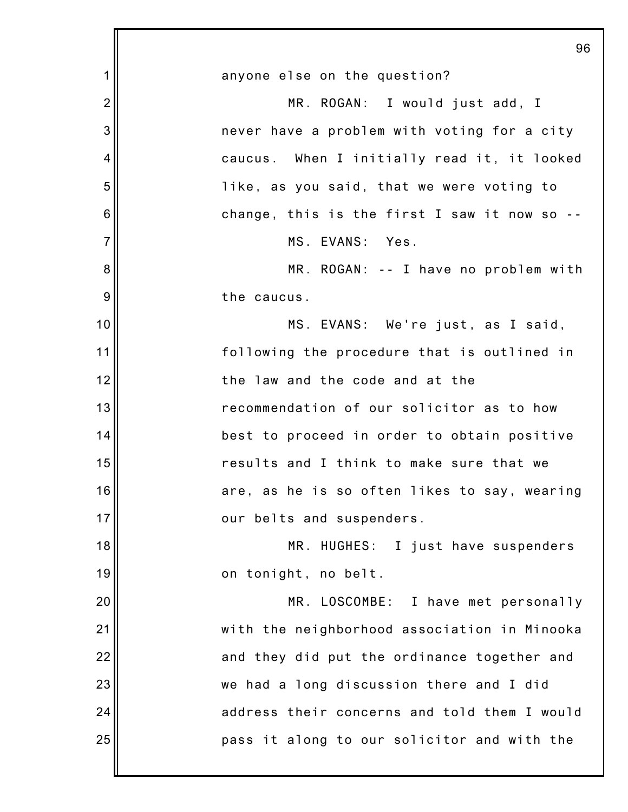|                | 96                                           |
|----------------|----------------------------------------------|
| 1              | anyone else on the question?                 |
| $\overline{2}$ | MR. ROGAN: I would just add, I               |
| 3              | never have a problem with voting for a city  |
| 4              | caucus. When I initially read it, it looked  |
| 5              | like, as you said, that we were voting to    |
| 6              | change, this is the first I saw it now so -- |
| $\overline{7}$ | MS. EVANS: Yes.                              |
| 8              | MR. ROGAN: -- I have no problem with         |
| 9              | the caucus.                                  |
| 10             | MS. EVANS: We're just, as I said,            |
| 11             | following the procedure that is outlined in  |
| 12             | the law and the code and at the              |
| 13             | recommendation of our solicitor as to how    |
| 14             | best to proceed in order to obtain positive  |
| 15             | results and I think to make sure that we     |
| 16             | are, as he is so often likes to say, wearing |
| 17             | our belts and suspenders.                    |
| 18             | MR. HUGHES: I just have suspenders           |
| 19             | on tonight, no belt.                         |
| 20             | MR. LOSCOMBE: I have met personally          |
| 21             | with the neighborhood association in Minooka |
| 22             | and they did put the ordinance together and  |
| 23             | we had a long discussion there and I did     |
| 24             | address their concerns and told them I would |
| 25             | pass it along to our solicitor and with the  |
|                |                                              |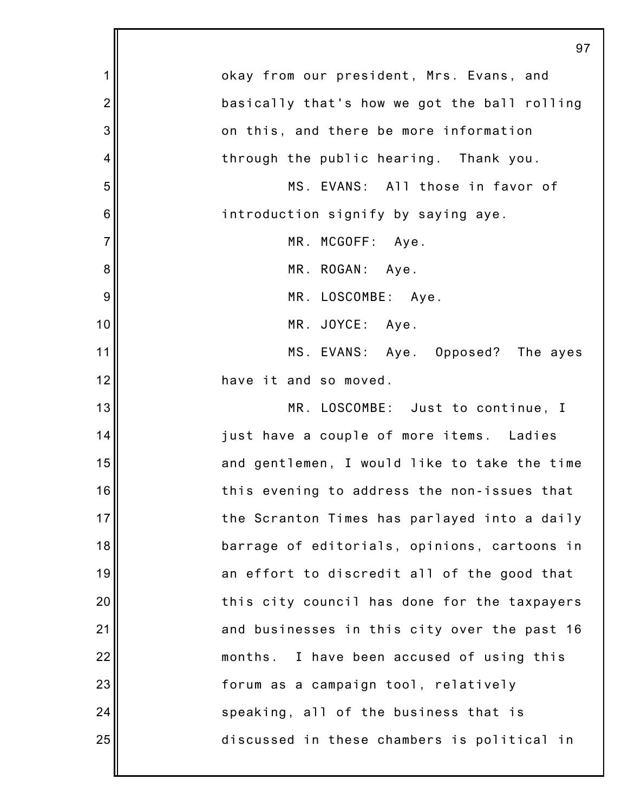|                | 97                                           |
|----------------|----------------------------------------------|
| 1              | okay from our president, Mrs. Evans, and     |
| $\overline{2}$ | basically that's how we got the ball rolling |
| 3              | on this, and there be more information       |
| 4              | through the public hearing. Thank you.       |
| 5              | MS. EVANS: All those in favor of             |
| 6              | introduction signify by saying aye.          |
| $\overline{7}$ | MR. MCGOFF: Aye.                             |
| 8              | MR. ROGAN: Aye.                              |
| 9              | MR. LOSCOMBE: Aye.                           |
| 10             | MR. JOYCE: Aye.                              |
| 11             | MS. EVANS: Aye. Opposed? The ayes            |
| 12             | have it and so moved.                        |
| 13             | MR. LOSCOMBE: Just to continue, I            |
| 14             | just have a couple of more items. Ladies     |
| 15             | and gentlemen, I would like to take the time |
| 16             | this evening to address the non-issues that  |
| 17             | the Scranton Times has parlayed into a daily |
| 18             | barrage of editorials, opinions, cartoons in |
| 19             | an effort to discredit all of the good that  |
| 20             | this city council has done for the taxpayers |
| 21             | and businesses in this city over the past 16 |
| 22             | months. I have been accused of using this    |
| 23             | forum as a campaign tool, relatively         |
| 24             | speaking, all of the business that is        |
| 25             | discussed in these chambers is political in  |
|                |                                              |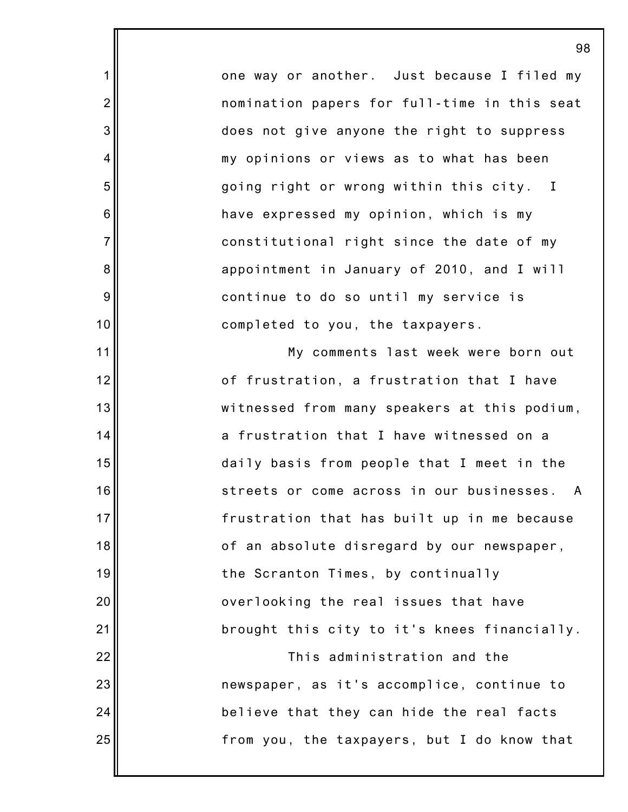one way or another. Just because I filed my nomination papers for full-time in this seat does not give anyone the right to suppress my opinions or views as to what has been going right or wrong within this city. I have expressed my opinion, which is my constitutional right since the date of my appointment in January of 2010, and I will continue to do so until my service is completed to you, the taxpayers.

1

2

3

4

5

6

7

8

9

10

11

12

13

14

15

17

18

20

21

22

24

25

16 19 23 My comments last week were born out of frustration, a frustration that I have witnessed from many speakers at this podium, a frustration that I have witnessed on a daily basis from people that I meet in the streets or come across in our businesses. A frustration that has built up in me because of an absolute disregard by our newspaper, the Scranton Times, by continually overlooking the real issues that have brought this city to it's knees financially. This administration and the newspaper, as it's accomplice, continue to believe that they can hide the real facts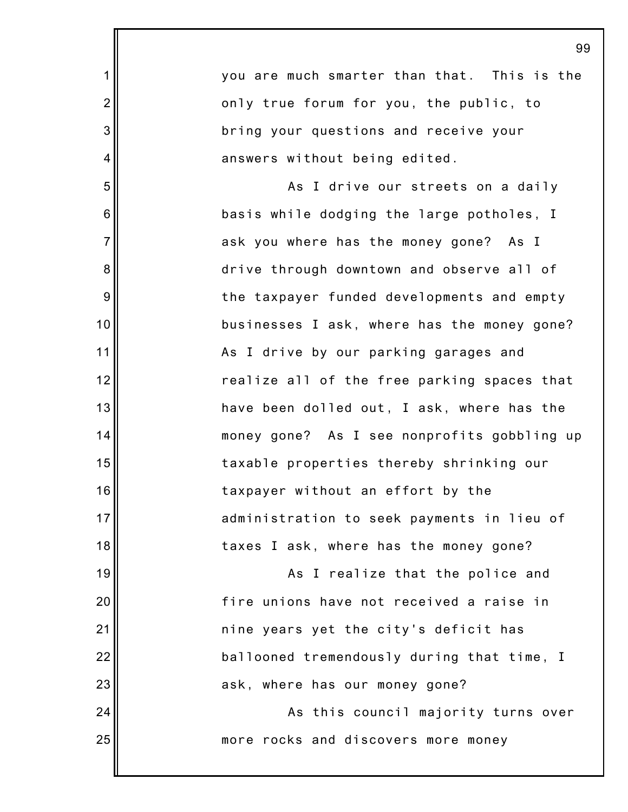|                | 99                                          |
|----------------|---------------------------------------------|
| 1              | you are much smarter than that. This is the |
| $\overline{2}$ | only true forum for you, the public, to     |
| 3              | bring your questions and receive your       |
| 4              | answers without being edited.               |
| 5              | As I drive our streets on a daily           |
| 6              | basis while dodging the large potholes, I   |
| $\overline{7}$ | ask you where has the money gone? As I      |
| 8              | drive through downtown and observe all of   |
| 9              | the taxpayer funded developments and empty  |
| 10             | businesses I ask, where has the money gone? |
| 11             | As I drive by our parking garages and       |
| 12             | realize all of the free parking spaces that |
| 13             | have been dolled out, I ask, where has the  |
| 14             | money gone? As I see nonprofits gobbling up |
| 15             | taxable properties thereby shrinking our    |
| 16             | taxpayer without an effort by the           |
| 17             | administration to seek payments in lieu of  |
| 18             | taxes I ask, where has the money gone?      |
| 19             | As I realize that the police and            |
| 20             | fire unions have not received a raise in    |
| 21             | nine years yet the city's deficit has       |
| 22             | ballooned tremendously during that time, I  |
| 23             | ask, where has our money gone?              |
| 24             | As this council majority turns over         |
| 25             | more rocks and discovers more money         |
|                |                                             |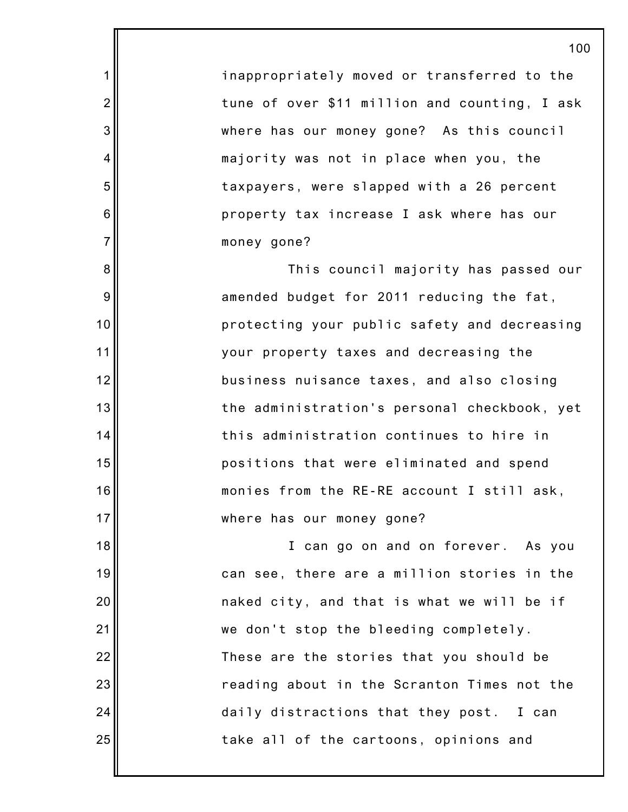inappropriately moved or transferred to the tune of over \$11 million and counting, I ask where has our money gone? As this council majority was not in place when you, the taxpayers, were slapped with a 26 percent property tax increase I ask where has our money gone?

1

2

3

4

5

6

7

8

9

10

11

12

13

14

15

16

17

This council majority has passed our amended budget for 2011 reducing the fat, protecting your public safety and decreasing your property taxes and decreasing the business nuisance taxes, and also closing the administration's personal checkbook, yet this administration continues to hire in positions that were eliminated and spend monies from the RE-RE account I still ask, where has our money gone?

18 19 20 21 22 23 24 25 I can go on and on forever. As you can see, there are a million stories in the naked city, and that is what we will be if we don't stop the bleeding completely. These are the stories that you should be reading about in the Scranton Times not the daily distractions that they post. I can take all of the cartoons, opinions and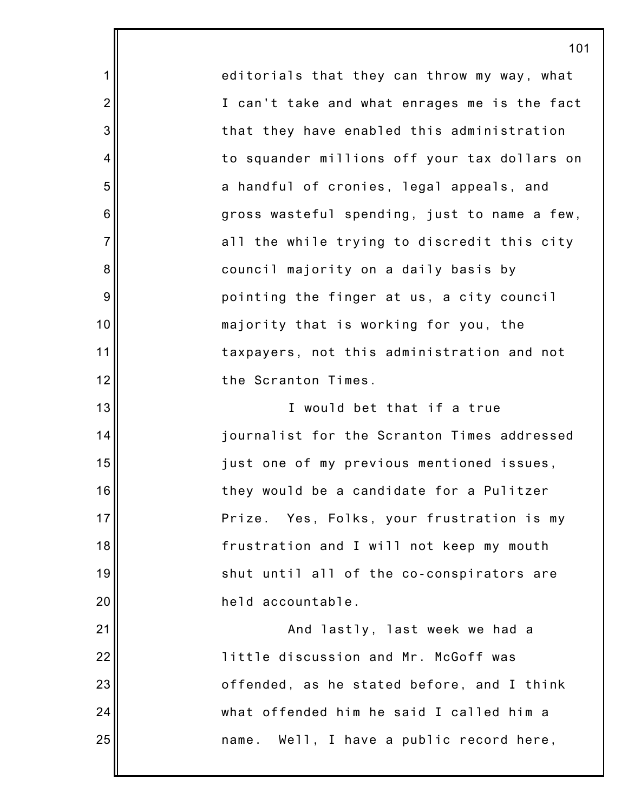editorials that they can throw my way, what I can't take and what enrages me is the fact that they have enabled this administration to squander millions off your tax dollars on a handful of cronies, legal appeals, and gross wasteful spending, just to name a few, all the while trying to discredit this city council majority on a daily basis by pointing the finger at us, a city council majority that is working for you, the taxpayers, not this administration and not the Scranton Times. I would bet that if a true

1

2

3

4

5

6

7

8

9

10

11

12

13

14

15

16

17

18

19

20

21

22

23

24

25

journalist for the Scranton Times addressed just one of my previous mentioned issues, they would be a candidate for a Pulitzer Prize. Yes, Folks, your frustration is my frustration and I will not keep my mouth shut until all of the co-conspirators are held accountable.

And lastly, last week we had a little discussion and Mr. McGoff was offended, as he stated before, and I think what offended him he said I called him a name. Well, I have a public record here,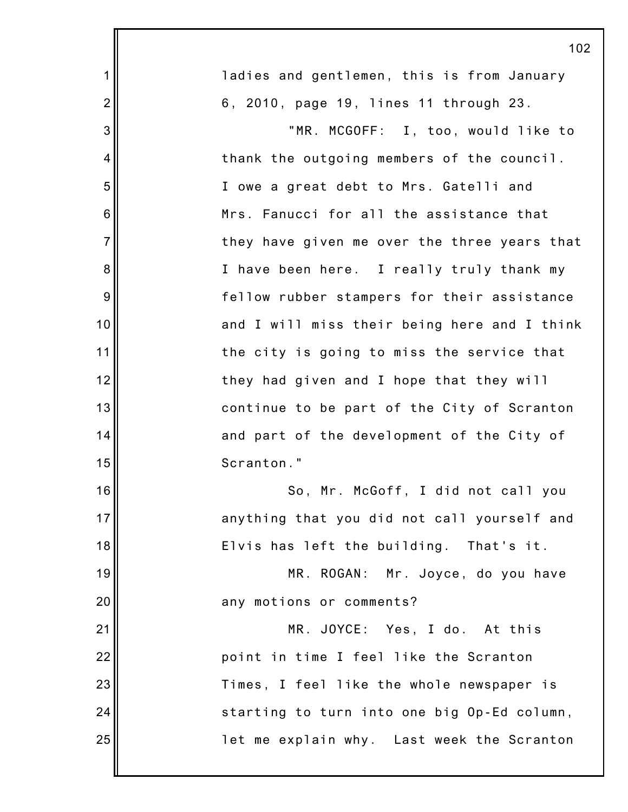|                | 102                                          |
|----------------|----------------------------------------------|
| 1              | ladies and gentlemen, this is from January   |
| $\overline{2}$ | 6, 2010, page 19, lines 11 through 23.       |
| 3              | "MR. MCGOFF: I, too, would like to           |
| 4              | thank the outgoing members of the council.   |
| 5              | I owe a great debt to Mrs. Gatelli and       |
| 6              | Mrs. Fanucci for all the assistance that     |
| $\overline{7}$ | they have given me over the three years that |
| 8              | I have been here. I really truly thank my    |
| 9              | fellow rubber stampers for their assistance  |
| 10             | and I will miss their being here and I think |
| 11             | the city is going to miss the service that   |
| 12             | they had given and I hope that they will     |
| 13             | continue to be part of the City of Scranton  |
| 14             | and part of the development of the City of   |
| 15             | Scranton."                                   |
| 16             | So, Mr. McGoff, I did not call you           |
| 17             | anything that you did not call yourself and  |
| 18             | Elvis has left the building. That's it.      |
| 19             | MR. ROGAN: Mr. Joyce, do you have            |
| 20             | any motions or comments?                     |
| 21             | MR. JOYCE: Yes, I do. At this                |
| 22             | point in time I feel like the Scranton       |
| 23             | Times, I feel like the whole newspaper is    |
| 24             | starting to turn into one big Op-Ed column,  |
| 25             | let me explain why. Last week the Scranton   |
|                |                                              |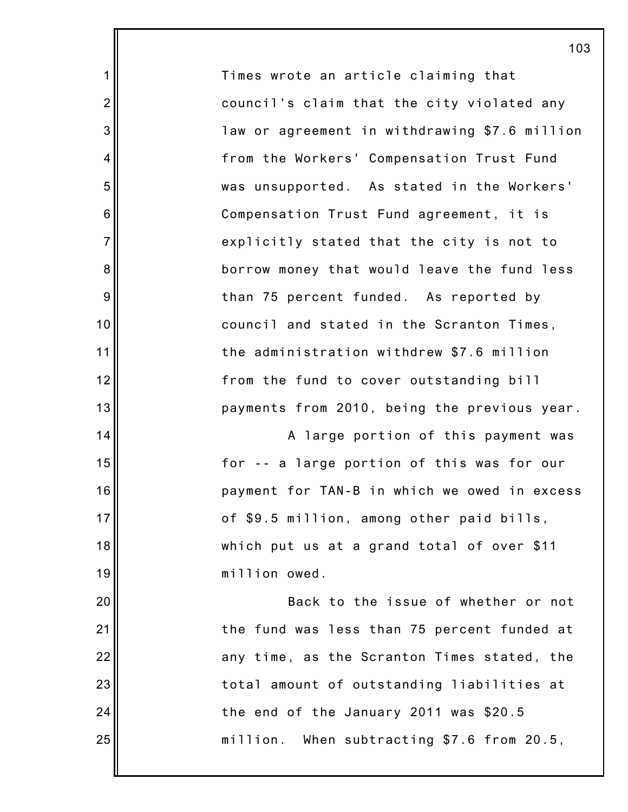Times wrote an article claiming that council's claim that the city violated any law or agreement in withdrawing \$7.6 million from the Workers' Compensation Trust Fund was unsupported. As stated in the Workers' Compensation Trust Fund agreement, it is explicitly stated that the city is not to borrow money that would leave the fund less than 75 percent funded. As reported by council and stated in the Scranton Times, the administration withdrew \$7.6 million from the fund to cover outstanding bill payments from 2010, being the previous year. A large portion of this payment was for -- a large portion of this was for our

1

2

3

4

5

6

7

8

9

10

11

12

13

14

15

16

17

18

19

20

21

22

23

24

25

payment for TAN-B in which we owed in excess of \$9.5 million, among other paid bills, which put us at a grand total of over \$11 million owed.

Back to the issue of whether or not the fund was less than 75 percent funded at any time, as the Scranton Times stated, the total amount of outstanding liabilities at the end of the January 2011 was \$20.5 million. When subtracting \$7.6 from 20.5,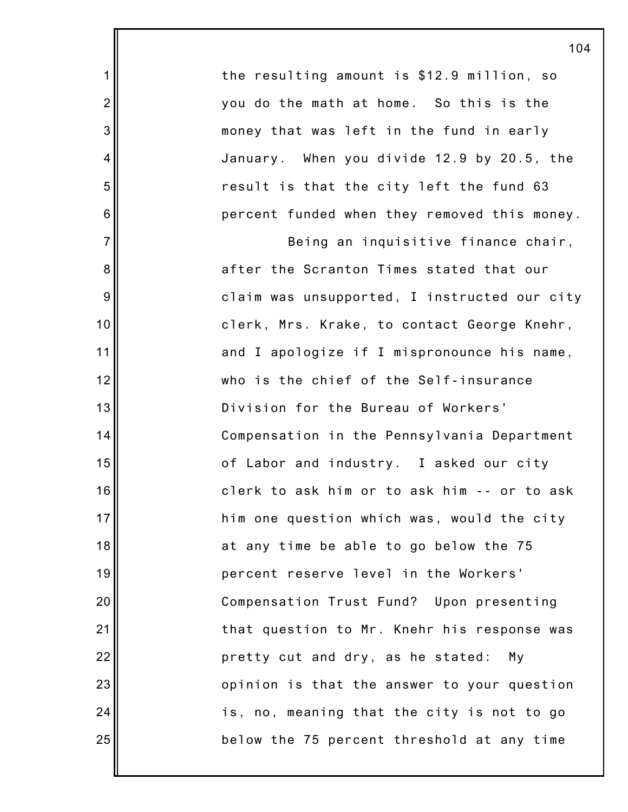the resulting amount is \$12.9 million, so you do the math at home. So this is the money that was left in the fund in early January. When you divide 12.9 by 20.5, the result is that the city left the fund 63 percent funded when they removed this money.

1

2

3

4

5

6

7

8

9

10

11

12

13

14

15

16

17

18

19

20

21

22

23

24

25

Being an inquisitive finance chair, after the Scranton Times stated that our claim was unsupported, I instructed our city clerk, Mrs. Krake, to contact George Knehr, and I apologize if I mispronounce his name, who is the chief of the Self-insurance Division for the Bureau of Workers' Compensation in the Pennsylvania Department of Labor and industry. I asked our city clerk to ask him or to ask him -- or to ask him one question which was, would the city at any time be able to go below the 75 percent reserve level in the Workers' Compensation Trust Fund? Upon presenting that question to Mr. Knehr his response was pretty cut and dry, as he stated: My opinion is that the answer to your question is, no, meaning that the city is not to go below the 75 percent threshold at any time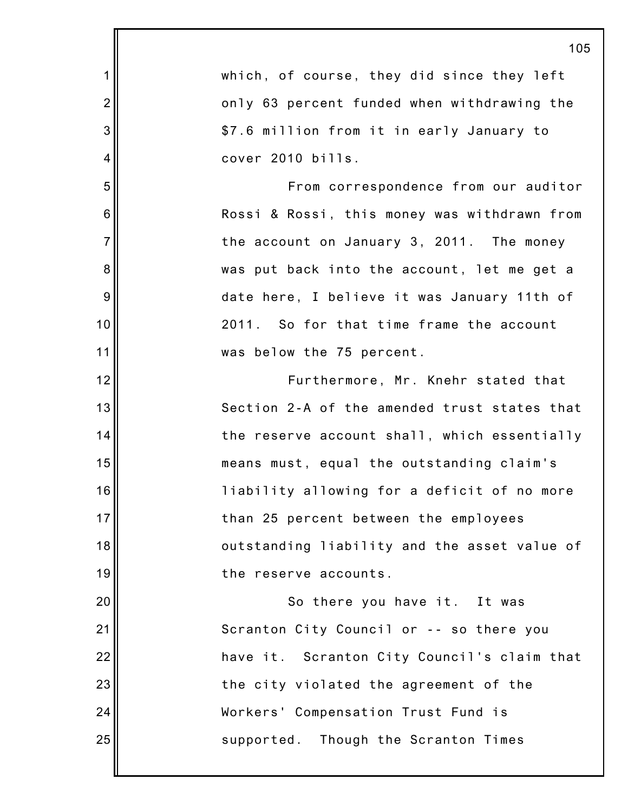|                | 105                                          |
|----------------|----------------------------------------------|
| 1              | which, of course, they did since they left   |
| $\overline{2}$ | only 63 percent funded when withdrawing the  |
| 3              | \$7.6 million from it in early January to    |
| 4              | cover 2010 bills.                            |
| 5              | From correspondence from our auditor         |
| 6              | Rossi & Rossi, this money was withdrawn from |
| $\overline{7}$ | the account on January 3, 2011. The money    |
| 8              | was put back into the account, let me get a  |
| 9              | date here, I believe it was January 11th of  |
| 10             | 2011. So for that time frame the account     |
| 11             | was below the 75 percent.                    |
| 12             | Furthermore, Mr. Knehr stated that           |
| 13             | Section 2-A of the amended trust states that |
| 14             | the reserve account shall, which essentially |
| 15             | means must, equal the outstanding claim's    |
| 16             | liability allowing for a deficit of no more  |
| 17             | than 25 percent between the employees        |
| 18             | outstanding liability and the asset value of |
| 19             | the reserve accounts.                        |
| 20             | So there you have it. It was                 |
| 21             | Scranton City Council or -- so there you     |
| 22             | have it. Scranton City Council's claim that  |
| 23             | the city violated the agreement of the       |
| 24             | Workers' Compensation Trust Fund is          |
| 25             | supported. Though the Scranton Times         |
|                |                                              |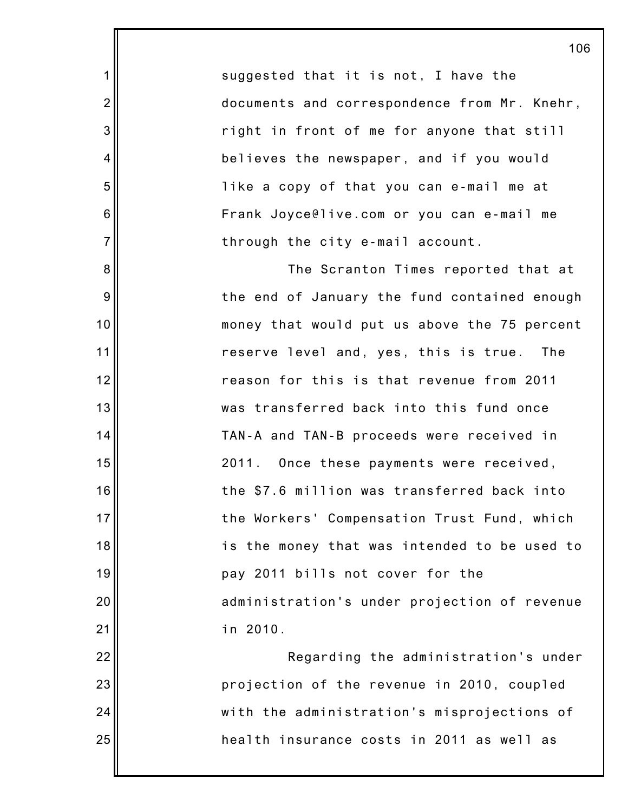suggested that it is not, I have the documents and correspondence from Mr. Knehr, right in front of me for anyone that still believes the newspaper, and if you would like a copy of that you can e-mail me at Frank Joyce@live.com or you can e-mail me through the city e-mail account.

1

2

3

4

5

6

7

8

9

10

11

12

13

14

15

16

17

18

19

20

21

The Scranton Times reported that at the end of January the fund contained enough money that would put us above the 75 percent reserve level and, yes, this is true. The reason for this is that revenue from 2011 was transferred back into this fund once TAN-A and TAN-B proceeds were received in 2011. Once these payments were received, the \$7.6 million was transferred back into the Workers' Compensation Trust Fund, which is the money that was intended to be used to pay 2011 bills not cover for the administration's under projection of revenue in 2010.

22 23 24 25 Regarding the administration's under projection of the revenue in 2010, coupled with the administration's misprojections of health insurance costs in 2011 as well as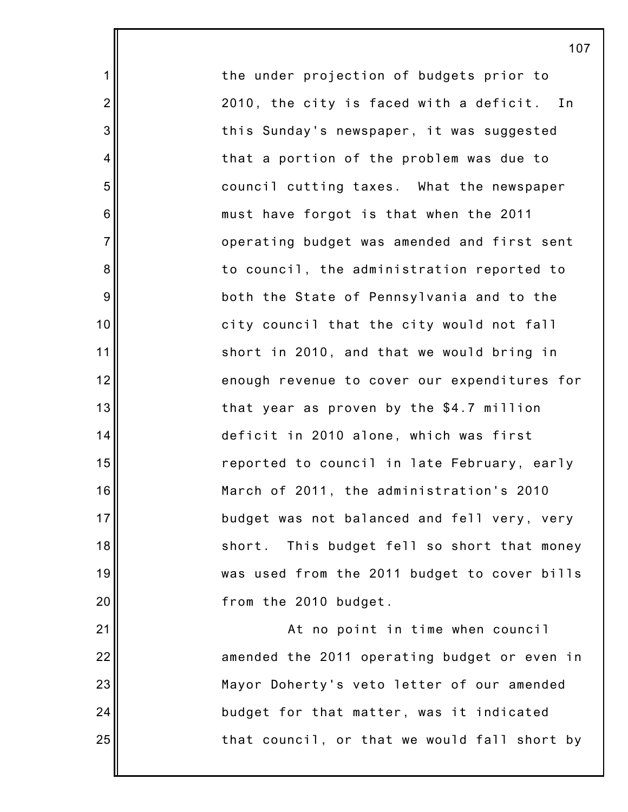the under projection of budgets prior to 2010, the city is faced with a deficit. In this Sunday's newspaper, it was suggested that a portion of the problem was due to council cutting taxes. What the newspaper must have forgot is that when the 2011 operating budget was amended and first sent to council, the administration reported to both the State of Pennsylvania and to the city council that the city would not fall short in 2010, and that we would bring in enough revenue to cover our expenditures for that year as proven by the \$4.7 million deficit in 2010 alone, which was first reported to council in late February, early March of 2011, the administration's 2010 budget was not balanced and fell very, very short. This budget fell so short that money was used from the 2011 budget to cover bills from the 2010 budget.

1

2

3

4

5

6

7

8

9

10

11

12

13

14

15

16

17

18

19

20

21

22

23

24

25

At no point in time when council amended the 2011 operating budget or even in Mayor Doherty's veto letter of our amended budget for that matter, was it indicated that council, or that we would fall short by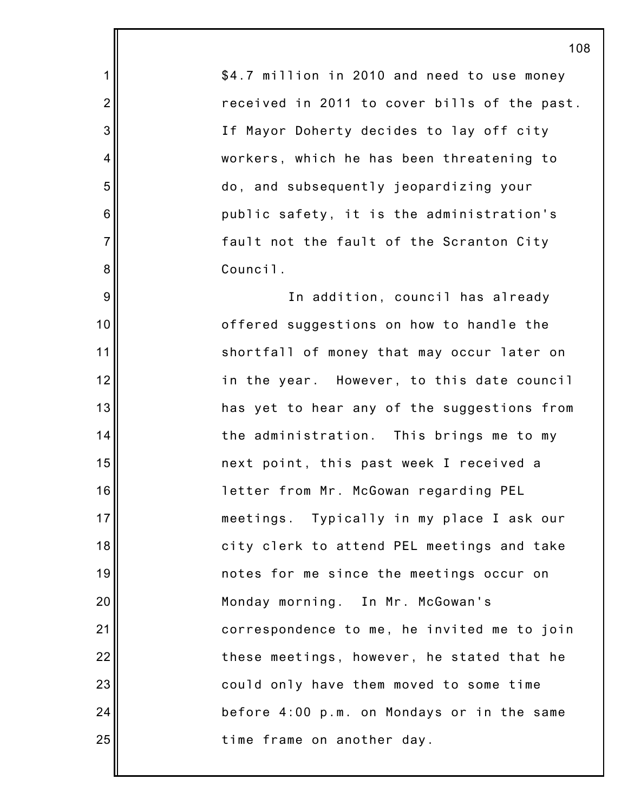\$4.7 million in 2010 and need to use money received in 2011 to cover bills of the past. If Mayor Doherty decides to lay off city workers, which he has been threatening to do, and subsequently jeopardizing your public safety, it is the administration's fault not the fault of the Scranton City Council.

1

2

3

4

5

6

7

8

9

10

11

12

13

14

15

16

17

18

19

20

21

22

23

24

25

In addition, council has already offered suggestions on how to handle the shortfall of money that may occur later on in the year. However, to this date council has yet to hear any of the suggestions from the administration. This brings me to my next point, this past week I received a letter from Mr. McGowan regarding PEL meetings. Typically in my place I ask our city clerk to attend PEL meetings and take notes for me since the meetings occur on Monday morning. In Mr. McGowan's correspondence to me, he invited me to join these meetings, however, he stated that he could only have them moved to some time before 4:00 p.m. on Mondays or in the same time frame on another day.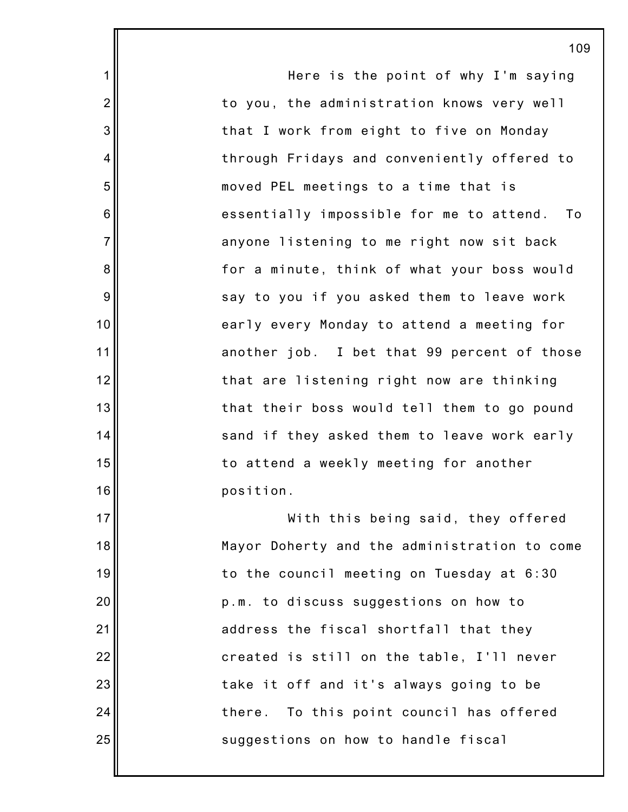1 2 3 4 5 6 7 8 9 10 11 12 13 14 15 16 17 18 19 20 21 22 23 24 25 109 Here is the point of why I'm saying to you, the administration knows very well that I work from eight to five on Monday through Fridays and conveniently offered to moved PEL meetings to a time that is essentially impossible for me to attend. To anyone listening to me right now sit back for a minute, think of what your boss would say to you if you asked them to leave work early every Monday to attend a meeting for another job. I bet that 99 percent of those that are listening right now are thinking that their boss would tell them to go pound sand if they asked them to leave work early to attend a weekly meeting for another position. With this being said, they offered Mayor Doherty and the administration to come to the council meeting on Tuesday at 6:30 p.m. to discuss suggestions on how to address the fiscal shortfall that they created is still on the table, I'll never take it off and it's always going to be there. To this point council has offered suggestions on how to handle fiscal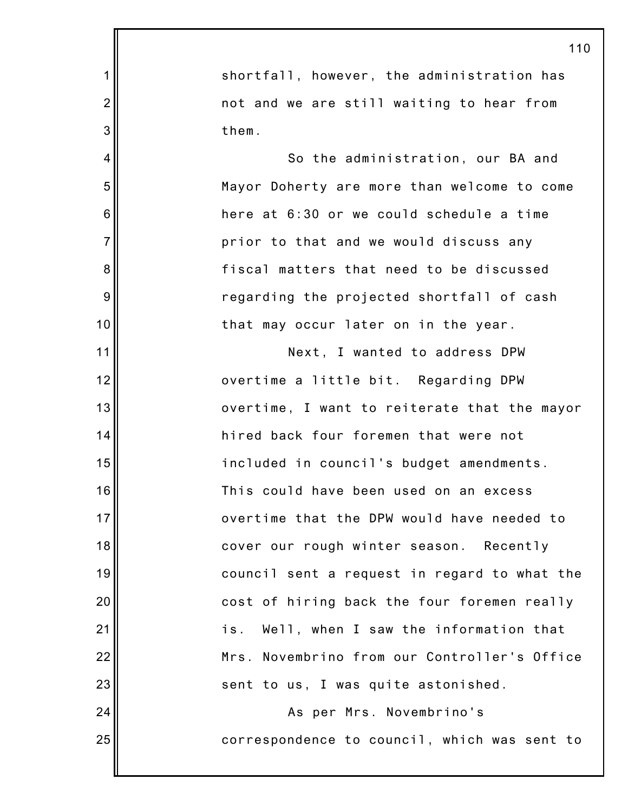|                | 110                                          |
|----------------|----------------------------------------------|
| 1              | shortfall, however, the administration has   |
| $\overline{2}$ | not and we are still waiting to hear from    |
| 3              | them.                                        |
| 4              | So the administration, our BA and            |
| 5              | Mayor Doherty are more than welcome to come  |
| 6              | here at 6:30 or we could schedule a time     |
| $\overline{7}$ | prior to that and we would discuss any       |
| 8              | fiscal matters that need to be discussed     |
| 9              | regarding the projected shortfall of cash    |
| 10             | that may occur later on in the year.         |
| 11             | Next, I wanted to address DPW                |
| 12             | overtime a little bit. Regarding DPW         |
| 13             | overtime, I want to reiterate that the mayor |
| 14             | hired back four foremen that were not        |
| 15             | included in council's budget amendments.     |
| 16             | This could have been used on an excess       |
| 17             | overtime that the DPW would have needed to   |
| 18             | cover our rough winter season. Recently      |
| 19             | council sent a request in regard to what the |
| 20             | cost of hiring back the four foremen really  |
| 21             | Well, when I saw the information that<br>is. |
| 22             | Mrs. Novembrino from our Controller's Office |
| 23             | sent to us, I was quite astonished.          |
| 24             | As per Mrs. Novembrino's                     |
| 25             | correspondence to council, which was sent to |
|                |                                              |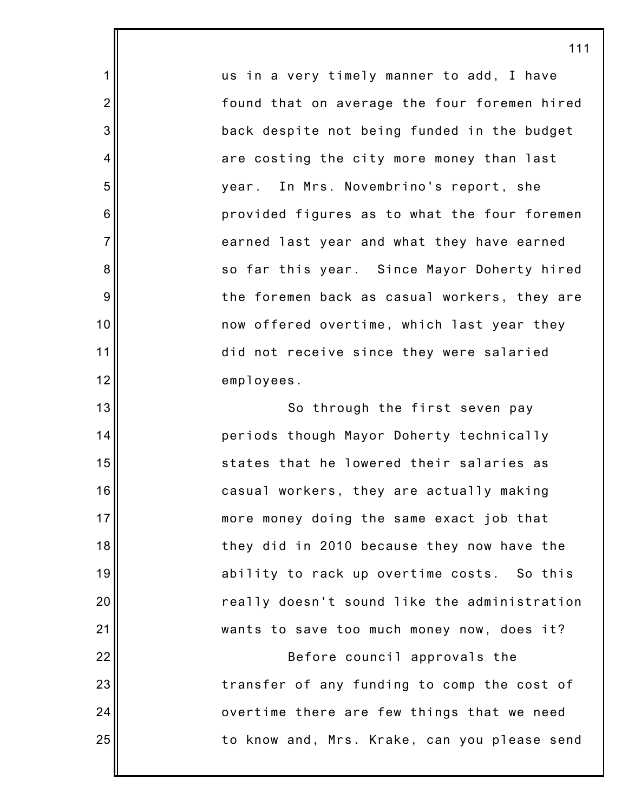us in a very timely manner to add, I have found that on average the four foremen hired back despite not being funded in the budget are costing the city more money than last year. In Mrs. Novembrino's report, she provided figures as to what the four foremen earned last year and what they have earned so far this year. Since Mayor Doherty hired the foremen back as casual workers, they are now offered overtime, which last year they did not receive since they were salaried employees.

1

2

3

4

5

6

7

8

9

10

11

12

13

14

15

16

17

18

19

20

21

22

23

24

25

So through the first seven pay periods though Mayor Doherty technically states that he lowered their salaries as casual workers, they are actually making more money doing the same exact job that they did in 2010 because they now have the ability to rack up overtime costs. So this really doesn't sound like the administration wants to save too much money now, does it?

Before council approvals the transfer of any funding to comp the cost of overtime there are few things that we need to know and, Mrs. Krake, can you please send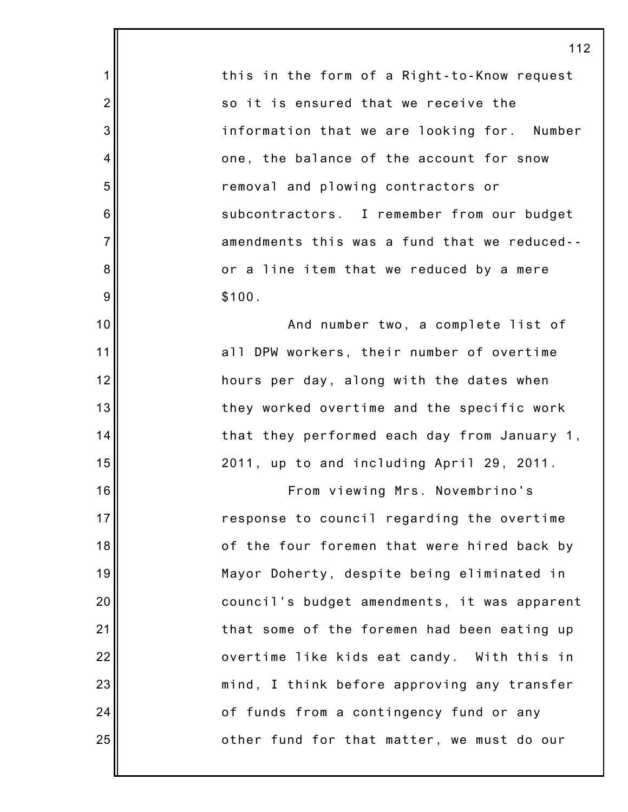this in the form of a Right-to-Know request so it is ensured that we receive the information that we are looking for. Number one, the balance of the account for snow removal and plowing contractors or subcontractors. I remember from our budget amendments this was a fund that we reduced- or a line item that we reduced by a mere \$100.

1

2

3

4

5

6

7

8

9

10

11

12

13

14

15

16

17

18

19

20

21

22

23

24

25

And number two, a complete list of all DPW workers, their number of overtime hours per day, along with the dates when they worked overtime and the specific work that they performed each day from January 1, 2011, up to and including April 29, 2011.

From viewing Mrs. Novembrino's response to council regarding the overtime of the four foremen that were hired back by Mayor Doherty, despite being eliminated in council's budget amendments, it was apparent that some of the foremen had been eating up overtime like kids eat candy. With this in mind, I think before approving any transfer of funds from a contingency fund or any other fund for that matter, we must do our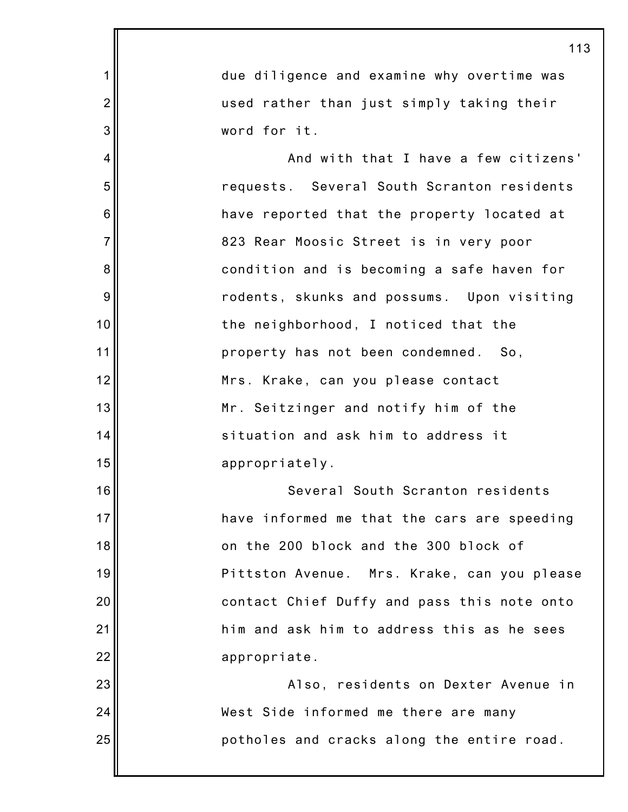|                | 113                                         |
|----------------|---------------------------------------------|
| 1              | due diligence and examine why overtime was  |
| $\overline{2}$ | used rather than just simply taking their   |
| 3              | word for it.                                |
| 4              | And with that I have a few citizens'        |
| 5              | requests. Several South Scranton residents  |
| 6              | have reported that the property located at  |
| $\overline{7}$ | 823 Rear Moosic Street is in very poor      |
| 8              | condition and is becoming a safe haven for  |
| 9              | rodents, skunks and possums. Upon visiting  |
| 10             | the neighborhood, I noticed that the        |
| 11             | property has not been condemned. So,        |
| 12             | Mrs. Krake, can you please contact          |
| 13             | Mr. Seitzinger and notify him of the        |
| 14             | situation and ask him to address it         |
| 15             | appropriately.                              |
| 16             | Several South Scranton residents            |
| 17             | have informed me that the cars are speeding |
| 18             | on the 200 block and the 300 block of       |
| 19             | Pittston Avenue. Mrs. Krake, can you please |
| 20             | contact Chief Duffy and pass this note onto |
| 21             | him and ask him to address this as he sees  |
| 22             | appropriate.                                |
| 23             | Also, residents on Dexter Avenue in         |
| 24             | West Side informed me there are many        |
| 25             | potholes and cracks along the entire road.  |
|                |                                             |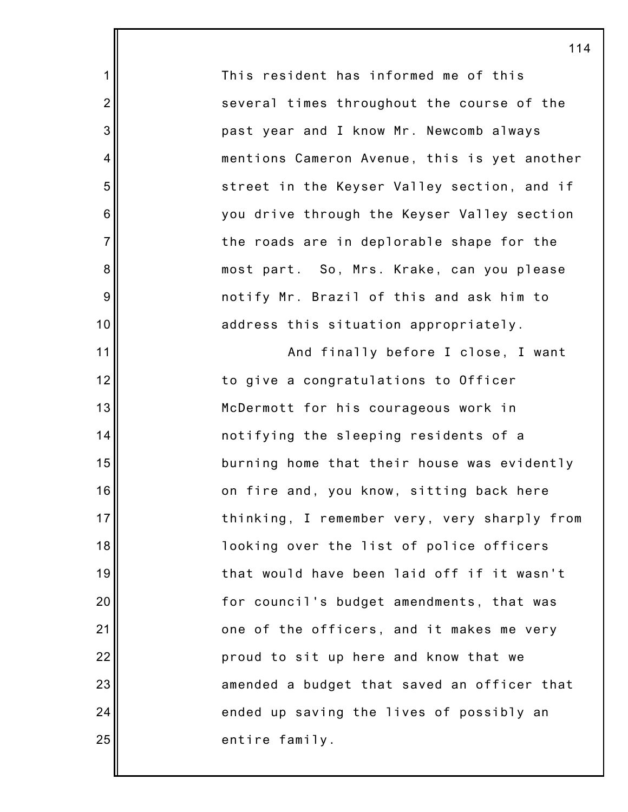This resident has informed me of this several times throughout the course of the past year and I know Mr. Newcomb always mentions Cameron Avenue, this is yet another street in the Keyser Valley section, and if you drive through the Keyser Valley section the roads are in deplorable shape for the most part. So, Mrs. Krake, can you please notify Mr. Brazil of this and ask him to address this situation appropriately.

1

2

3

4

5

6

7

8

9

10

11

12

13

14

15

16

17

18

19

20

21

22

23

24

25

And finally before I close, I want to give a congratulations to Officer McDermott for his courageous work in notifying the sleeping residents of a burning home that their house was evidently on fire and, you know, sitting back here thinking, I remember very, very sharply from looking over the list of police officers that would have been laid off if it wasn't for council's budget amendments, that was one of the officers, and it makes me very proud to sit up here and know that we amended a budget that saved an officer that ended up saving the lives of possibly an entire family.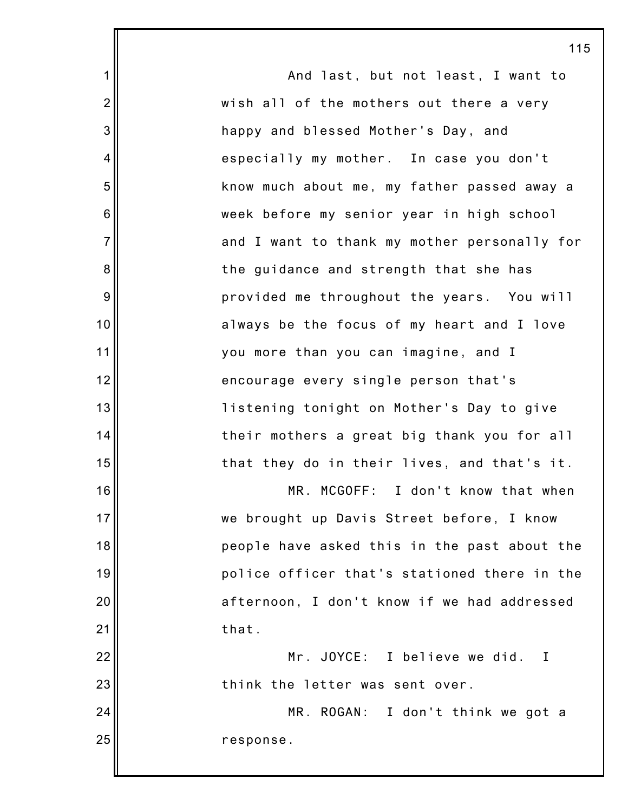1 2 3 4 5 6 7 8 9 10 11 12 13 14 15 16 17 18 19 20 21 22 23 24 25 115 And last, but not least, I want to wish all of the mothers out there a very happy and blessed Mother's Day, and especially my mother. In case you don't know much about me, my father passed away a week before my senior year in high school and I want to thank my mother personally for the guidance and strength that she has provided me throughout the years. You will always be the focus of my heart and I love you more than you can imagine, and I encourage every single person that's listening tonight on Mother's Day to give their mothers a great big thank you for all that they do in their lives, and that's it. MR. MCGOFF: I don't know that when we brought up Davis Street before, I know people have asked this in the past about the police officer that's stationed there in the afternoon, I don't know if we had addressed that. Mr. JOYCE: I believe we did. I think the letter was sent over. MR. ROGAN: I don't think we got a response.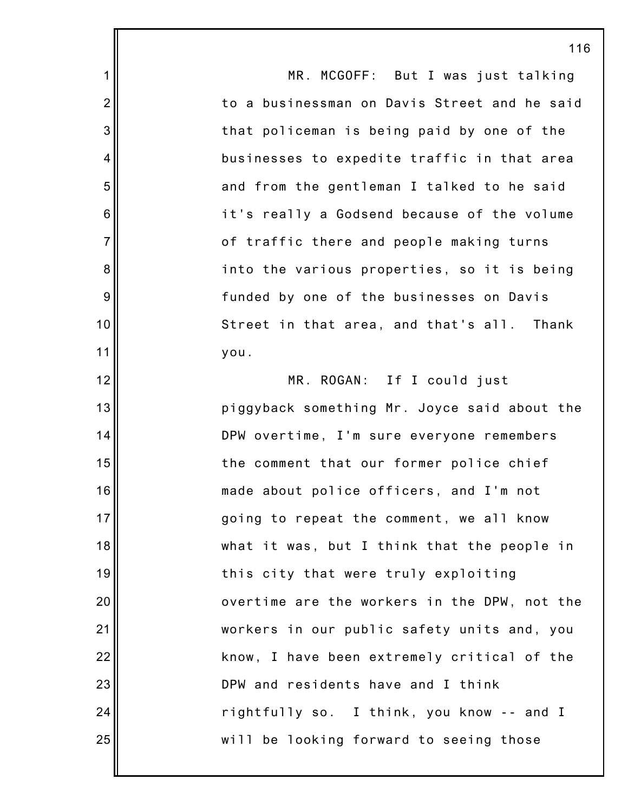1 2 3 4 5 6 7 8 9 10 11 12 13 14 15 16 17 18 19 20 21 22 23 24 25 116 MR. MCGOFF: But I was just talking to a businessman on Davis Street and he said that policeman is being paid by one of the businesses to expedite traffic in that area and from the gentleman I talked to he said it's really a Godsend because of the volume of traffic there and people making turns into the various properties, so it is being funded by one of the businesses on Davis Street in that area, and that's all. Thank you. MR. ROGAN: If I could just piggyback something Mr. Joyce said about the DPW overtime, I'm sure everyone remembers the comment that our former police chief made about police officers, and I'm not going to repeat the comment, we all know what it was, but I think that the people in this city that were truly exploiting overtime are the workers in the DPW, not the workers in our public safety units and, you know, I have been extremely critical of the DPW and residents have and I think rightfully so. I think, you know -- and I will be looking forward to seeing those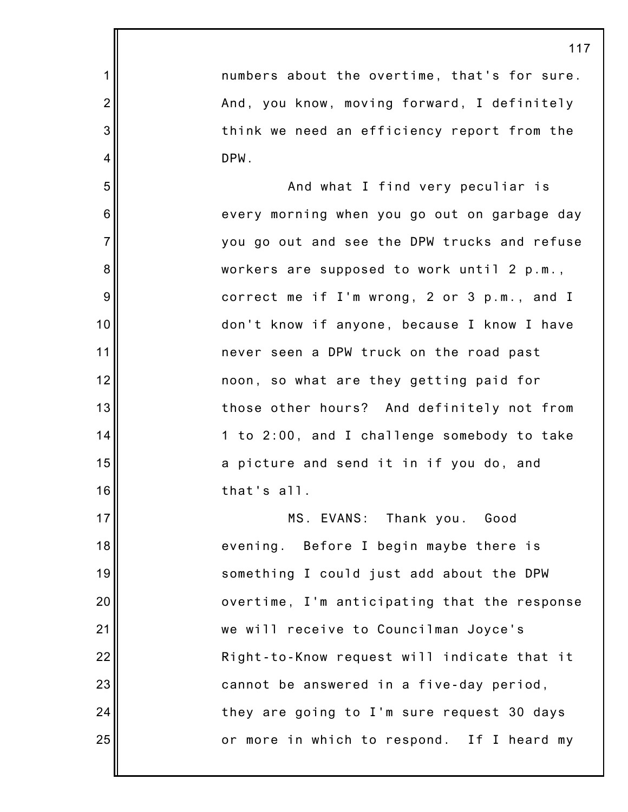1 2 3 4 5 6 7 8 9 10 11 12 13 14 15 16 17 18 19 20 21 22 23 24 25 117 numbers about the overtime, that's for sure. And, you know, moving forward, I definitely think we need an efficiency report from the DPW. And what I find very peculiar is every morning when you go out on garbage day you go out and see the DPW trucks and refuse workers are supposed to work until 2 p.m., correct me if I'm wrong, 2 or 3 p.m., and I don't know if anyone, because I know I have never seen a DPW truck on the road past noon, so what are they getting paid for those other hours? And definitely not from 1 to 2:00, and I challenge somebody to take a picture and send it in if you do, and that's all. MS. EVANS: Thank you. Good evening. Before I begin maybe there is something I could just add about the DPW overtime, I'm anticipating that the response we will receive to Councilman Joyce's Right-to-Know request will indicate that it cannot be answered in a five-day period, they are going to I'm sure request 30 days or more in which to respond. If I heard my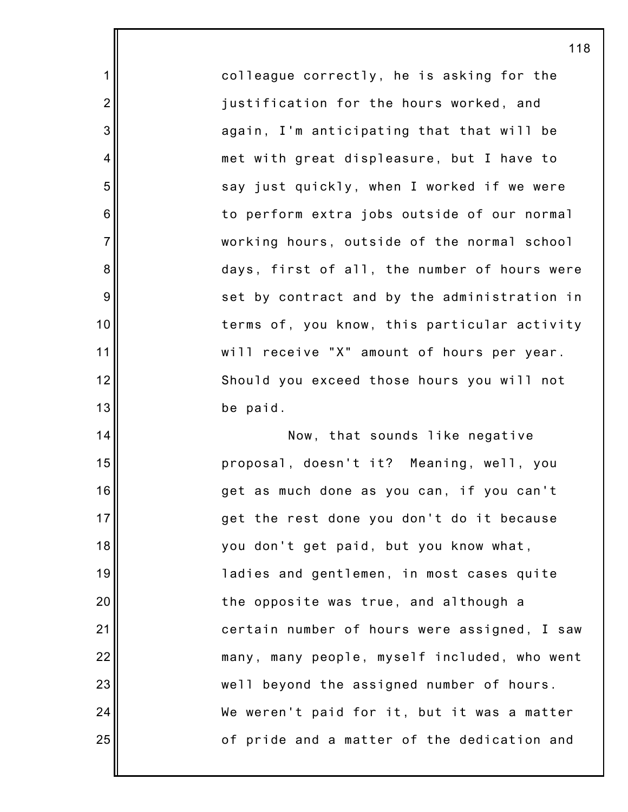colleague correctly, he is asking for the justification for the hours worked, and again, I'm anticipating that that will be met with great displeasure, but I have to say just quickly, when I worked if we were to perform extra jobs outside of our normal working hours, outside of the normal school days, first of all, the number of hours were set by contract and by the administration in terms of, you know, this particular activity will receive "X" amount of hours per year. Should you exceed those hours you will not be paid.

1

2

3

4

5

6

7

8

9

10

11

12

13

14

15

16

17

18

19

20

21

22

23

24

25

Now, that sounds like negative proposal, doesn't it? Meaning, well, you get as much done as you can, if you can't get the rest done you don't do it because you don't get paid, but you know what, ladies and gentlemen, in most cases quite the opposite was true, and although a certain number of hours were assigned, I saw many, many people, myself included, who went well beyond the assigned number of hours. We weren't paid for it, but it was a matter of pride and a matter of the dedication and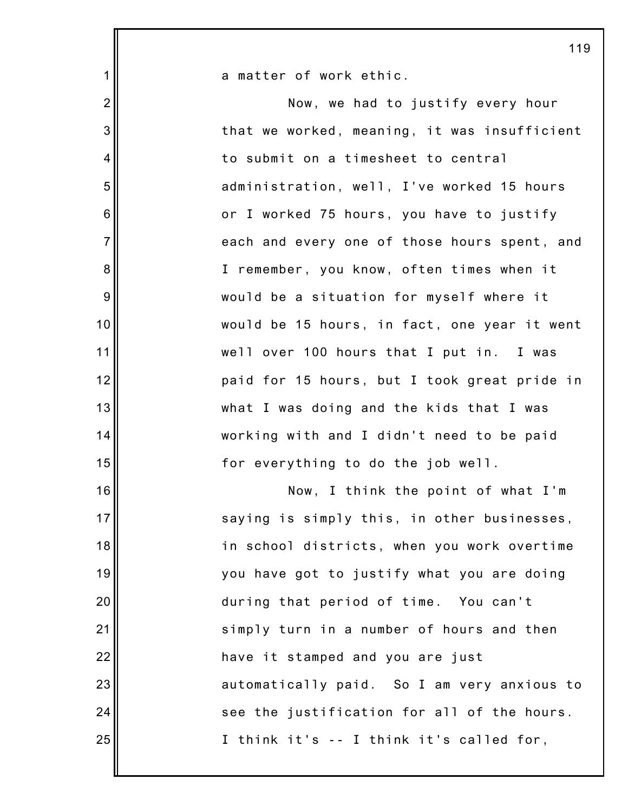|                | 11S                                          |
|----------------|----------------------------------------------|
| 1              | a matter of work ethic.                      |
| $\overline{2}$ | Now, we had to justify every hour            |
| 3              | that we worked, meaning, it was insufficient |
| 4              | to submit on a timesheet to central          |
| 5              | administration, well, I've worked 15 hours   |
| $\,6$          | or I worked 75 hours, you have to justify    |
| $\overline{7}$ | each and every one of those hours spent, and |
| 8              | I remember, you know, often times when it    |
| $9\,$          | would be a situation for myself where it     |
| 10             | would be 15 hours, in fact, one year it went |
| 11             | well over 100 hours that I put in. I was     |
| 12             | paid for 15 hours, but I took great pride in |
| 13             | what I was doing and the kids that I was     |
| 14             | working with and I didn't need to be paid    |
| 15             | for everything to do the job well.           |
| 16             | Now, I think the point of what I'm           |
| 17             | saying is simply this, in other businesses,  |
| 18             | in school districts, when you work overtime  |
| 19             | you have got to justify what you are doing   |
| 20             | during that period of time. You can't        |
| 21             | simply turn in a number of hours and then    |
| 22             | have it stamped and you are just             |
| 23             | automatically paid. So I am very anxious to  |
| 24             | see the justification for all of the hours.  |
| 25             | I think it's -- I think it's called for,     |
|                |                                              |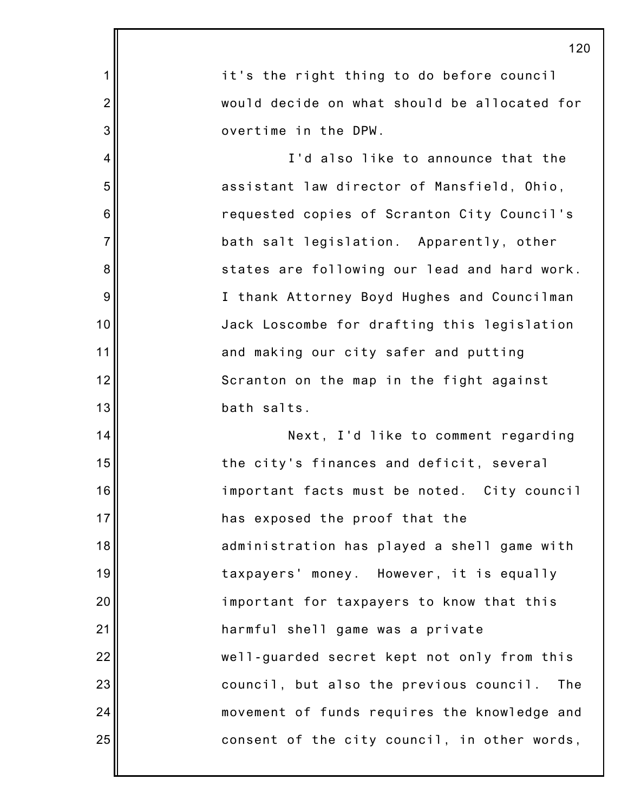|                | 12(                                            |
|----------------|------------------------------------------------|
| 1              | it's the right thing to do before council      |
| $\overline{2}$ | would decide on what should be allocated for   |
| 3              | overtime in the DPW.                           |
| 4              | I'd also like to announce that the             |
| 5              | assistant law director of Mansfield, Ohio,     |
| 6              | requested copies of Scranton City Council's    |
| $\overline{7}$ | bath salt legislation. Apparently, other       |
| 8              | states are following our lead and hard work.   |
| 9              | I thank Attorney Boyd Hughes and Councilman    |
| 10             | Jack Loscombe for drafting this legislation    |
| 11             | and making our city safer and putting          |
| 12             | Scranton on the map in the fight against       |
| 13             | bath salts.                                    |
| 14             | Next, I'd like to comment regarding            |
| 15             | the city's finances and deficit, several       |
| 16             | important facts must be noted. City council    |
| 17             | has exposed the proof that the                 |
| 18             | administration has played a shell game with    |
| 19             | taxpayers' money. However, it is equally       |
| 20             | important for taxpayers to know that this      |
| 21             | harmful shell game was a private               |
| 22             | well-guarded secret kept not only from this    |
| 23             | council, but also the previous council.<br>The |
| 24             | movement of funds requires the knowledge and   |
| 25             | consent of the city council, in other words,   |
|                |                                                |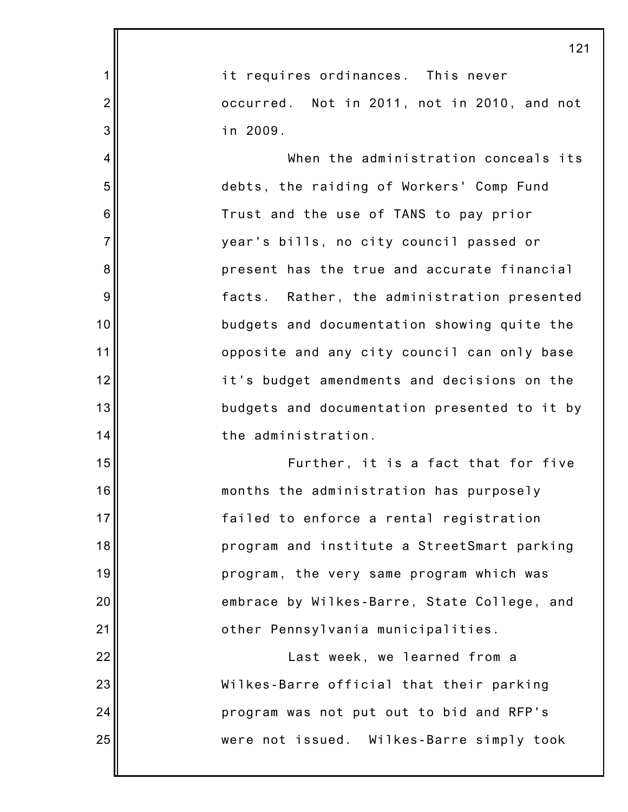|                | 121                                          |
|----------------|----------------------------------------------|
| 1              | it requires ordinances. This never           |
| $\overline{2}$ | occurred. Not in 2011, not in 2010, and not  |
| 3              | in 2009.                                     |
| 4              | When the administration conceals its         |
| 5              | debts, the raiding of Workers' Comp Fund     |
| 6              | Trust and the use of TANS to pay prior       |
| $\overline{7}$ | year's bills, no city council passed or      |
| 8              | present has the true and accurate financial  |
| 9              | facts. Rather, the administration presented  |
| 10             | budgets and documentation showing quite the  |
| 11             | opposite and any city council can only base  |
| 12             | it's budget amendments and decisions on the  |
| 13             | budgets and documentation presented to it by |
| 14             | the administration.                          |
| 15             | Further, it is a fact that for five          |
| 16             | months the administration has purposely      |
| 17             | failed to enforce a rental registration      |
| 18             | program and institute a StreetSmart parking  |
| 19             | program, the very same program which was     |
| 20             | embrace by Wilkes-Barre, State College, and  |
| 21             | other Pennsylvania municipalities.           |
| 22             | Last week, we learned from a                 |
| 23             | Wilkes-Barre official that their parking     |
| 24             | program was not put out to bid and RFP's     |
| 25             | were not issued. Wilkes-Barre simply took    |
|                |                                              |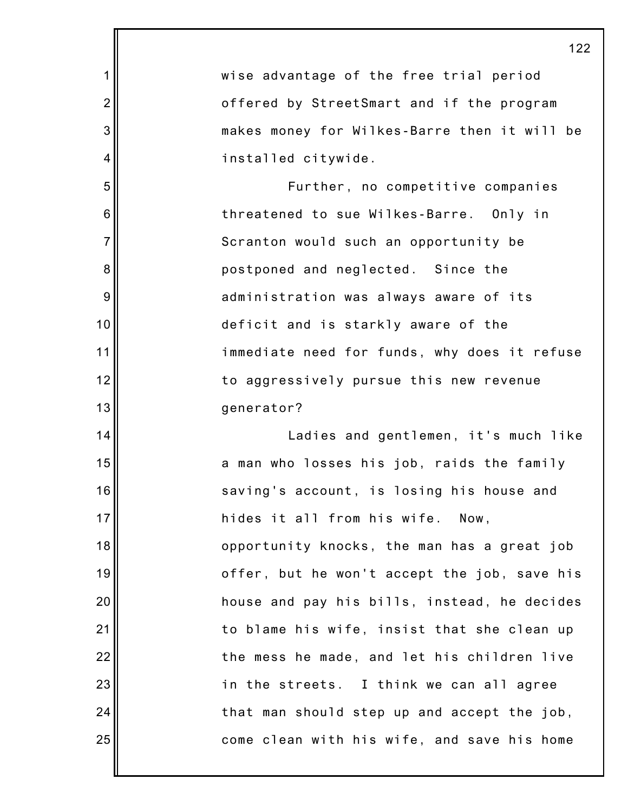|                | 122                                          |
|----------------|----------------------------------------------|
| 1              | wise advantage of the free trial period      |
| $\overline{2}$ | offered by StreetSmart and if the program    |
| 3              | makes money for Wilkes-Barre then it will be |
| 4              | installed citywide.                          |
| 5              | Further, no competitive companies            |
| 6              | threatened to sue Wilkes-Barre. Only in      |
| $\overline{7}$ | Scranton would such an opportunity be        |
| 8              | postponed and neglected. Since the           |
| $9\,$          | administration was always aware of its       |
| 10             | deficit and is starkly aware of the          |
| 11             | immediate need for funds, why does it refuse |
| 12             | to aggressively pursue this new revenue      |
| 13             | generator?                                   |
| 14             | Ladies and gentlemen, it's much like         |
| 15             | a man who losses his job, raids the family   |
| 16             | saving's account, is losing his house and    |
| 17             | hides it all from his wife. Now,             |
| 18             | opportunity knocks, the man has a great job  |
| 19             | offer, but he won't accept the job, save his |
| 20             | house and pay his bills, instead, he decides |
| 21             | to blame his wife, insist that she clean up  |
| 22             | the mess he made, and let his children live  |
| 23             | in the streets. I think we can all agree     |
| 24             | that man should step up and accept the job,  |
| 25             | come clean with his wife, and save his home  |
|                |                                              |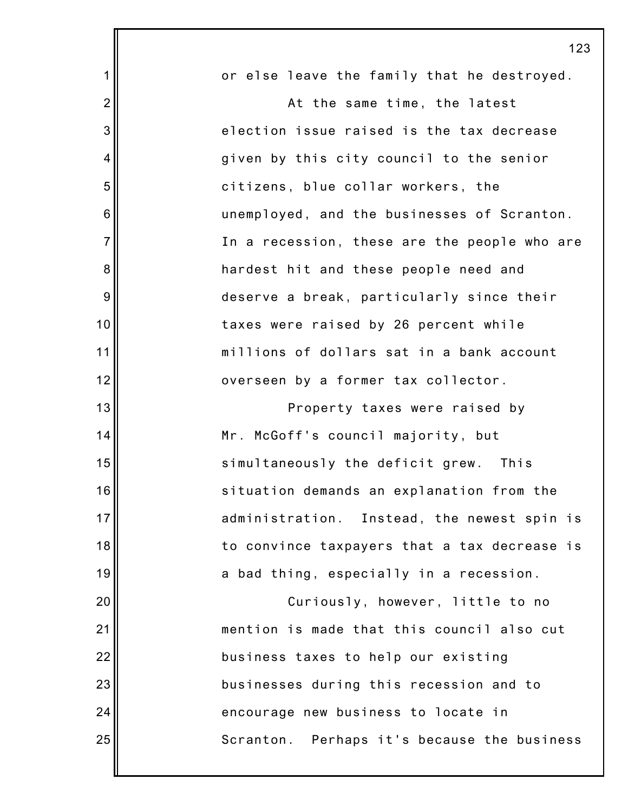|                | 12 <sup>′</sup>                              |
|----------------|----------------------------------------------|
| 1              | or else leave the family that he destroyed.  |
| $\overline{2}$ | At the same time, the latest                 |
| 3              | election issue raised is the tax decrease    |
| $\overline{4}$ | given by this city council to the senior     |
| 5              | citizens, blue collar workers, the           |
| 6              | unemployed, and the businesses of Scranton.  |
| $\overline{7}$ | In a recession, these are the people who are |
| 8              | hardest hit and these people need and        |
| 9              | deserve a break, particularly since their    |
| 10             | taxes were raised by 26 percent while        |
| 11             | millions of dollars sat in a bank account    |
| 12             | overseen by a former tax collector.          |
| 13             | Property taxes were raised by                |
| 14             | Mr. McGoff's council majority, but           |
| 15             | simultaneously the deficit grew. This        |
| 16             | situation demands an explanation from the    |
| 17             | administration. Instead, the newest spin is  |
| 18             | to convince taxpayers that a tax decrease is |
| 19             | a bad thing, especially in a recession.      |
| 20             | Curiously, however, little to no             |
| 21             | mention is made that this council also cut   |
| 22             | business taxes to help our existing          |
| 23             | businesses during this recession and to      |
| 24             | encourage new business to locate in          |
| 25             | Scranton. Perhaps it's because the business  |
|                |                                              |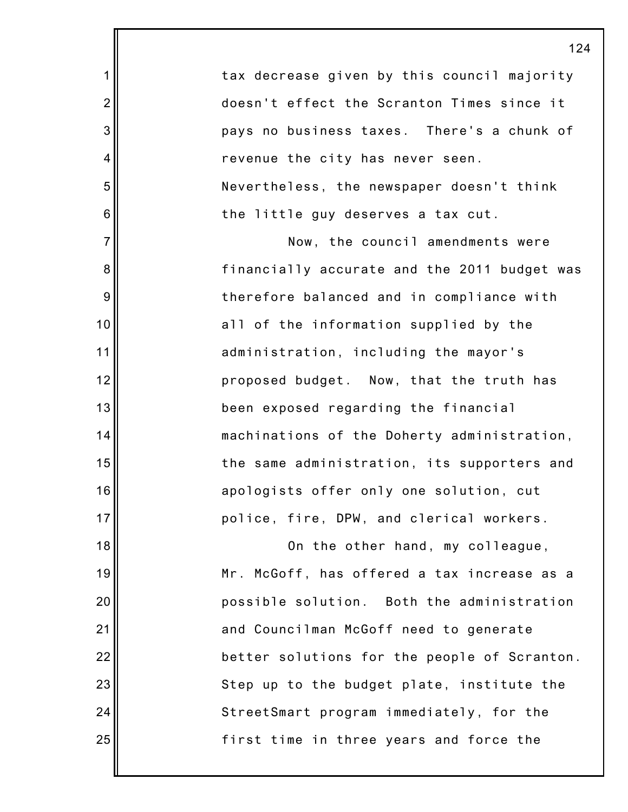| 14                                           |
|----------------------------------------------|
| tax decrease given by this council majority  |
| doesn't effect the Scranton Times since it   |
| pays no business taxes. There's a chunk of   |
| revenue the city has never seen.             |
| Nevertheless, the newspaper doesn't think    |
| the little guy deserves a tax cut.           |
| Now, the council amendments were             |
| financially accurate and the 2011 budget was |
| therefore balanced and in compliance with    |
| all of the information supplied by the       |
| administration, including the mayor's        |
| proposed budget. Now, that the truth has     |
| been exposed regarding the financial         |
| machinations of the Doherty administration,  |
| the same administration, its supporters and  |
| apologists offer only one solution, cut      |
| police, fire, DPW, and clerical workers.     |
| On the other hand, my colleague,             |
| Mr. McGoff, has offered a tax increase as a  |
| possible solution. Both the administration   |
| and Councilman McGoff need to generate       |
| better solutions for the people of Scranton. |
| Step up to the budget plate, institute the   |
|                                              |

2

3

4

5

6

7

8

9

10

11

12

13

14

15

16

17

18

19

20

21

22

23

24

25

first time in three years and force the

StreetSmart program immediately, for the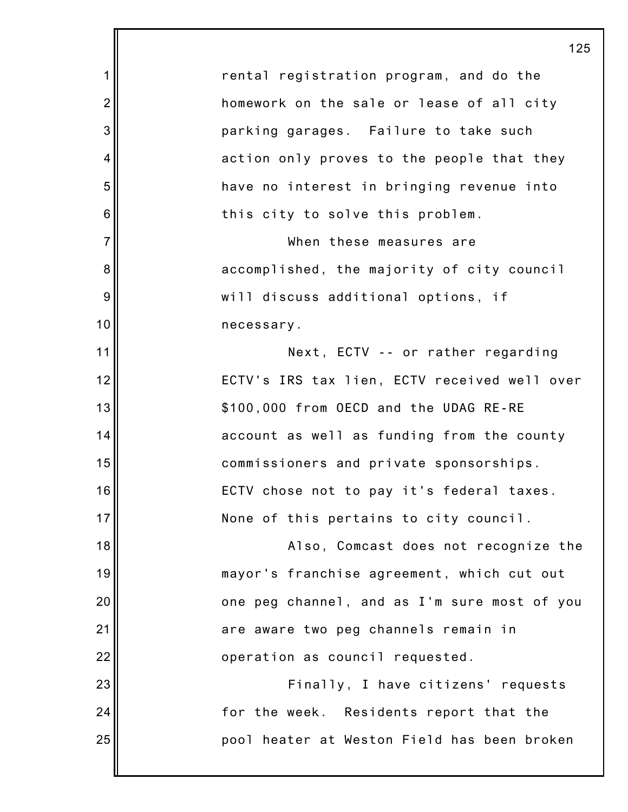1 2 3 4 5 6 7 8 9 10 11 12 13 14 15 16 17 18 19 20 21 22 23 24 25 125 rental registration program, and do the homework on the sale or lease of all city parking garages. Failure to take such action only proves to the people that they have no interest in bringing revenue into this city to solve this problem. When these measures are accomplished, the majority of city council will discuss additional options, if necessary. Next, ECTV -- or rather regarding ECTV's IRS tax lien, ECTV received well over \$100,000 from OECD and the UDAG RE-RE account as well as funding from the county commissioners and private sponsorships. ECTV chose not to pay it's federal taxes. None of this pertains to city council. Also, Comcast does not recognize the mayor's franchise agreement, which cut out one peg channel, and as I'm sure most of you are aware two peg channels remain in operation as council requested. Finally, I have citizens' requests for the week. Residents report that the pool heater at Weston Field has been broken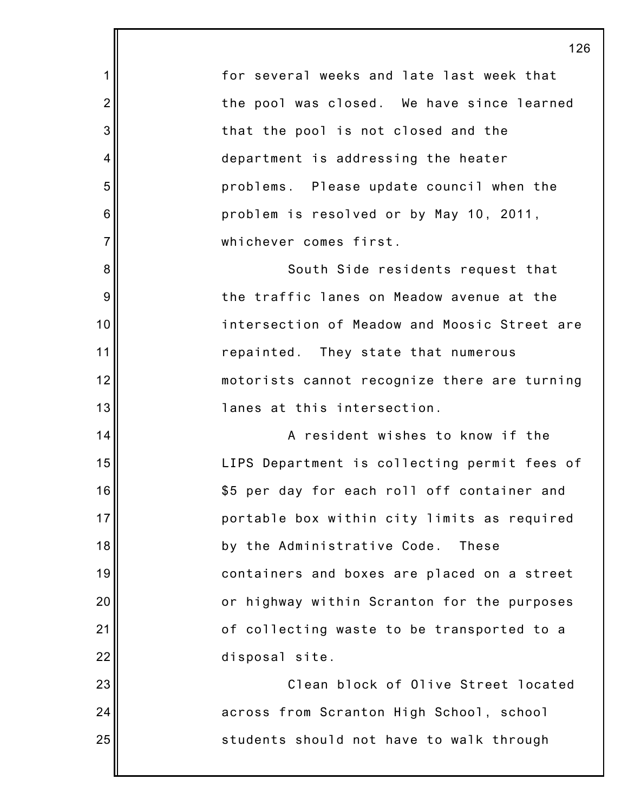1 2 3 4 5 6 7 8 9 10 11 12 13 14 15 16 17 18 19 20 21 22 23 24 25 126 for several weeks and late last week that the pool was closed. We have since learned that the pool is not closed and the department is addressing the heater problems. Please update council when the problem is resolved or by May 10, 2011, whichever comes first. South Side residents request that the traffic lanes on Meadow avenue at the intersection of Meadow and Moosic Street are repainted. They state that numerous motorists cannot recognize there are turning lanes at this intersection. A resident wishes to know if the LIPS Department is collecting permit fees of \$5 per day for each roll off container and portable box within city limits as required by the Administrative Code. These containers and boxes are placed on a street or highway within Scranton for the purposes of collecting waste to be transported to a disposal site. Clean block of Olive Street located across from Scranton High School, school students should not have to walk through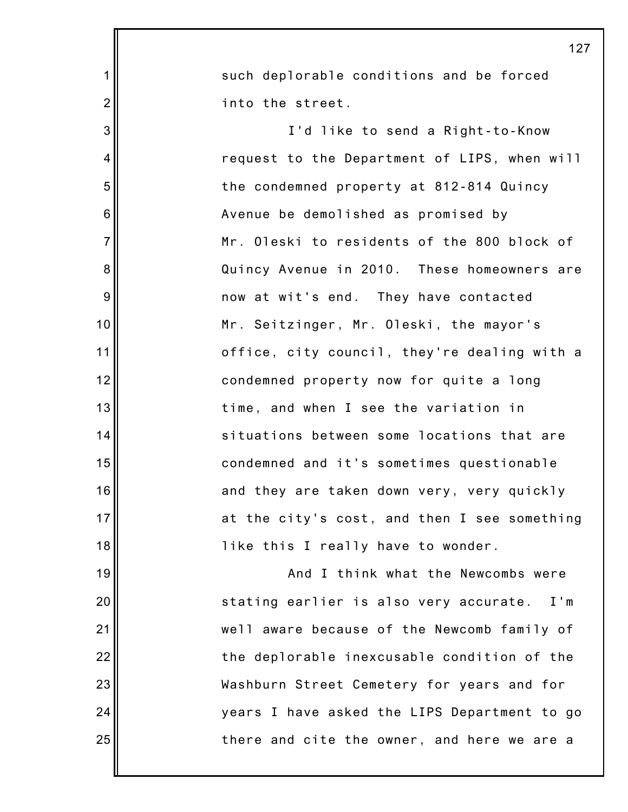|                | 127                                              |
|----------------|--------------------------------------------------|
| $\mathbf 1$    | such deplorable conditions and be forced         |
| $\overline{2}$ | into the street.                                 |
| 3              | I'd like to send a Right-to-Know                 |
| $\overline{4}$ | request to the Department of LIPS, when will     |
| 5              | the condemned property at 812-814 Quincy         |
| 6              | Avenue be demolished as promised by              |
| $\overline{7}$ | Mr. Oleski to residents of the 800 block of      |
| 8              | Quincy Avenue in 2010. These homeowners are      |
| 9              | now at wit's end. They have contacted            |
| 10             | Mr. Seitzinger, Mr. Oleski, the mayor's          |
| 11             | office, city council, they're dealing with a     |
| 12             | condemned property now for quite a long          |
| 13             | time, and when I see the variation in            |
| 14             | situations between some locations that are       |
| 15             | condemned and it's sometimes questionable        |
| 16             | and they are taken down very, very quickly       |
| 17             | at the city's cost, and then I see something     |
| 18             | like this I really have to wonder.               |
| 19             | And I think what the Newcombs were               |
| 20             | stating earlier is also very accurate.<br>$I'$ m |
| 21             | well aware because of the Newcomb family of      |
| 22             | the deplorable inexcusable condition of the      |
| 23             | Washburn Street Cemetery for years and for       |
| 24             | years I have asked the LIPS Department to go     |
| 25             | there and cite the owner, and here we are a      |
|                |                                                  |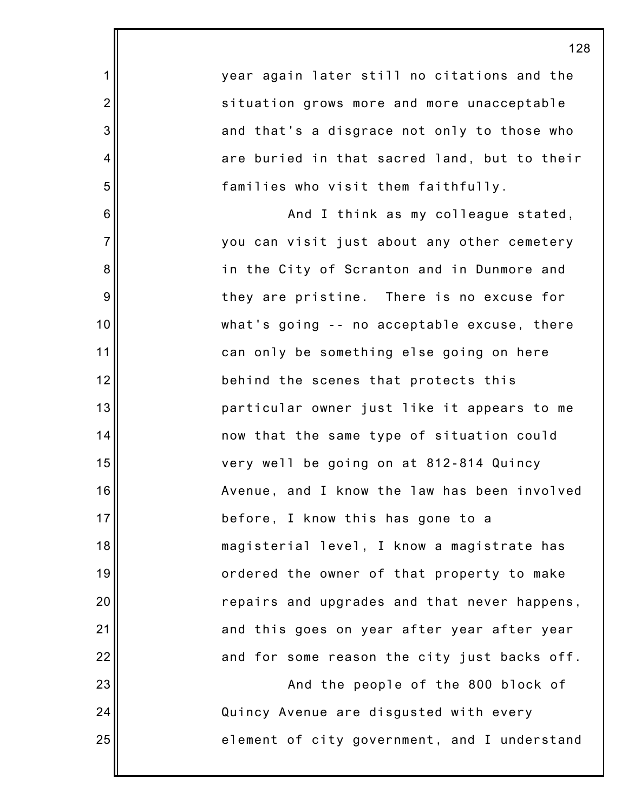year again later still no citations and the situation grows more and more unacceptable and that's a disgrace not only to those who are buried in that sacred land, but to their families who visit them faithfully.

1

2

3

4

5

6

7

8

9

10

11

12

13

14

15

16

17

18

19

20

21

22

23

24

25

And I think as my colleague stated, you can visit just about any other cemetery in the City of Scranton and in Dunmore and they are pristine. There is no excuse for what's going -- no acceptable excuse, there can only be something else going on here behind the scenes that protects this particular owner just like it appears to me now that the same type of situation could very well be going on at 812-814 Quincy Avenue, and I know the law has been involved before, I know this has gone to a magisterial level, I know a magistrate has ordered the owner of that property to make repairs and upgrades and that never happens, and this goes on year after year after year and for some reason the city just backs off.

And the people of the 800 block of Quincy Avenue are disgusted with every element of city government, and I understand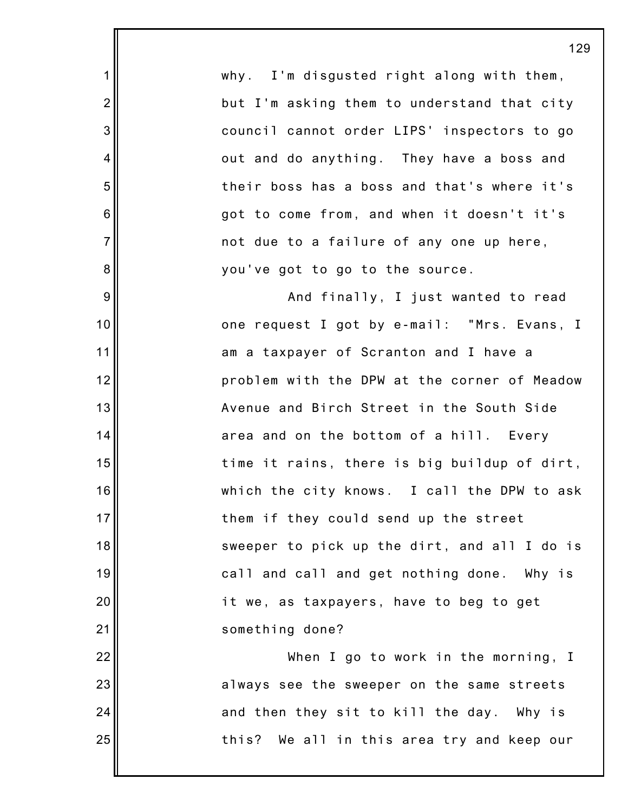|                | 12                                           |
|----------------|----------------------------------------------|
| $\mathbf 1$    | why. I'm disgusted right along with them,    |
| $\overline{2}$ | but I'm asking them to understand that city  |
| 3              | council cannot order LIPS' inspectors to go  |
| $\overline{4}$ | out and do anything. They have a boss and    |
| 5              | their boss has a boss and that's where it's  |
| $\,6$          | got to come from, and when it doesn't it's   |
| $\overline{7}$ | not due to a failure of any one up here,     |
| $\bf 8$        | you've got to go to the source.              |
| $9\,$          | And finally, I just wanted to read           |
| 10             | one request I got by e-mail: "Mrs. Evans, I  |
| 11             | am a taxpayer of Scranton and I have a       |
| 12             | problem with the DPW at the corner of Meadow |
| 13             | Avenue and Birch Street in the South Side    |
| 14             | area and on the bottom of a hill. Every      |
| 15             | time it rains, there is big buildup of dirt, |
| 16             | which the city knows. I call the DPW to ask  |
| 17             | them if they could send up the street        |
| 18             | sweeper to pick up the dirt, and all I do is |
| 19             | call and call and get nothing done. Why is   |
| 20             | it we, as taxpayers, have to beg to get      |
| 21             | something done?                              |
| 22             | When I go to work in the morning, I          |
| 23             | always see the sweeper on the same streets   |
| 24             | and then they sit to kill the day. Why is    |
| 25             | this? We all in this area try and keep our   |
|                |                                              |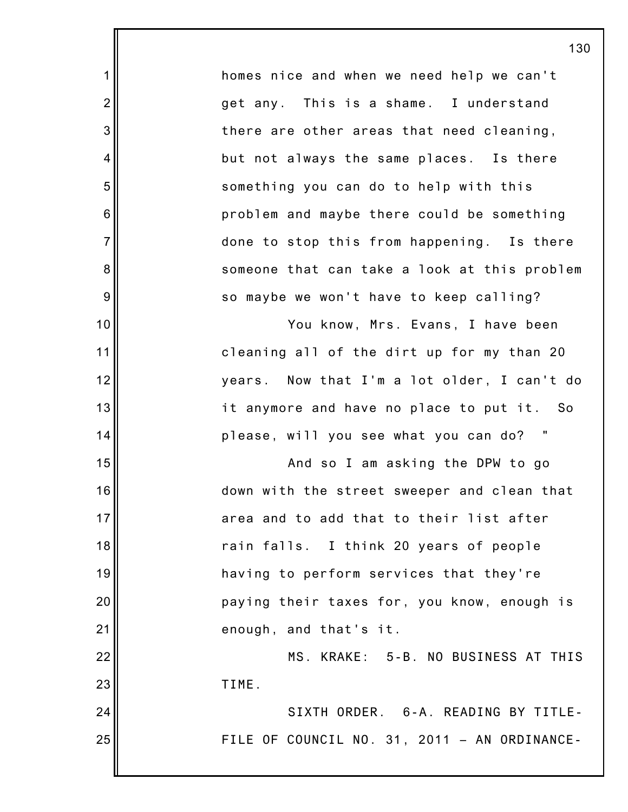homes nice and when we need help we can't get any. This is a shame. I understand there are other areas that need cleaning, but not always the same places. Is there something you can do to help with this problem and maybe there could be something done to stop this from happening. Is there someone that can take a look at this problem so maybe we won't have to keep calling?

1

2

3

4

5

6

7

8

9

10

11

12

13

14

15

16

17

18

19

20

21

22

23

24

25

You know, Mrs. Evans, I have been cleaning all of the dirt up for my than 20 years. Now that I'm a lot older, I can't do it anymore and have no place to put it. So please, will you see what you can do? "

And so I am asking the DPW to go down with the street sweeper and clean that area and to add that to their list after rain falls. I think 20 years of people having to perform services that they're paying their taxes for, you know, enough is enough, and that's it.

MS. KRAKE: 5-B. NO BUSINESS AT THIS TIME.

SIXTH ORDER. 6-A. READING BY TITLE-FILE OF COUNCIL NO. 31, 2011 – AN ORDINANCE-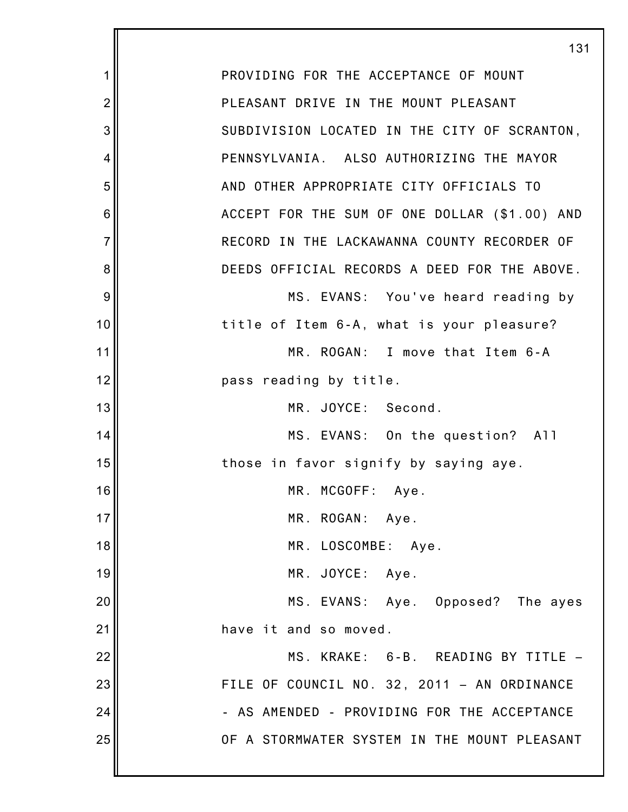1 2 3 4 5 6 7 8 9 10 11 12 13 14 15 16 17 18 19 20 21 22 23 24 25 131 PROVIDING FOR THE ACCEPTANCE OF MOUNT PLEASANT DRIVE IN THE MOUNT PLEASANT SUBDIVISION LOCATED IN THE CITY OF SCRANTON, PENNSYLVANIA. ALSO AUTHORIZING THE MAYOR AND OTHER APPROPRIATE CITY OFFICIALS TO ACCEPT FOR THE SUM OF ONE DOLLAR (\$1.00) AND RECORD IN THE LACKAWANNA COUNTY RECORDER OF DEEDS OFFICIAL RECORDS A DEED FOR THE ABOVE. MS. EVANS: You've heard reading by title of Item 6-A, what is your pleasure? MR. ROGAN: I move that Item 6-A pass reading by title. MR. JOYCE: Second. MS. EVANS: On the question? All those in favor signify by saying aye. MR. MCGOFF: Aye. MR. ROGAN: Aye. MR. LOSCOMBE: Aye. MR. JOYCE: Aye. MS. EVANS: Aye. Opposed? The ayes have it and so moved. MS. KRAKE: 6-B. READING BY TITLE – FILE OF COUNCIL NO. 32, 2011 – AN ORDINANCE - AS AMENDED - PROVIDING FOR THE ACCEPTANCE OF A STORMWATER SYSTEM IN THE MOUNT PLEASANT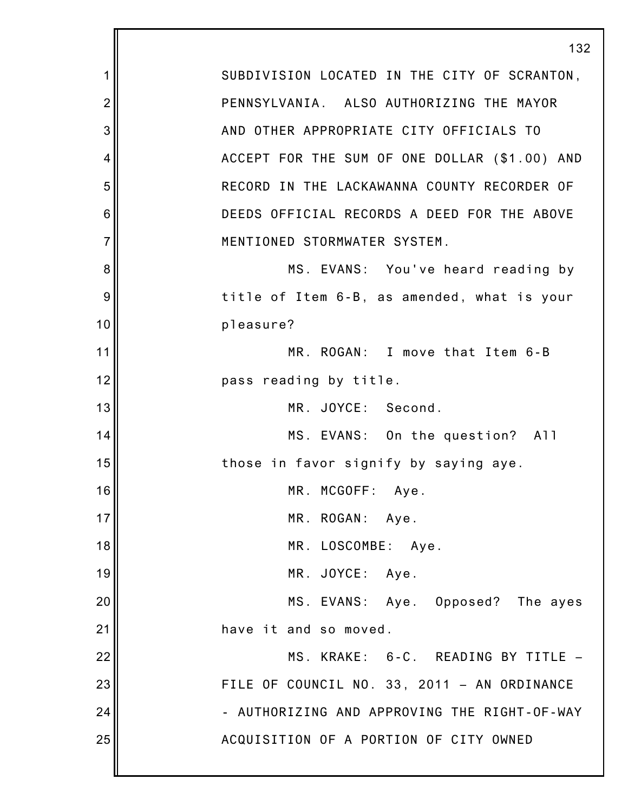1 2 3 4 5 6 7 8 9 10 11 12 13 14 15 16 17 18 19 20 21 22 23 24 25 132 SUBDIVISION LOCATED IN THE CITY OF SCRANTON, PENNSYLVANIA. ALSO AUTHORIZING THE MAYOR AND OTHER APPROPRIATE CITY OFFICIALS TO ACCEPT FOR THE SUM OF ONE DOLLAR (\$1.00) AND RECORD IN THE LACKAWANNA COUNTY RECORDER OF DEEDS OFFICIAL RECORDS A DEED FOR THE ABOVE MENTIONED STORMWATER SYSTEM. MS. EVANS: You've heard reading by title of Item 6-B, as amended, what is your pleasure? MR. ROGAN: I move that Item 6-B pass reading by title. MR. JOYCE: Second. MS. EVANS: On the question? All those in favor signify by saying aye. MR. MCGOFF: Aye. MR. ROGAN: Aye. MR. LOSCOMBE: Aye. MR. JOYCE: Aye. MS. EVANS: Aye. Opposed? The ayes have it and so moved. MS. KRAKE: 6-C. READING BY TITLE – FILE OF COUNCIL NO. 33, 2011 – AN ORDINANCE - AUTHORIZING AND APPROVING THE RIGHT-OF-WAY ACQUISITION OF A PORTION OF CITY OWNED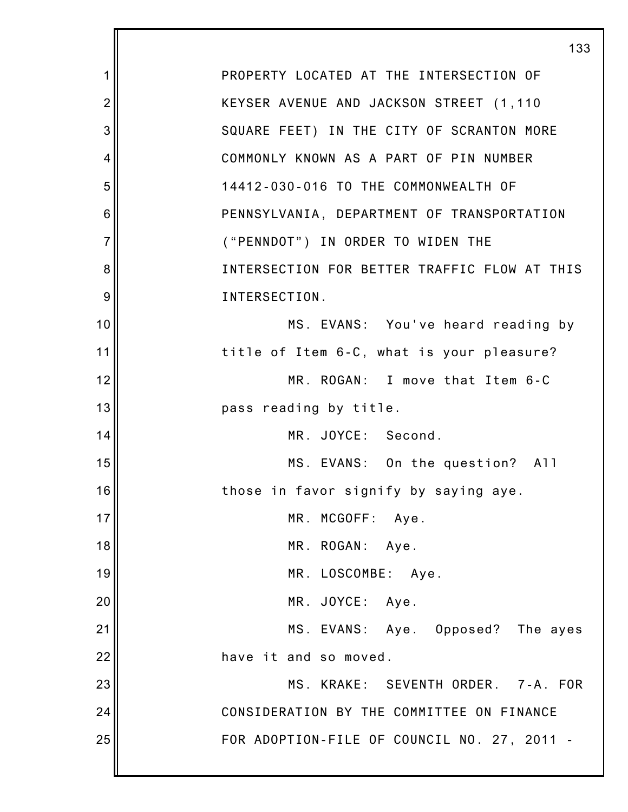|                | 133                                          |
|----------------|----------------------------------------------|
| 1              | PROPERTY LOCATED AT THE INTERSECTION OF      |
| $\overline{2}$ | KEYSER AVENUE AND JACKSON STREET (1,110      |
| 3              | SQUARE FEET) IN THE CITY OF SCRANTON MORE    |
| 4              | COMMONLY KNOWN AS A PART OF PIN NUMBER       |
| 5              | 14412-030-016 TO THE COMMONWEALTH OF         |
| 6              | PENNSYLVANIA, DEPARTMENT OF TRANSPORTATION   |
| $\overline{7}$ | ("PENNDOT") IN ORDER TO WIDEN THE            |
| 8              | INTERSECTION FOR BETTER TRAFFIC FLOW AT THIS |
| 9              | INTERSECTION.                                |
| 10             | MS. EVANS: You've heard reading by           |
| 11             | title of Item 6-C, what is your pleasure?    |
| 12             | MR. ROGAN: I move that Item 6-C              |
| 13             | pass reading by title.                       |
| 14             | MR. JOYCE: Second.                           |
| 15             | MS. EVANS: On the question? All              |
| 16             | those in favor signify by saying aye.        |
| 17             | MR. MCGOFF: Aye.                             |
| 18             | MR. ROGAN: Aye.                              |
| 19             | MR. LOSCOMBE: Aye.                           |
| 20             | MR. JOYCE: Aye.                              |
| 21             | MS. EVANS: Aye. Opposed? The ayes            |
| 22             | have it and so moved.                        |
| 23             | MS. KRAKE: SEVENTH ORDER. 7-A. FOR           |
| 24             | CONSIDERATION BY THE COMMITTEE ON FINANCE    |
| 25             | FOR ADOPTION-FILE OF COUNCIL NO. 27, 2011 -  |
|                |                                              |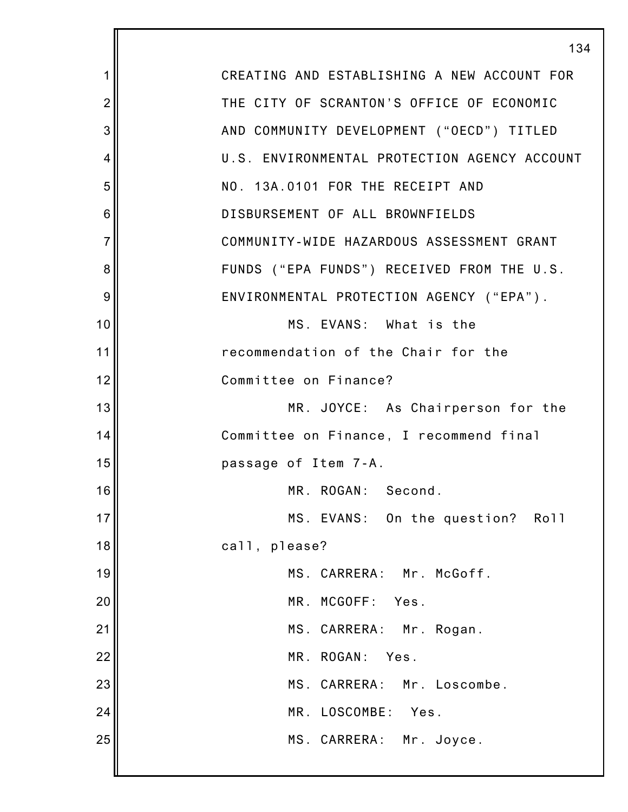|                | 134                                          |
|----------------|----------------------------------------------|
| 1              | CREATING AND ESTABLISHING A NEW ACCOUNT FOR  |
| $\overline{2}$ | THE CITY OF SCRANTON'S OFFICE OF ECONOMIC    |
| 3              | AND COMMUNITY DEVELOPMENT ("OECD") TITLED    |
| 4              | U.S. ENVIRONMENTAL PROTECTION AGENCY ACCOUNT |
| 5              | NO. 13A.0101 FOR THE RECEIPT AND             |
| 6              | DISBURSEMENT OF ALL BROWNFIELDS              |
| $\overline{7}$ | COMMUNITY-WIDE HAZARDOUS ASSESSMENT GRANT    |
| 8              | FUNDS ("EPA FUNDS") RECEIVED FROM THE U.S.   |
| 9              | ENVIRONMENTAL PROTECTION AGENCY ("EPA").     |
| 10             | MS. EVANS: What is the                       |
| 11             | recommendation of the Chair for the          |
| 12             | Committee on Finance?                        |
| 13             | MR. JOYCE: As Chairperson for the            |
| 14             | Committee on Finance, I recommend final      |
| 15             | passage of Item 7-A.                         |
| 16             | MR. ROGAN:<br>Second.                        |
| 17             | MS. EVANS: On the question? Roll             |
| 18             | call, please?                                |
| 19             | MS. CARRERA: Mr. McGoff.                     |
| 20             | MR. MCGOFF:<br>Yes.                          |
| 21             | MS. CARRERA: Mr. Rogan.                      |
| 22             | MR. ROGAN:<br>Yes.                           |
| 23             | MS. CARRERA: Mr. Loscombe.                   |
| 24             | MR. LOSCOMBE:<br>Yes.                        |
| 25             | MS. CARRERA: Mr. Joyce.                      |
|                |                                              |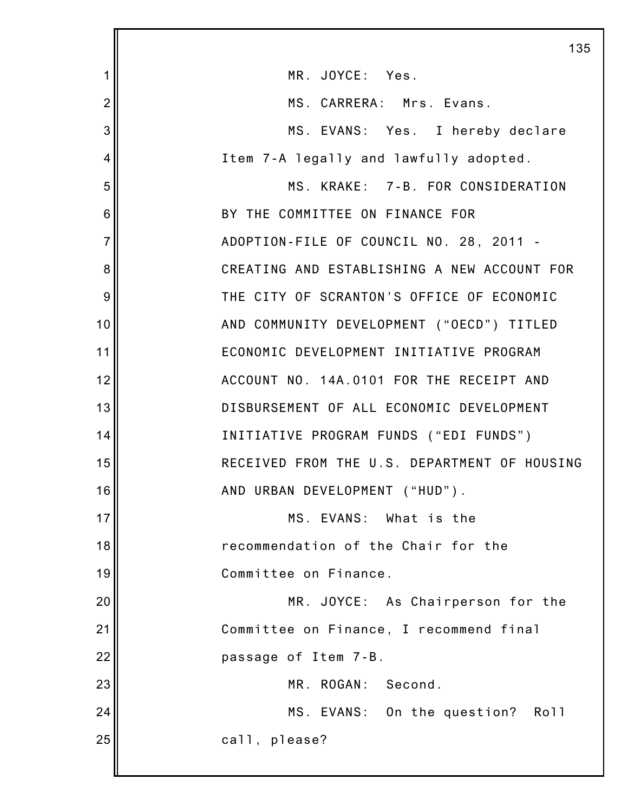|                | 135                                          |
|----------------|----------------------------------------------|
| 1              | MR. JOYCE: Yes.                              |
| $\overline{2}$ | MS. CARRERA: Mrs. Evans.                     |
| 3              | MS. EVANS: Yes. I hereby declare             |
| $\overline{4}$ | Item 7-A legally and lawfully adopted.       |
| 5              | MS. KRAKE: 7-B. FOR CONSIDERATION            |
| 6              | BY THE COMMITTEE ON FINANCE FOR              |
| $\overline{7}$ | ADOPTION-FILE OF COUNCIL NO. 28, 2011 -      |
| 8              | CREATING AND ESTABLISHING A NEW ACCOUNT FOR  |
| 9              | THE CITY OF SCRANTON'S OFFICE OF ECONOMIC    |
| 10             | AND COMMUNITY DEVELOPMENT ("OECD") TITLED    |
| 11             | ECONOMIC DEVELOPMENT INITIATIVE PROGRAM      |
| 12             | ACCOUNT NO. 14A.0101 FOR THE RECEIPT AND     |
| 13             | DISBURSEMENT OF ALL ECONOMIC DEVELOPMENT     |
| 14             | INITIATIVE PROGRAM FUNDS ("EDI FUNDS")       |
| 15             | RECEIVED FROM THE U.S. DEPARTMENT OF HOUSING |
| 16             | AND URBAN DEVELOPMENT ("HUD").               |
| 17             | MS. EVANS: What is the                       |
| 18             | recommendation of the Chair for the          |
| 19             | Committee on Finance.                        |
| 20             | MR. JOYCE: As Chairperson for the            |
| 21             | Committee on Finance, I recommend final      |
| 22             | passage of Item 7-B.                         |
| 23             | MR. ROGAN:<br>Second.                        |
| 24             | MS. EVANS: On the question? Roll             |
| 25             | call, please?                                |
|                |                                              |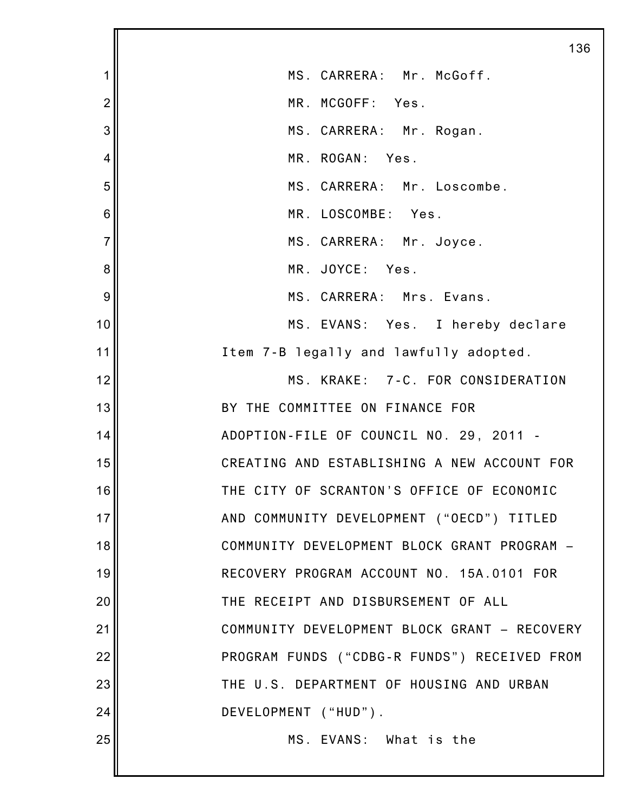|                | 136                                          |
|----------------|----------------------------------------------|
| 1              | MS. CARRERA: Mr. McGoff.                     |
| $\overline{2}$ | MR. MCGOFF: Yes.                             |
| 3              | MS. CARRERA: Mr. Rogan.                      |
| 4              | MR. ROGAN: Yes.                              |
| 5              | MS. CARRERA: Mr. Loscombe.                   |
| 6              | MR. LOSCOMBE: Yes.                           |
| $\overline{7}$ | MS. CARRERA: Mr. Joyce.                      |
| 8              | MR. JOYCE: Yes.                              |
| 9              | MS. CARRERA: Mrs. Evans.                     |
| 10             | MS. EVANS: Yes. I hereby declare             |
| 11             | Item 7-B legally and lawfully adopted.       |
| 12             | MS. KRAKE: 7-C. FOR CONSIDERATION            |
| 13             | BY THE COMMITTEE ON FINANCE FOR              |
| 14             | ADOPTION-FILE OF COUNCIL NO. 29, 2011 -      |
| 15             | CREATING AND ESTABLISHING A NEW ACCOUNT FOR  |
| 16             | THE CITY OF SCRANTON'S OFFICE OF ECONOMIC    |
| 17             | AND COMMUNITY DEVELOPMENT ("OECD") TITLED    |
| 18             | COMMUNITY DEVELOPMENT BLOCK GRANT PROGRAM -  |
| 19             | RECOVERY PROGRAM ACCOUNT NO. 15A.0101 FOR    |
| 20             | THE RECEIPT AND DISBURSEMENT OF ALL          |
| 21             | COMMUNITY DEVELOPMENT BLOCK GRANT - RECOVERY |
| 22             | PROGRAM FUNDS ("CDBG-R FUNDS") RECEIVED FROM |
| 23             | THE U.S. DEPARTMENT OF HOUSING AND URBAN     |
| 24             | DEVELOPMENT ("HUD").                         |
| 25             | MS. EVANS: What is the                       |
|                |                                              |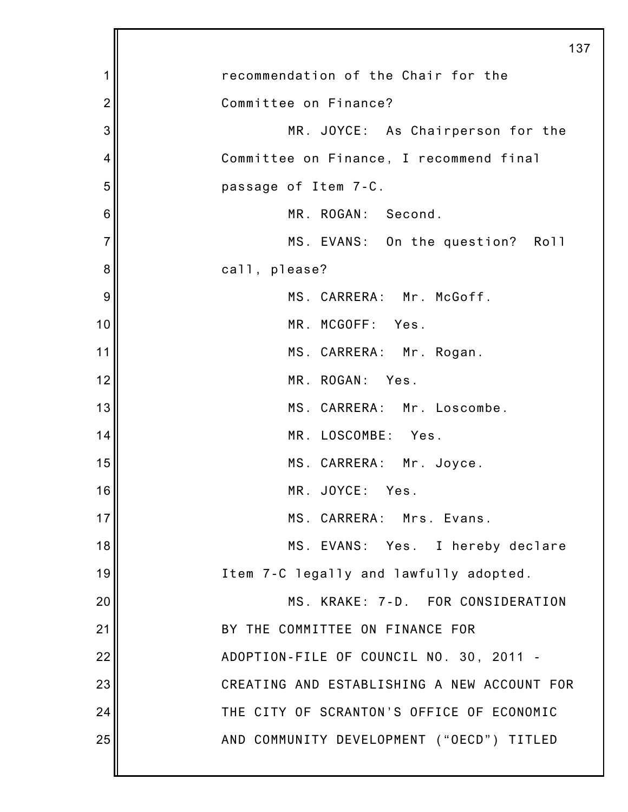|                | 137                                         |
|----------------|---------------------------------------------|
| 1              | recommendation of the Chair for the         |
| $\overline{2}$ | Committee on Finance?                       |
| 3              | MR. JOYCE: As Chairperson for the           |
| 4              | Committee on Finance, I recommend final     |
| 5              | passage of Item 7-C.                        |
| 6              | MR. ROGAN: Second.                          |
| $\overline{7}$ | MS. EVANS: On the question? Roll            |
| 8              | call, please?                               |
| 9              | MS. CARRERA: Mr. McGoff.                    |
| 10             | MR. MCGOFF: Yes.                            |
| 11             | MS. CARRERA: Mr. Rogan.                     |
| 12             | MR. ROGAN: Yes.                             |
| 13             | MS. CARRERA: Mr. Loscombe.                  |
| 14             | MR. LOSCOMBE: Yes.                          |
| 15             | MS. CARRERA: Mr. Joyce.                     |
| 16             | MR. JOYCE: Yes.                             |
| 17             | MS. CARRERA: Mrs. Evans.                    |
| 18             | MS. EVANS: Yes. I hereby declare            |
| 19             | Item 7-C legally and lawfully adopted.      |
| 20             | MS. KRAKE: 7-D. FOR CONSIDERATION           |
| 21             | BY THE COMMITTEE ON FINANCE FOR             |
| 22             | ADOPTION-FILE OF COUNCIL NO. 30, 2011 -     |
| 23             | CREATING AND ESTABLISHING A NEW ACCOUNT FOR |
| 24             | THE CITY OF SCRANTON'S OFFICE OF ECONOMIC   |
| 25             | AND COMMUNITY DEVELOPMENT ("OECD") TITLED   |
|                |                                             |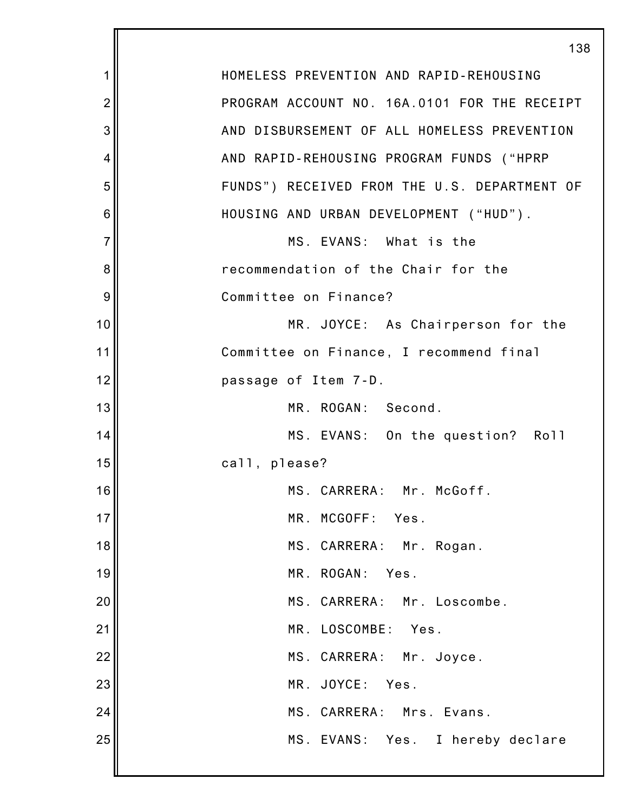|                | 138                                          |
|----------------|----------------------------------------------|
| 1              | HOMELESS PREVENTION AND RAPID-REHOUSING      |
| $\overline{2}$ | PROGRAM ACCOUNT NO. 16A.0101 FOR THE RECEIPT |
| 3              | AND DISBURSEMENT OF ALL HOMELESS PREVENTION  |
| 4              | AND RAPID-REHOUSING PROGRAM FUNDS ("HPRP     |
| 5              | FUNDS") RECEIVED FROM THE U.S. DEPARTMENT OF |
| 6              | HOUSING AND URBAN DEVELOPMENT ("HUD").       |
| $\overline{7}$ | MS. EVANS: What is the                       |
| 8              | recommendation of the Chair for the          |
| 9              | Committee on Finance?                        |
| 10             | MR. JOYCE: As Chairperson for the            |
| 11             | Committee on Finance, I recommend final      |
| 12             | passage of Item 7-D.                         |
| 13             | MR. ROGAN: Second.                           |
| 14             | MS. EVANS: On the question? Roll             |
| 15             | call, please?                                |
| 16             | MS. CARRERA: Mr. McGoff.                     |
| 17             | MR. MCGOFF: Yes.                             |
| 18             | MS. CARRERA: Mr. Rogan.                      |
| 19             | MR. ROGAN: Yes.                              |
| 20             | MS. CARRERA: Mr. Loscombe.                   |
| 21             | MR. LOSCOMBE: Yes.                           |
| 22             | MS. CARRERA: Mr. Joyce.                      |
| 23             | MR. JOYCE: Yes.                              |
| 24             | MS. CARRERA: Mrs. Evans.                     |
| 25             | MS. EVANS: Yes. I hereby declare             |
|                |                                              |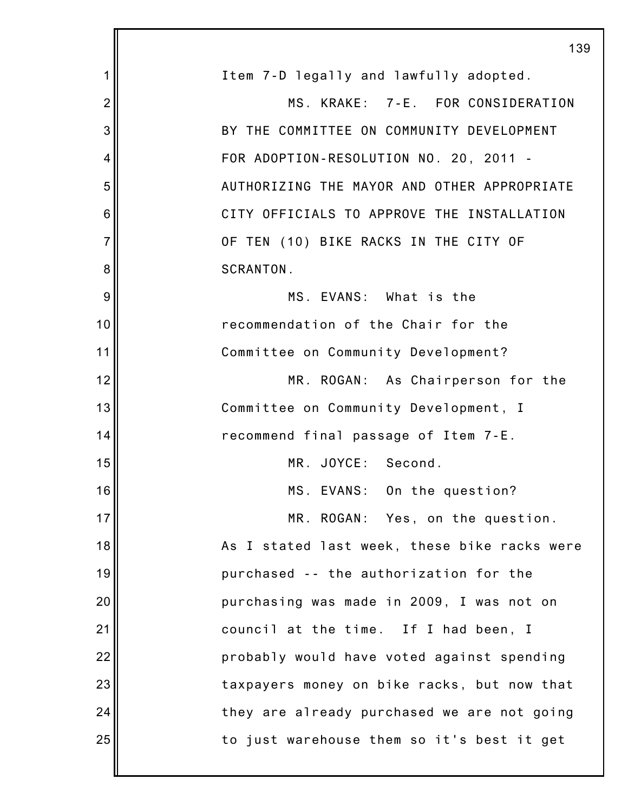|                | 139                                          |
|----------------|----------------------------------------------|
| 1              | Item 7-D legally and lawfully adopted.       |
| $\overline{2}$ | MS. KRAKE: 7-E. FOR CONSIDERATION            |
| 3              | BY THE COMMITTEE ON COMMUNITY DEVELOPMENT    |
| 4              | FOR ADOPTION-RESOLUTION NO. 20, 2011 -       |
| 5              | AUTHORIZING THE MAYOR AND OTHER APPROPRIATE  |
| 6              | CITY OFFICIALS TO APPROVE THE INSTALLATION   |
| $\overline{7}$ | OF TEN (10) BIKE RACKS IN THE CITY OF        |
| 8              | SCRANTON.                                    |
| 9              | MS. EVANS: What is the                       |
| 10             | recommendation of the Chair for the          |
| 11             | Committee on Community Development?          |
| 12             | MR. ROGAN: As Chairperson for the            |
| 13             | Committee on Community Development, I        |
| 14             | recommend final passage of Item 7-E.         |
| 15             | MR. JOYCE: Second.                           |
| 16             | MS. EVANS: On the question?                  |
| 17             | MR. ROGAN: Yes, on the question.             |
| 18             | As I stated last week, these bike racks were |
| 19             | purchased -- the authorization for the       |
| 20             | purchasing was made in 2009, I was not on    |
| 21             | council at the time. If I had been, I        |
| 22             | probably would have voted against spending   |
| 23             | taxpayers money on bike racks, but now that  |
| 24             | they are already purchased we are not going  |
| 25             | to just warehouse them so it's best it get   |
|                |                                              |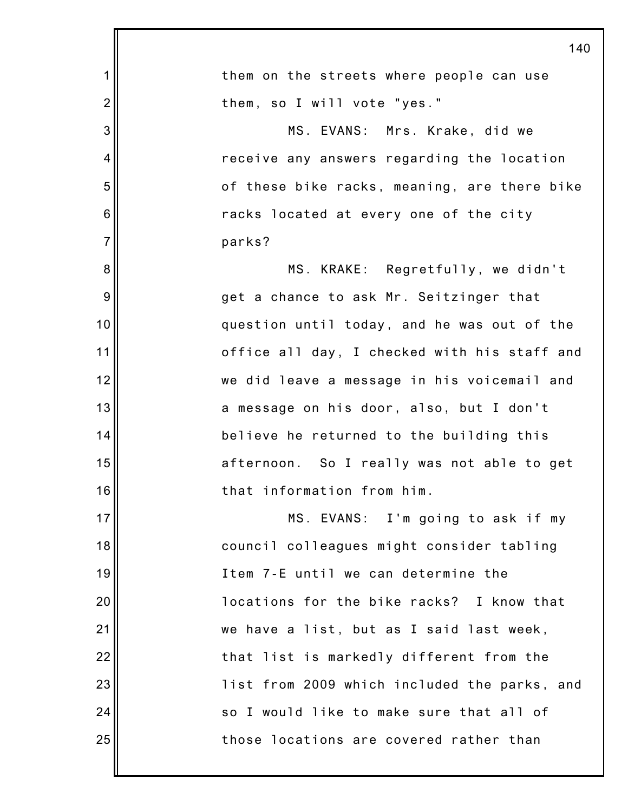|                | 140                                          |
|----------------|----------------------------------------------|
| 1              | them on the streets where people can use     |
| $\overline{c}$ | them, so I will vote "yes."                  |
| 3              | MS. EVANS: Mrs. Krake, did we                |
| 4              | receive any answers regarding the location   |
| 5              | of these bike racks, meaning, are there bike |
| 6              | racks located at every one of the city       |
| $\overline{7}$ | parks?                                       |
| 8              | MS. KRAKE: Regretfully, we didn't            |
| $9$            | get a chance to ask Mr. Seitzinger that      |
| 10             | question until today, and he was out of the  |
| 11             | office all day, I checked with his staff and |
| 12             | we did leave a message in his voicemail and  |
| 13             | a message on his door, also, but I don't     |
| 14             | believe he returned to the building this     |
| 15             | afternoon. So I really was not able to get   |
| 16             | that information from him.                   |
| 17             | MS. EVANS: I'm going to ask if my            |
| 18             | council colleagues might consider tabling    |
| 19             | Item 7-E until we can determine the          |
| 20             | locations for the bike racks? I know that    |
| 21             | we have a list, but as I said last week,     |
| 22             | that list is markedly different from the     |
| 23             | list from 2009 which included the parks, and |
| 24             | so I would like to make sure that all of     |
| 25             | those locations are covered rather than      |
|                |                                              |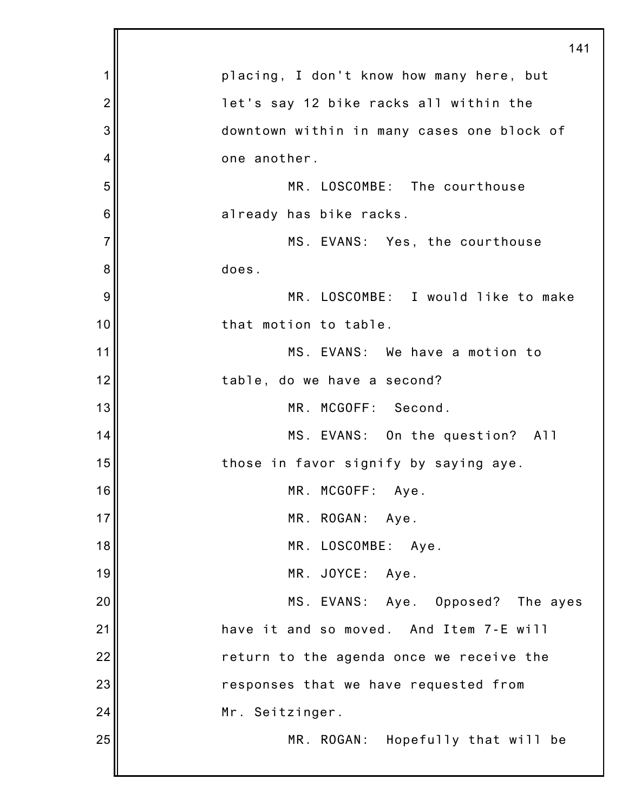|                | 141                                        |
|----------------|--------------------------------------------|
| 1              | placing, I don't know how many here, but   |
| $\overline{2}$ | let's say 12 bike racks all within the     |
| 3              | downtown within in many cases one block of |
| 4              | one another.                               |
| 5              | MR. LOSCOMBE: The courthouse               |
| 6              | already has bike racks.                    |
| $\overline{7}$ | MS. EVANS: Yes, the courthouse             |
| 8              | does.                                      |
| 9              | MR. LOSCOMBE: I would like to make         |
| 10             | that motion to table.                      |
| 11             | MS. EVANS: We have a motion to             |
| 12             | table, do we have a second?                |
| 13             | MR. MCGOFF: Second.                        |
| 14             | MS. EVANS: On the question? All            |
| 15             | those in favor signify by saying aye.      |
| 16             | MR. MCGOFF: Aye.                           |
| 17             | MR. ROGAN: Aye.                            |
| 18             | MR. LOSCOMBE: Aye.                         |
| 19             | MR. JOYCE: Aye.                            |
| 20             | MS. EVANS: Aye. Opposed? The ayes          |
| 21             | have it and so moved. And Item 7-E will    |
| 22             | return to the agenda once we receive the   |
| 23             | responses that we have requested from      |
| 24             | Mr. Seitzinger.                            |
| 25             | MR. ROGAN: Hopefully that will be          |
|                |                                            |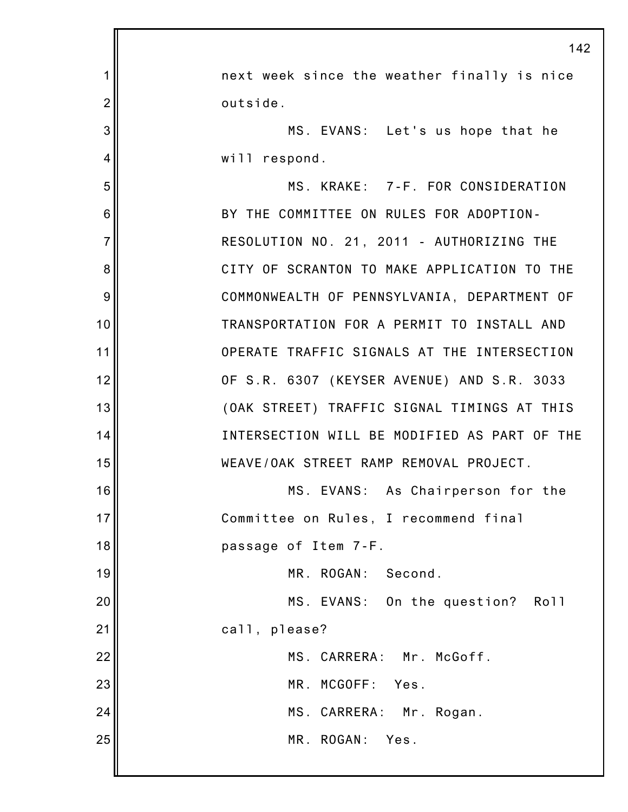|                | 142                                          |
|----------------|----------------------------------------------|
| 1              | next week since the weather finally is nice  |
| $\overline{2}$ | outside.                                     |
| 3              | MS. EVANS: Let's us hope that he             |
| 4              | will respond.                                |
| 5              | MS. KRAKE: 7-F. FOR CONSIDERATION            |
| 6              | BY THE COMMITTEE ON RULES FOR ADOPTION-      |
| $\overline{7}$ | RESOLUTION NO. 21, 2011 - AUTHORIZING THE    |
| 8              | CITY OF SCRANTON TO MAKE APPLICATION TO THE  |
| 9              | COMMONWEALTH OF PENNSYLVANIA, DEPARTMENT OF  |
| 10             | TRANSPORTATION FOR A PERMIT TO INSTALL AND   |
| 11             | OPERATE TRAFFIC SIGNALS AT THE INTERSECTION  |
| 12             | OF S.R. 6307 (KEYSER AVENUE) AND S.R. 3033   |
| 13             | (OAK STREET) TRAFFIC SIGNAL TIMINGS AT THIS  |
| 14             | INTERSECTION WILL BE MODIFIED AS PART OF THE |
| 15             | WEAVE/OAK STREET RAMP REMOVAL PROJECT.       |
| 16             | MS. EVANS: As Chairperson for the            |
| 17             | Committee on Rules, I recommend final        |
| 18             | passage of Item 7-F.                         |
| 19             | MR. ROGAN: Second.                           |
| 20             | MS. EVANS: On the question? Roll             |
| 21             | call, please?                                |
| 22             | MS. CARRERA: Mr. McGoff.                     |
| 23             | MR. MCGOFF:<br>Yes.                          |
| 24             | MS. CARRERA: Mr. Rogan.                      |
| 25             | MR. ROGAN: Yes.                              |
|                |                                              |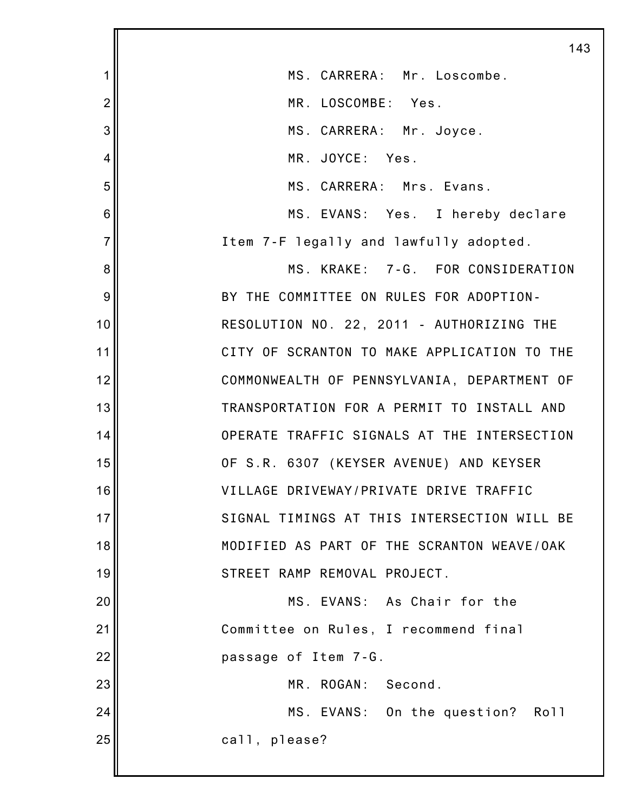|                 | 14                                          |
|-----------------|---------------------------------------------|
| 1               | MS. CARRERA: Mr. Loscombe.                  |
| $\overline{2}$  | MR. LOSCOMBE: Yes.                          |
| 3               | MS. CARRERA: Mr. Joyce.                     |
| $\overline{4}$  | MR. JOYCE: Yes.                             |
| 5               | MS. CARRERA: Mrs. Evans.                    |
| $6\phantom{1}6$ | MS. EVANS: Yes. I hereby declare            |
| $\overline{7}$  | Item 7-F legally and lawfully adopted.      |
| 8               | MS. KRAKE: 7-G. FOR CONSIDERATION           |
| 9               | BY THE COMMITTEE ON RULES FOR ADOPTION-     |
| 10              | RESOLUTION NO. 22, 2011 - AUTHORIZING THE   |
| 11              | CITY OF SCRANTON TO MAKE APPLICATION TO THE |
| 12              | COMMONWEALTH OF PENNSYLVANIA, DEPARTMENT OF |
| 13              | TRANSPORTATION FOR A PERMIT TO INSTALL AND  |
| 14              | OPERATE TRAFFIC SIGNALS AT THE INTERSECTION |
| 15              | OF S.R. 6307 (KEYSER AVENUE) AND KEYSER     |
| 16              | VILLAGE DRIVEWAY/PRIVATE DRIVE TRAFFIC      |
| 17              | SIGNAL TIMINGS AT THIS INTERSECTION WILL BE |
| 18              | MODIFIED AS PART OF THE SCRANTON WEAVE/OAK  |
| 19              | STREET RAMP REMOVAL PROJECT.                |
| 20              | MS. EVANS: As Chair for the                 |
| 21              | Committee on Rules, I recommend final       |
| 22              | passage of Item 7-G.                        |
| 23              | MR. ROGAN: Second.                          |
| 24              | MS. EVANS: On the question? Roll            |
| 25              | call, please?                               |
|                 |                                             |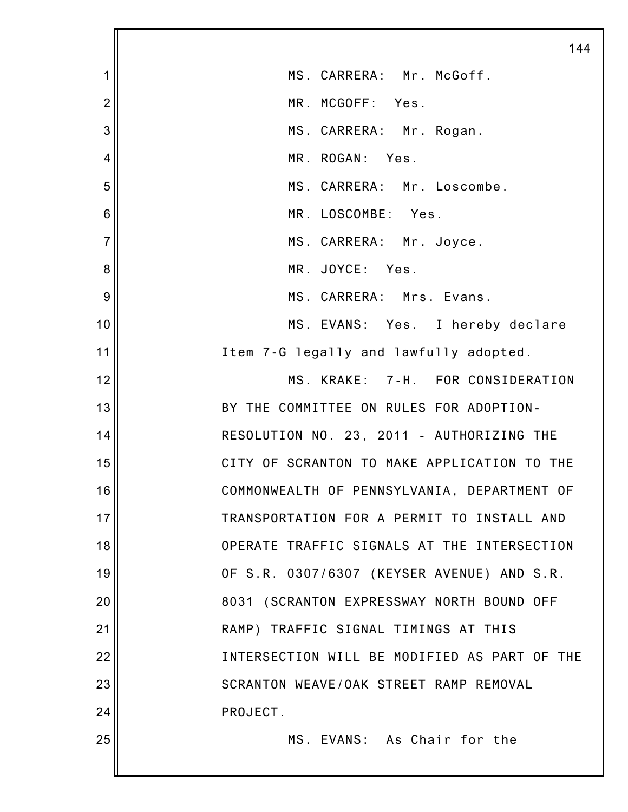|                | 144                                          |
|----------------|----------------------------------------------|
| 1              | MS. CARRERA: Mr. McGoff.                     |
| $\overline{2}$ | MR. MCGOFF: Yes.                             |
| 3              | MS. CARRERA: Mr. Rogan.                      |
| $\overline{4}$ | MR. ROGAN:<br>Yes.                           |
| 5              | MS. CARRERA: Mr. Loscombe.                   |
| 6              | MR. LOSCOMBE: Yes.                           |
| $\overline{7}$ | MS. CARRERA: Mr. Joyce.                      |
| 8              | MR. JOYCE: Yes.                              |
| 9              | MS. CARRERA: Mrs. Evans.                     |
| 10             | MS. EVANS: Yes. I hereby declare             |
| 11             | Item 7-G legally and lawfully adopted.       |
| 12             | MS. KRAKE: 7-H. FOR CONSIDERATION            |
| 13             | BY THE COMMITTEE ON RULES FOR ADOPTION-      |
| 14             | RESOLUTION NO. 23, 2011 - AUTHORIZING THE    |
| 15             | CITY OF SCRANTON TO MAKE APPLICATION TO THE  |
| 16             | COMMONWEALTH OF PENNSYLVANIA, DEPARTMENT OF  |
| 17             | TRANSPORTATION FOR A PERMIT TO INSTALL AND   |
| 18             | OPERATE TRAFFIC SIGNALS AT THE INTERSECTION  |
| 19             | OF S.R. 0307/6307 (KEYSER AVENUE) AND S.R.   |
| 20             | 8031 (SCRANTON EXPRESSWAY NORTH BOUND OFF    |
| 21             | RAMP) TRAFFIC SIGNAL TIMINGS AT THIS         |
| 22             | INTERSECTION WILL BE MODIFIED AS PART OF THE |
| 23             | SCRANTON WEAVE/OAK STREET RAMP REMOVAL       |
| 24             | PROJECT.                                     |
| 25             | MS. EVANS: As Chair for the                  |
|                |                                              |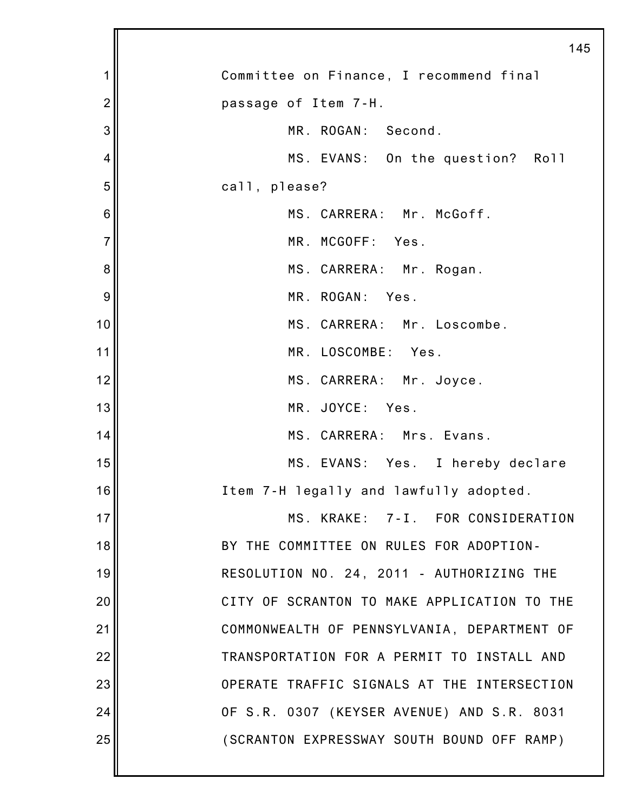|                | 145                                         |
|----------------|---------------------------------------------|
| 1              | Committee on Finance, I recommend final     |
| $\overline{2}$ | passage of Item 7-H.                        |
| 3              | MR. ROGAN: Second.                          |
| 4              | MS. EVANS: On the question? Roll            |
| 5              | call, please?                               |
| $\,6$          | MS. CARRERA: Mr. McGoff.                    |
| $\overline{7}$ | MR. MCGOFF: Yes.                            |
| 8              | MS. CARRERA: Mr. Rogan.                     |
| 9              | MR. ROGAN: Yes.                             |
| 10             | MS. CARRERA: Mr. Loscombe.                  |
| 11             | MR. LOSCOMBE: Yes.                          |
| 12             | MS. CARRERA: Mr. Joyce.                     |
| 13             | MR. JOYCE: Yes.                             |
| 14             | MS. CARRERA: Mrs. Evans.                    |
| 15             | MS. EVANS: Yes. I hereby declare            |
| 16             | Item 7-H legally and lawfully adopted.      |
| 17             | MS. KRAKE: 7-I. FOR CONSIDERATION           |
| 18             | BY THE COMMITTEE ON RULES FOR ADOPTION-     |
| 19             | RESOLUTION NO. 24, 2011 - AUTHORIZING THE   |
| 20             | CITY OF SCRANTON TO MAKE APPLICATION TO THE |
| 21             | COMMONWEALTH OF PENNSYLVANIA, DEPARTMENT OF |
| 22             | TRANSPORTATION FOR A PERMIT TO INSTALL AND  |
| 23             | OPERATE TRAFFIC SIGNALS AT THE INTERSECTION |
| 24             | OF S.R. 0307 (KEYSER AVENUE) AND S.R. 8031  |
| 25             | (SCRANTON EXPRESSWAY SOUTH BOUND OFF RAMP)  |
|                |                                             |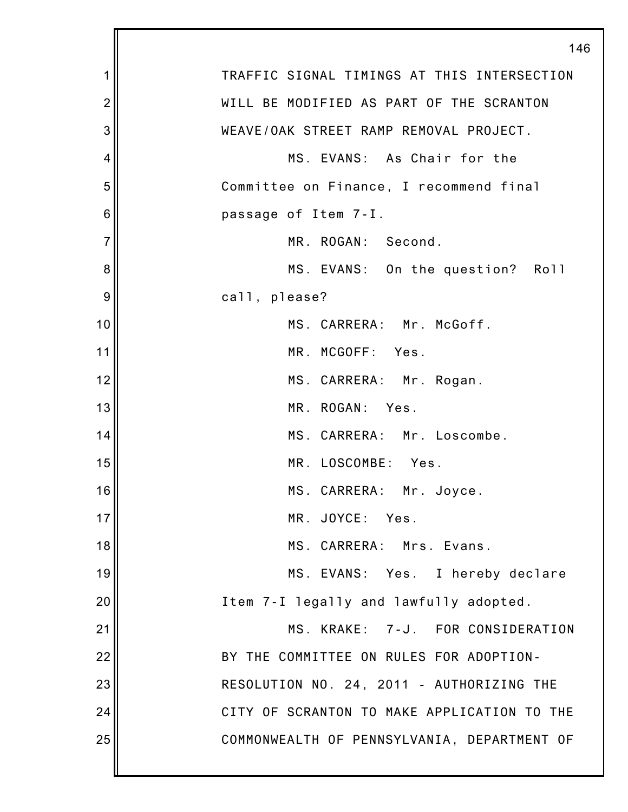|                | 146                                         |
|----------------|---------------------------------------------|
| 1              | TRAFFIC SIGNAL TIMINGS AT THIS INTERSECTION |
| $\overline{c}$ | WILL BE MODIFIED AS PART OF THE SCRANTON    |
| 3              | WEAVE/OAK STREET RAMP REMOVAL PROJECT.      |
| 4              | MS. EVANS: As Chair for the                 |
| 5              | Committee on Finance, I recommend final     |
| 6              | passage of Item 7-I.                        |
| $\overline{7}$ | MR. ROGAN: Second.                          |
| 8              | MS. EVANS: On the question? Roll            |
| 9              | call, please?                               |
| 10             | MS. CARRERA: Mr. McGoff.                    |
| 11             | MR. MCGOFF: Yes.                            |
| 12             | MS. CARRERA: Mr. Rogan.                     |
| 13             | MR. ROGAN: Yes.                             |
| 14             | MS. CARRERA: Mr. Loscombe.                  |
| 15             | MR. LOSCOMBE: Yes.                          |
| 16             | MS. CARRERA: Mr. Joyce.                     |
| 17             | MR. JOYCE: Yes.                             |
| 18             | MS. CARRERA: Mrs. Evans.                    |
| 19             | MS. EVANS: Yes. I hereby declare            |
| 20             | Item 7-I legally and lawfully adopted.      |
| 21             | MS. KRAKE: 7-J. FOR CONSIDERATION           |
| 22             | BY THE COMMITTEE ON RULES FOR ADOPTION-     |
| 23             | RESOLUTION NO. 24, 2011 - AUTHORIZING THE   |
| 24             | CITY OF SCRANTON TO MAKE APPLICATION TO THE |
| 25             | COMMONWEALTH OF PENNSYLVANIA, DEPARTMENT OF |
|                |                                             |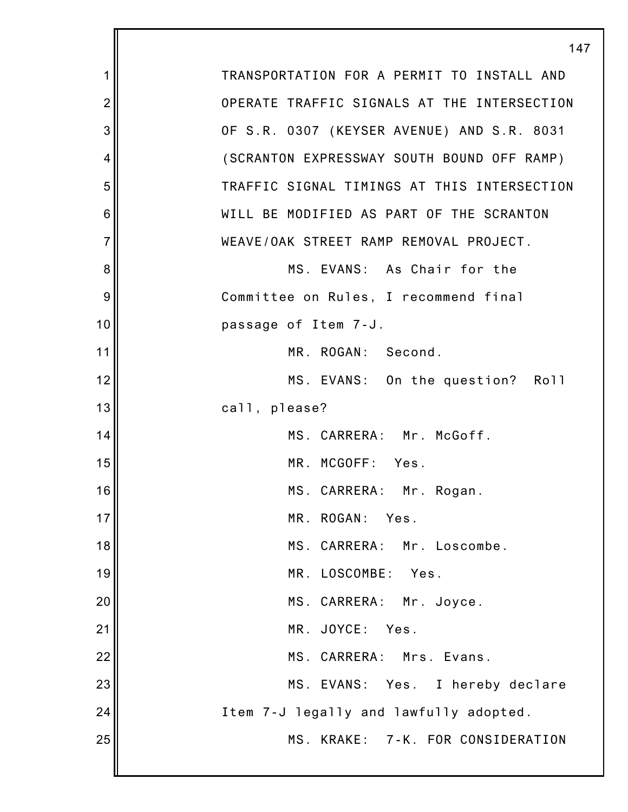|                | 14                                          |
|----------------|---------------------------------------------|
| 1              | TRANSPORTATION FOR A PERMIT TO INSTALL AND  |
| $\overline{2}$ | OPERATE TRAFFIC SIGNALS AT THE INTERSECTION |
| 3              | OF S.R. 0307 (KEYSER AVENUE) AND S.R. 8031  |
| 4              | (SCRANTON EXPRESSWAY SOUTH BOUND OFF RAMP)  |
| 5              | TRAFFIC SIGNAL TIMINGS AT THIS INTERSECTION |
| 6              | WILL BE MODIFIED AS PART OF THE SCRANTON    |
| $\overline{7}$ | WEAVE/OAK STREET RAMP REMOVAL PROJECT.      |
| 8              | MS. EVANS: As Chair for the                 |
| 9              | Committee on Rules, I recommend final       |
| 10             | passage of Item 7-J.                        |
| 11             | MR. ROGAN: Second.                          |
| 12             | MS. EVANS: On the question? Roll            |
| 13             | call, please?                               |
| 14             | MS. CARRERA: Mr. McGoff.                    |
| 15             | MR. MCGOFF: Yes.                            |
| 16             | MS. CARRERA: Mr. Rogan.                     |
| 17             | MR. ROGAN:<br>Yes.                          |
| 18             | MS. CARRERA: Mr. Loscombe.                  |
| 19             | MR. LOSCOMBE: Yes.                          |
| 20             | MS. CARRERA: Mr. Joyce.                     |
| 21             | MR. JOYCE: Yes.                             |
| 22             | MS. CARRERA: Mrs. Evans.                    |
| 23             | MS. EVANS: Yes. I hereby declare            |
| 24             | Item 7-J legally and lawfully adopted.      |
| 25             | MS. KRAKE: 7-K. FOR CONSIDERATION           |
|                |                                             |

147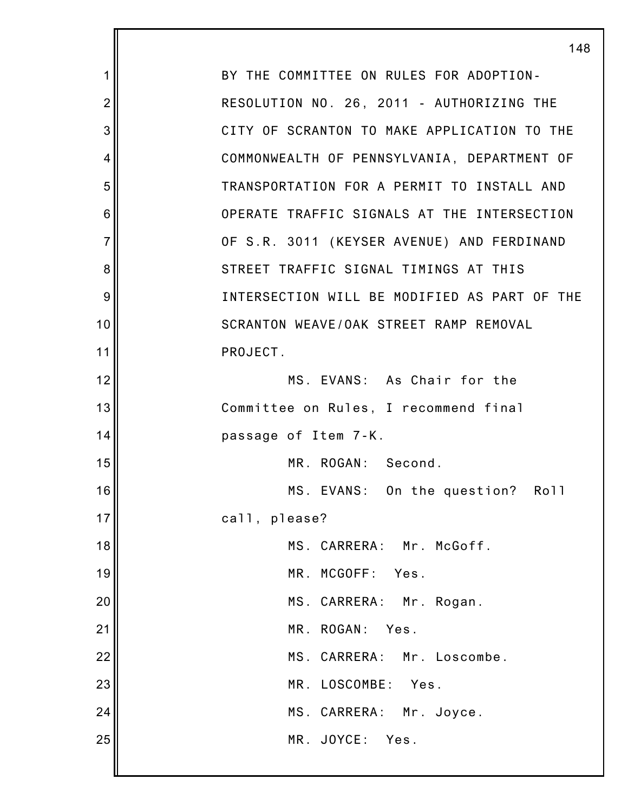|                | 148                                          |
|----------------|----------------------------------------------|
| 1              | BY THE COMMITTEE ON RULES FOR ADOPTION-      |
| $\overline{2}$ | RESOLUTION NO. 26, 2011 - AUTHORIZING THE    |
| 3              | CITY OF SCRANTON TO MAKE APPLICATION TO THE  |
| 4              | COMMONWEALTH OF PENNSYLVANIA, DEPARTMENT OF  |
| 5              | TRANSPORTATION FOR A PERMIT TO INSTALL AND   |
| 6              | OPERATE TRAFFIC SIGNALS AT THE INTERSECTION  |
| $\overline{7}$ | OF S.R. 3011 (KEYSER AVENUE) AND FERDINAND   |
| 8              | STREET TRAFFIC SIGNAL TIMINGS AT THIS        |
| 9              | INTERSECTION WILL BE MODIFIED AS PART OF THE |
| 10             | SCRANTON WEAVE/OAK STREET RAMP REMOVAL       |
| 11             | PROJECT.                                     |
| 12             | MS. EVANS: As Chair for the                  |
| 13             | Committee on Rules, I recommend final        |
| 14             | passage of Item 7-K.                         |
| 15             | MR. ROGAN: Second.                           |
| 16             | MS. EVANS: On the question? Roll             |
| 17             | call, please?                                |
| 18             | MS. CARRERA: Mr. McGoff.                     |
| 19             | MR. MCGOFF: Yes.                             |
| 20             | MS. CARRERA: Mr. Rogan.                      |
| 21             | MR. ROGAN: Yes.                              |
| 22             | MS. CARRERA: Mr. Loscombe.                   |
| 23             | MR. LOSCOMBE:<br>Yes.                        |
| 24             | MS. CARRERA: Mr. Joyce.                      |
| 25             | MR. JOYCE: Yes.                              |
|                |                                              |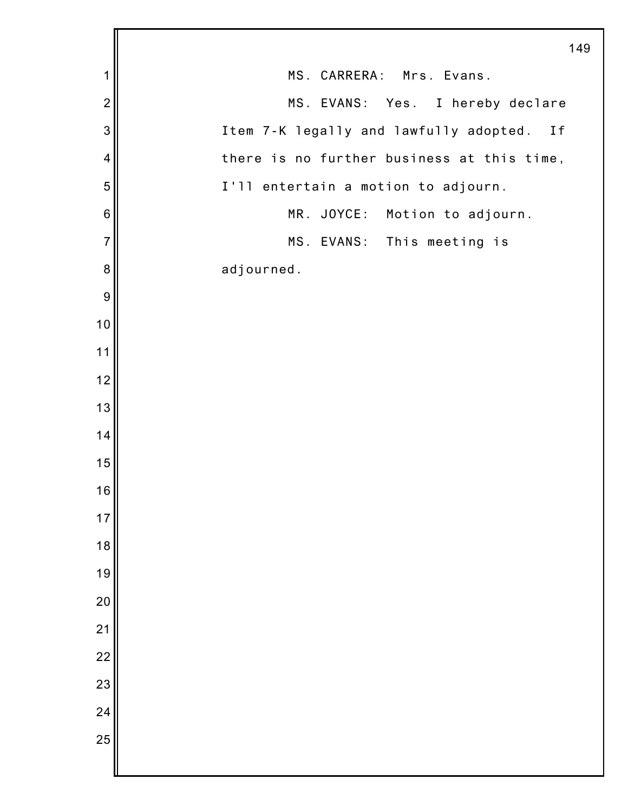|                 | 149                                           |
|-----------------|-----------------------------------------------|
| 1               | MS. CARRERA: Mrs. Evans.                      |
| $\overline{2}$  | MS. EVANS: Yes. I hereby declare              |
| 3               | Item 7-K legally and lawfully adopted.<br>I f |
| 4               | there is no further business at this time,    |
| 5               | I'll entertain a motion to adjourn.           |
| $6\phantom{1}6$ | MR. JOYCE: Motion to adjourn.                 |
| $\overline{7}$  | MS. EVANS: This meeting is                    |
| 8               | adjourned.                                    |
| $\overline{9}$  |                                               |
| 10              |                                               |
| 11              |                                               |
| 12              |                                               |
| 13              |                                               |
| 14              |                                               |
| 15              |                                               |
| 16              |                                               |
| $17$            |                                               |
| 18              |                                               |
| 19              |                                               |
| 20              |                                               |
| 21              |                                               |
| $\overline{22}$ |                                               |
| 23              |                                               |
| 24              |                                               |
| 25              |                                               |
|                 |                                               |